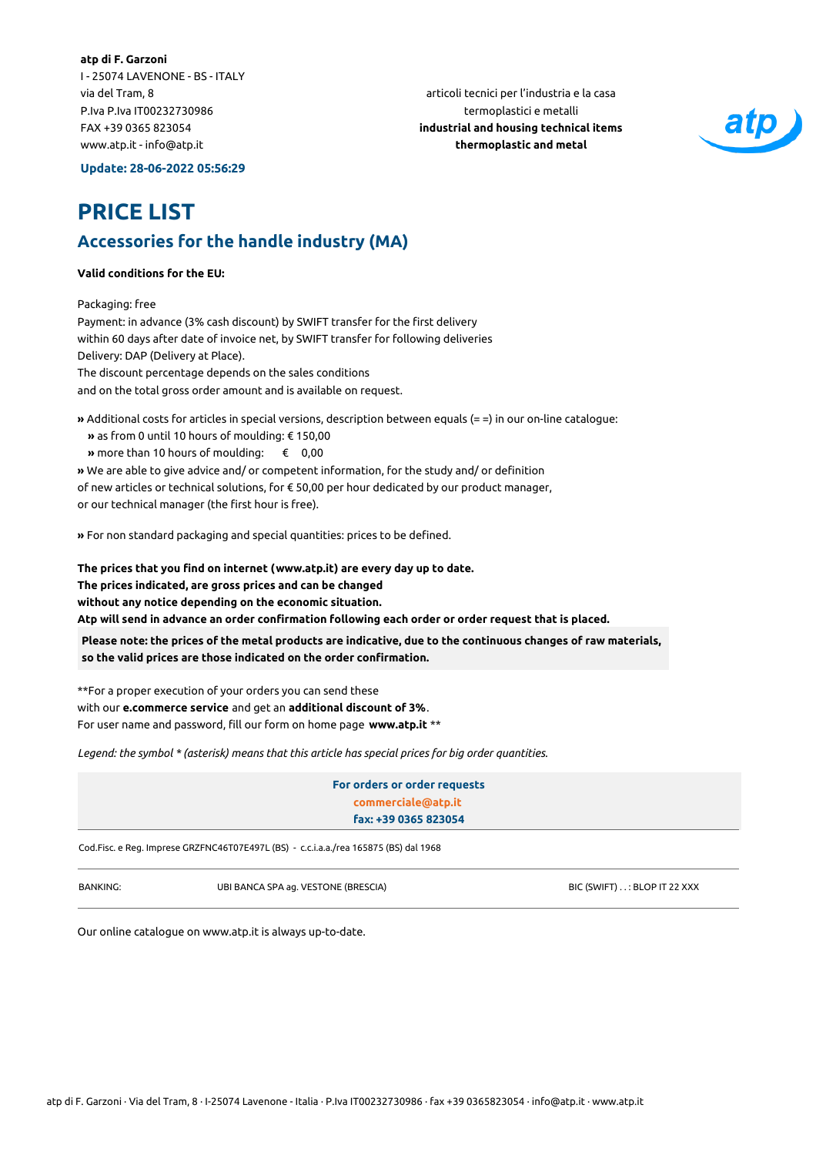**atp di F. Garzoni** I - 25074 LAVENONE - BS - ITALY via del Tram, 8 P.Iva P.Iva IT00232730986 FAX +39 0365 823054 www.atp.it - info@atp.it

articoli tecnici per l'industria e la casa termoplastici e metalli **industrial and housing technical items thermoplastic and metal**



**Update: 28-06-2022 05:56:29**

# **PRICE LIST Accessories for the handle industry (MA)**

**Valid conditions for the EU:**

Packaging: free Payment: in advance (3% cash discount) by SWIFT transfer for the first delivery within 60 days after date of invoice net, by SWIFT transfer for following deliveries Delivery: DAP (Delivery at Place). The discount percentage depends on the sales conditions and on the total gross order amount and is available on request.

Additional costs for articles in special versions, description between equals (= =) in our on-line catalogue:

as from 0 until 10 hours of moulding: € 150,00

 $\ast$  more than 10 hours of moulding:  $\epsilon$  0,00

We are able to give advice and/ or competent information, for the study and/ or definition of new articles or technical solutions, for € 50,00 per hour dedicated by our product manager, or our technical manager (the first hour is free).

For non standard packaging and special quantities: prices to be defined.

**The prices that you find on internet (www.atp.it) are every day up to date. The prices indicated, are gross prices and can be changed without any notice depending on the economic situation. Atp will send in advance an order confirmation following each order or order request that is placed. Please note: the prices of the metal products are indicative, due to the continuous changes of raw materials, so the valid prices are those indicated on the order confirmation.**

\*\*For a proper execution of your orders you can send these with our **e.commerce service** and get an **additional discount of 3%** For user name and password, fill our form on home page www.atp.it \*\*

*Legend: the symbol \* (asterisk) means that this article has special prices for big order quantities.*

**For orders or order requests commerciale@atp.it fax: +39 0365 823054**

Cod.Fisc. e Reg. Imprese GRZFNC46T07E497L (BS) - c.c.i.a.a./rea 165875 (BS) dal 1968

BANKING: UBI BANCA SPA ag. VESTONE (BRESCIA) BIC (SWIFT) . . : BLOP IT 22 XXX

Our online catalogue on www.atp.it is always up-to-date.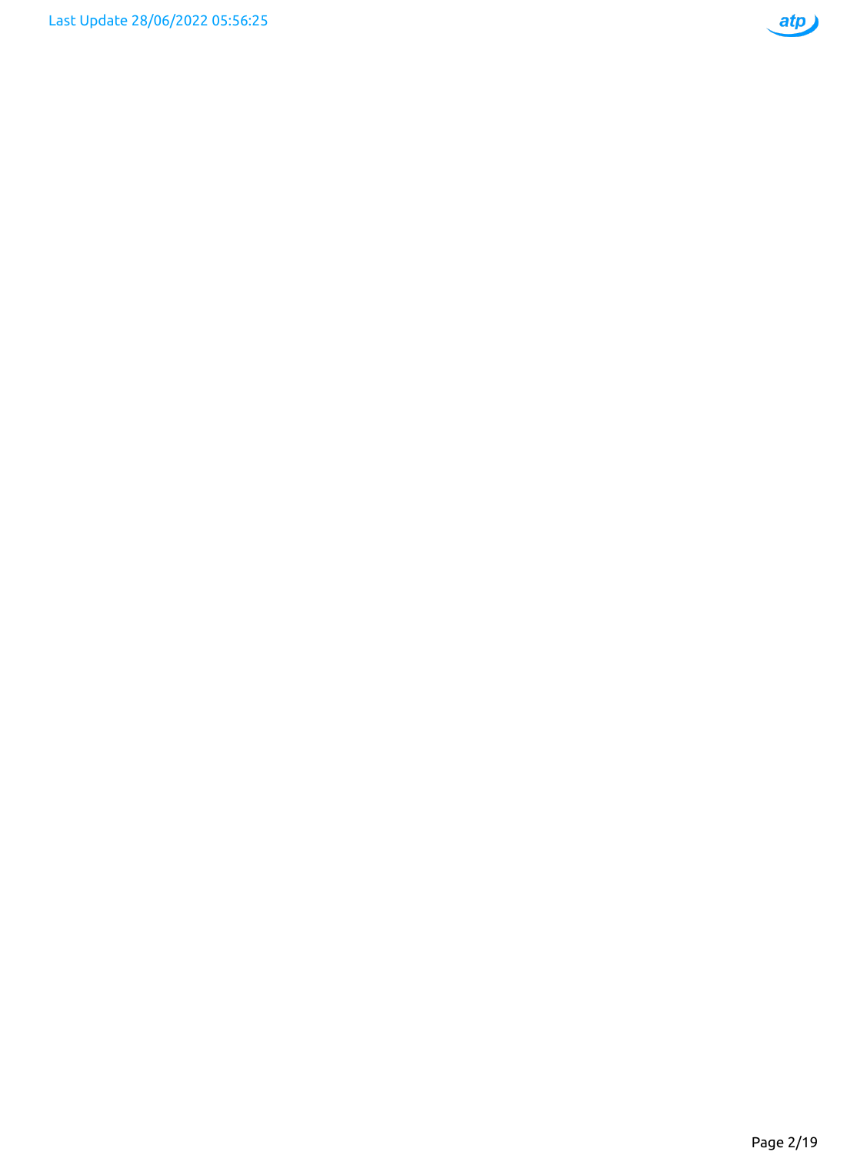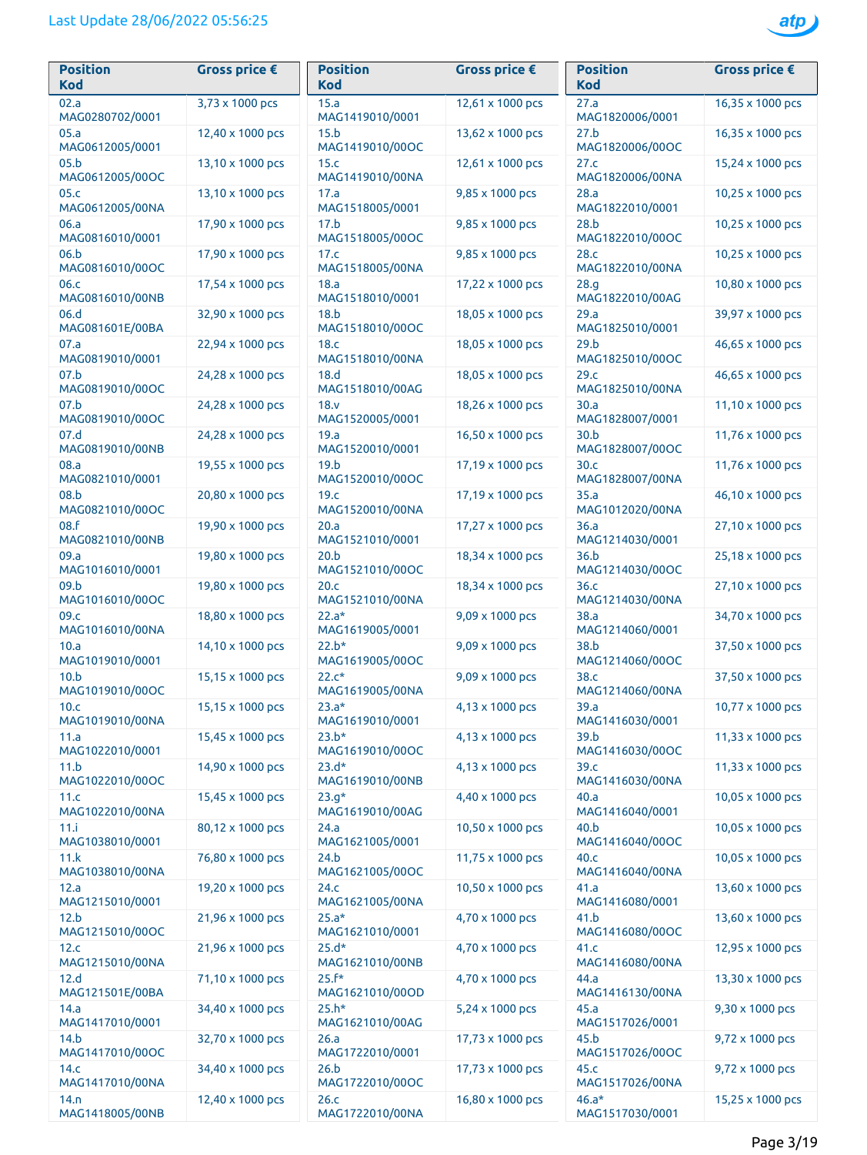| <b>Position</b>         | Gross price €    | <b>Position</b>            | Gross price €           | <b>Position</b>            | Gross price €    |
|-------------------------|------------------|----------------------------|-------------------------|----------------------------|------------------|
| <b>Kod</b>              |                  | <b>Kod</b>                 |                         | <b>Kod</b>                 |                  |
| 02.a<br>MAG0280702/0001 | 3,73 x 1000 pcs  | 15.a<br>MAG1419010/0001    | 12,61 x 1000 pcs        | 27.a<br>MAG1820006/0001    | 16,35 x 1000 pcs |
| 05.a<br>MAG0612005/0001 | 12,40 x 1000 pcs | 15.b<br>MAG1419010/00OC    | 13,62 x 1000 pcs        | 27.b<br>MAG1820006/00OC    | 16,35 x 1000 pcs |
| 05.b<br>MAG0612005/00OC | 13,10 x 1000 pcs | 15.c<br>MAG1419010/00NA    | 12,61 x 1000 pcs        | 27.c<br>MAG1820006/00NA    | 15,24 x 1000 pcs |
| 05.c<br>MAG0612005/00NA | 13,10 x 1000 pcs | 17.a<br>MAG1518005/0001    | 9,85 x 1000 pcs         | 28.a<br>MAG1822010/0001    | 10,25 x 1000 pcs |
| 06.a<br>MAG0816010/0001 | 17,90 x 1000 pcs | 17.b<br>MAG1518005/00OC    | 9,85 x 1000 pcs         | 28.b<br>MAG1822010/00OC    | 10,25 x 1000 pcs |
| 06.b<br>MAG0816010/00OC | 17,90 x 1000 pcs | 17.c<br>MAG1518005/00NA    | 9,85 x 1000 pcs         | 28.c<br>MAG1822010/00NA    | 10,25 x 1000 pcs |
| 06.c<br>MAG0816010/00NB | 17,54 x 1000 pcs | 18.a<br>MAG1518010/0001    | 17,22 x 1000 pcs        | 28.9<br>MAG1822010/00AG    | 10,80 x 1000 pcs |
| 06.d<br>MAG081601E/00BA | 32,90 x 1000 pcs | 18.b<br>MAG1518010/00OC    | 18,05 x 1000 pcs        | 29.a<br>MAG1825010/0001    | 39,97 x 1000 pcs |
| 07.a<br>MAG0819010/0001 | 22,94 x 1000 pcs | 18.c<br>MAG1518010/00NA    | 18,05 x 1000 pcs        | 29.b<br>MAG1825010/00OC    | 46,65 x 1000 pcs |
| 07.b<br>MAG0819010/00OC | 24,28 x 1000 pcs | 18.d<br>MAG1518010/00AG    | 18,05 x 1000 pcs        | 29.c<br>MAG1825010/00NA    | 46,65 x 1000 pcs |
| 07.b<br>MAG0819010/00OC | 24,28 x 1000 pcs | 18. v<br>MAG1520005/0001   | 18,26 x 1000 pcs        | 30.a<br>MAG1828007/0001    | 11,10 x 1000 pcs |
| 07.d<br>MAG0819010/00NB | 24,28 x 1000 pcs | 19.a<br>MAG1520010/0001    | 16,50 x 1000 pcs        | 30.b<br>MAG1828007/00OC    | 11,76 x 1000 pcs |
| 08.a<br>MAG0821010/0001 | 19,55 x 1000 pcs | 19.b<br>MAG1520010/00OC    | 17,19 x 1000 pcs        | 30.c<br>MAG1828007/00NA    | 11,76 x 1000 pcs |
| 08.b<br>MAG0821010/00OC | 20,80 x 1000 pcs | 19.c<br>MAG1520010/00NA    | 17,19 x 1000 pcs        | 35.a<br>MAG1012020/00NA    | 46,10 x 1000 pcs |
| 08.F<br>MAG0821010/00NB | 19,90 x 1000 pcs | 20.a<br>MAG1521010/0001    | 17,27 x 1000 pcs        | 36.a<br>MAG1214030/0001    | 27,10 x 1000 pcs |
| 09.a<br>MAG1016010/0001 | 19,80 x 1000 pcs | 20.b<br>MAG1521010/00OC    | 18,34 x 1000 pcs        | 36.b<br>MAG1214030/00OC    | 25,18 x 1000 pcs |
| 09.b<br>MAG1016010/00OC | 19,80 x 1000 pcs | 20.c<br>MAG1521010/00NA    | 18,34 x 1000 pcs        | 36.c<br>MAG1214030/00NA    | 27,10 x 1000 pcs |
| 09.c<br>MAG1016010/00NA | 18,80 x 1000 pcs | $22.a*$<br>MAG1619005/0001 | 9,09 x 1000 pcs         | 38.a<br>MAG1214060/0001    | 34,70 x 1000 pcs |
| 10.a<br>MAG1019010/0001 | 14,10 x 1000 pcs | $22.b*$<br>MAG1619005/00OC | 9,09 x 1000 pcs         | 38.b<br>MAG1214060/00OC    | 37,50 x 1000 pcs |
| 10.b<br>MAG1019010/00OC | 15,15 x 1000 pcs | $22.c*$<br>MAG1619005/00NA | 9,09 x 1000 pcs         | 38.c<br>MAG1214060/00NA    | 37,50 x 1000 pcs |
| 10.c<br>MAG1019010/00NA | 15,15 x 1000 pcs | $23.a*$<br>MAG1619010/0001 | 4,13 x 1000 pcs         | 39.a<br>MAG1416030/0001    | 10,77 x 1000 pcs |
| 11.a<br>MAG1022010/0001 | 15,45 x 1000 pcs | $23.b*$<br>MAG1619010/00OC | 4,13 x 1000 pcs         | 39.b<br>MAG1416030/00OC    | 11,33 x 1000 pcs |
| 11.b<br>MAG1022010/00OC | 14,90 x 1000 pcs | $23.d*$<br>MAG1619010/00NB | 4,13 x 1000 pcs         | 39.c<br>MAG1416030/00NA    | 11,33 x 1000 pcs |
| 11.c<br>MAG1022010/00NA | 15,45 x 1000 pcs | $23.9*$<br>MAG1619010/00AG | 4,40 x 1000 pcs         | 40.a<br>MAG1416040/0001    | 10,05 x 1000 pcs |
| 11.i<br>MAG1038010/0001 | 80,12 x 1000 pcs | 24.a<br>MAG1621005/0001    | 10,50 x 1000 pcs        | 40.b<br>MAG1416040/00OC    | 10,05 x 1000 pcs |
| 11.k<br>MAG1038010/00NA | 76,80 x 1000 pcs | 24.b<br>MAG1621005/00OC    | 11,75 x 1000 pcs        | 40.c<br>MAG1416040/00NA    | 10,05 x 1000 pcs |
| 12.a<br>MAG1215010/0001 | 19,20 x 1000 pcs | 24.c<br>MAG1621005/00NA    | $10,50 \times 1000$ pcs | 41.a<br>MAG1416080/0001    | 13,60 x 1000 pcs |
| 12.b<br>MAG1215010/00OC | 21,96 x 1000 pcs | $25.a*$<br>MAG1621010/0001 | 4,70 x 1000 pcs         | 41.b<br>MAG1416080/00OC    | 13,60 x 1000 pcs |
| 12.c<br>MAG1215010/00NA | 21,96 x 1000 pcs | $25.d*$<br>MAG1621010/00NB | 4,70 x 1000 pcs         | 41.c<br>MAG1416080/00NA    | 12,95 x 1000 pcs |
| 12.d<br>MAG121501E/00BA | 71,10 x 1000 pcs | $25.f*$<br>MAG1621010/00OD | 4,70 x 1000 pcs         | 44.a<br>MAG1416130/00NA    | 13,30 x 1000 pcs |
| 14.a<br>MAG1417010/0001 | 34,40 x 1000 pcs | $25.h*$<br>MAG1621010/00AG | 5,24 x 1000 pcs         | 45.a<br>MAG1517026/0001    | 9,30 x 1000 pcs  |
| 14.b<br>MAG1417010/00OC | 32,70 x 1000 pcs | 26.a<br>MAG1722010/0001    | 17,73 x 1000 pcs        | 45.b<br>MAG1517026/00OC    | 9,72 x 1000 pcs  |
| 14.c<br>MAG1417010/00NA | 34,40 x 1000 pcs | 26.b<br>MAG1722010/00OC    | 17,73 x 1000 pcs        | 45.c<br>MAG1517026/00NA    | 9,72 x 1000 pcs  |
| 14.n<br>MAG1418005/00NB | 12,40 x 1000 pcs | 26.c<br>MAG1722010/00NA    | 16,80 x 1000 pcs        | $46.a*$<br>MAG1517030/0001 | 15,25 x 1000 pcs |

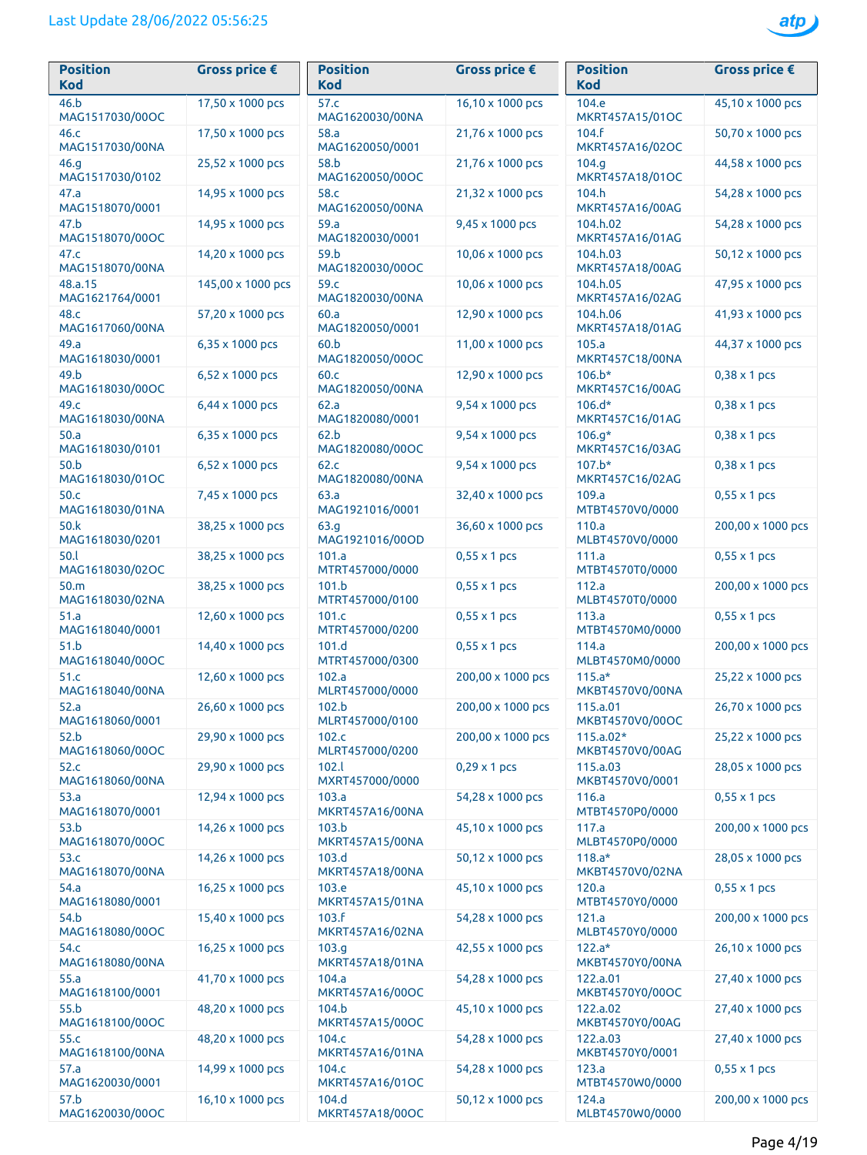

| <b>Position</b><br>Kod     | Gross price $\epsilon$ | <b>Position</b><br>Kod          | Gross price $\epsilon$ | <b>Position</b><br>Kod          | Gross price $\epsilon$ |
|----------------------------|------------------------|---------------------------------|------------------------|---------------------------------|------------------------|
| 46.b                       | 17,50 x 1000 pcs       | 57.c                            | 16,10 x 1000 pcs       | 104.e                           | 45,10 x 1000 pcs       |
| MAG1517030/00OC            |                        | MAG1620030/00NA                 |                        | MKRT457A15/01OC                 |                        |
| 46.c<br>MAG1517030/00NA    | 17,50 x 1000 pcs       | 58.a<br>MAG1620050/0001         | 21,76 x 1000 pcs       | 104.F<br>MKRT457A16/02OC        | 50,70 x 1000 pcs       |
| 46.9<br>MAG1517030/0102    | 25,52 x 1000 pcs       | 58.b<br>MAG1620050/00OC         | 21,76 x 1000 pcs       | 104.9<br>MKRT457A18/01OC        | 44,58 x 1000 pcs       |
| 47.a<br>MAG1518070/0001    | 14,95 x 1000 pcs       | 58.c<br>MAG1620050/00NA         | 21,32 x 1000 pcs       | 104.h<br>MKRT457A16/00AG        | 54,28 x 1000 pcs       |
| 47.b<br>MAG1518070/00OC    | 14,95 x 1000 pcs       | 59.a<br>MAG1820030/0001         | 9,45 x 1000 pcs        | 104.h.02<br>MKRT457A16/01AG     | 54,28 x 1000 pcs       |
| 47.c<br>MAG1518070/00NA    | 14,20 x 1000 pcs       | 59.b<br>MAG1820030/00OC         | 10,06 x 1000 pcs       | 104.h.03<br>MKRT457A18/00AG     | 50,12 x 1000 pcs       |
| 48.a.15<br>MAG1621764/0001 | 145,00 x 1000 pcs      | 59.c<br>MAG1820030/00NA         | 10,06 x 1000 pcs       | 104.h.05<br>MKRT457A16/02AG     | 47,95 x 1000 pcs       |
| 48.c<br>MAG1617060/00NA    | 57,20 x 1000 pcs       | 60.a<br>MAG1820050/0001         | 12,90 x 1000 pcs       | 104.h.06<br>MKRT457A18/01AG     | 41,93 x 1000 pcs       |
| 49.a<br>MAG1618030/0001    | 6,35 x 1000 pcs        | 60.b<br>MAG1820050/00OC         | 11,00 x 1000 pcs       | 105.a<br><b>MKRT457C18/00NA</b> | 44,37 x 1000 pcs       |
| 49.b<br>MAG1618030/00OC    | 6,52 x 1000 pcs        | 60.c<br>MAG1820050/00NA         | 12,90 x 1000 pcs       | $106.b*$<br>MKRT457C16/00AG     | $0,38 \times 1$ pcs    |
| 49.c<br>MAG1618030/00NA    | 6,44 x 1000 pcs        | 62.a<br>MAG1820080/0001         | 9,54 x 1000 pcs        | $106.d*$<br>MKRT457C16/01AG     | $0,38 \times 1$ pcs    |
| 50.a<br>MAG1618030/0101    | 6,35 x 1000 pcs        | 62.b<br>MAG1820080/00OC         | 9,54 x 1000 pcs        | $106.9*$<br>MKRT457C16/03AG     | $0,38 \times 1$ pcs    |
| 50.b<br>MAG1618030/01OC    | 6,52 x 1000 pcs        | 62.c<br>MAG1820080/00NA         | 9,54 x 1000 pcs        | $107.b*$<br>MKRT457C16/02AG     | $0,38 \times 1$ pcs    |
| 50.c<br>MAG1618030/01NA    | 7,45 x 1000 pcs        | 63.a<br>MAG1921016/0001         | 32,40 x 1000 pcs       | 109.a<br>MTBT4570V0/0000        | $0,55 \times 1$ pcs    |
| 50.k<br>MAG1618030/0201    | 38,25 x 1000 pcs       | 63.q<br>MAG1921016/00OD         | 36,60 x 1000 pcs       | 110.a<br>MLBT4570V0/0000        | 200,00 x 1000 pcs      |
| 50.l<br>MAG1618030/02OC    | 38,25 x 1000 pcs       | 101.a<br>MTRT457000/0000        | $0,55 \times 1$ pcs    | 111.a<br>MTBT4570T0/0000        | $0,55 \times 1$ pcs    |
| 50.m<br>MAG1618030/02NA    | 38,25 x 1000 pcs       | 101.b<br>MTRT457000/0100        | $0,55 \times 1$ pcs    | 112.a<br>MLBT4570T0/0000        | 200,00 x 1000 pcs      |
| 51.a<br>MAG1618040/0001    | 12,60 x 1000 pcs       | 101.c<br>MTRT457000/0200        | $0,55 \times 1$ pcs    | 113.a<br>MTBT4570M0/0000        | $0,55 \times 1$ pcs    |
| 51.b<br>MAG1618040/00OC    | 14,40 x 1000 pcs       | 101.d<br>MTRT457000/0300        | $0,55 \times 1$ pcs    | 114.a<br>MLBT4570M0/0000        | 200,00 x 1000 pcs      |
| 51.c<br>MAG1618040/00NA    | 12,60 x 1000 pcs       | 102.a<br>MLRT457000/0000        | 200,00 x 1000 pcs      | $115.a*$<br>MKBT4570V0/00NA     | 25,22 x 1000 pcs       |
| 52.a<br>MAG1618060/0001    | 26,60 x 1000 pcs       | 102.b<br>MLRT457000/0100        | 200,00 x 1000 pcs      | 115.a.01<br>MKBT4570V0/00OC     | 26,70 x 1000 pcs       |
| 52.b<br>MAG1618060/00OC    | 29,90 x 1000 pcs       | 102.c<br>MLRT457000/0200        | 200,00 x 1000 pcs      | $115.a.02*$<br>MKBT4570V0/00AG  | 25,22 x 1000 pcs       |
| 52.c<br>MAG1618060/00NA    | 29,90 x 1000 pcs       | 102.1<br>MXRT457000/0000        | 0,29 x 1 pcs           | 115.a.03<br>MKBT4570V0/0001     | 28,05 x 1000 pcs       |
| 53.a<br>MAG1618070/0001    | 12,94 x 1000 pcs       | 103.a<br><b>MKRT457A16/00NA</b> | 54,28 x 1000 pcs       | 116.a<br>MTBT4570P0/0000        | $0,55 \times 1$ pcs    |
| 53.b<br>MAG1618070/00OC    | 14,26 x 1000 pcs       | 103.b<br><b>MKRT457A15/00NA</b> | 45,10 x 1000 pcs       | 117.a<br>MLBT4570P0/0000        | 200,00 x 1000 pcs      |
| 53.c<br>MAG1618070/00NA    | 14,26 x 1000 pcs       | 103.d<br><b>MKRT457A18/00NA</b> | 50,12 x 1000 pcs       | $118.a*$<br>MKBT4570V0/02NA     | 28,05 x 1000 pcs       |
| 54.a<br>MAG1618080/0001    | 16,25 x 1000 pcs       | 103.e<br>MKRT457A15/01NA        | 45,10 x 1000 pcs       | 120.a<br>MTBT4570Y0/0000        | $0,55 \times 1$ pcs    |
| 54.b<br>MAG1618080/00OC    | 15,40 x 1000 pcs       | 103.f<br>MKRT457A16/02NA        | 54,28 x 1000 pcs       | 121.a<br>MLBT4570Y0/0000        | 200,00 x 1000 pcs      |
| 54.c<br>MAG1618080/00NA    | 16,25 x 1000 pcs       | 103.q<br>MKRT457A18/01NA        | 42,55 x 1000 pcs       | $122.a*$<br>MKBT4570Y0/00NA     | 26,10 x 1000 pcs       |
| 55.a<br>MAG1618100/0001    | 41,70 x 1000 pcs       | 104.a<br>MKRT457A16/00OC        | 54,28 x 1000 pcs       | 122.a.01<br>MKBT4570Y0/00OC     | 27,40 x 1000 pcs       |
| 55.b<br>MAG1618100/00OC    | 48,20 x 1000 pcs       | 104.b<br><b>MKRT457A15/00OC</b> | 45,10 x 1000 pcs       | 122.a.02<br>MKBT4570Y0/00AG     | 27,40 x 1000 pcs       |
| 55.c<br>MAG1618100/00NA    | 48,20 x 1000 pcs       | 104.c<br>MKRT457A16/01NA        | 54,28 x 1000 pcs       | 122.a.03<br>MKBT4570Y0/0001     | 27,40 x 1000 pcs       |
| 57.a<br>MAG1620030/0001    | 14,99 x 1000 pcs       | 104.c<br>MKRT457A16/01OC        | 54,28 x 1000 pcs       | 123.a<br>MTBT4570W0/0000        | $0,55 \times 1$ pcs    |
| 57.b<br>MAG1620030/00OC    | 16,10 x 1000 pcs       | 104.d<br>MKRT457A18/00OC        | 50,12 x 1000 pcs       | 124.a<br>MLBT4570W0/0000        | 200,00 x 1000 pcs      |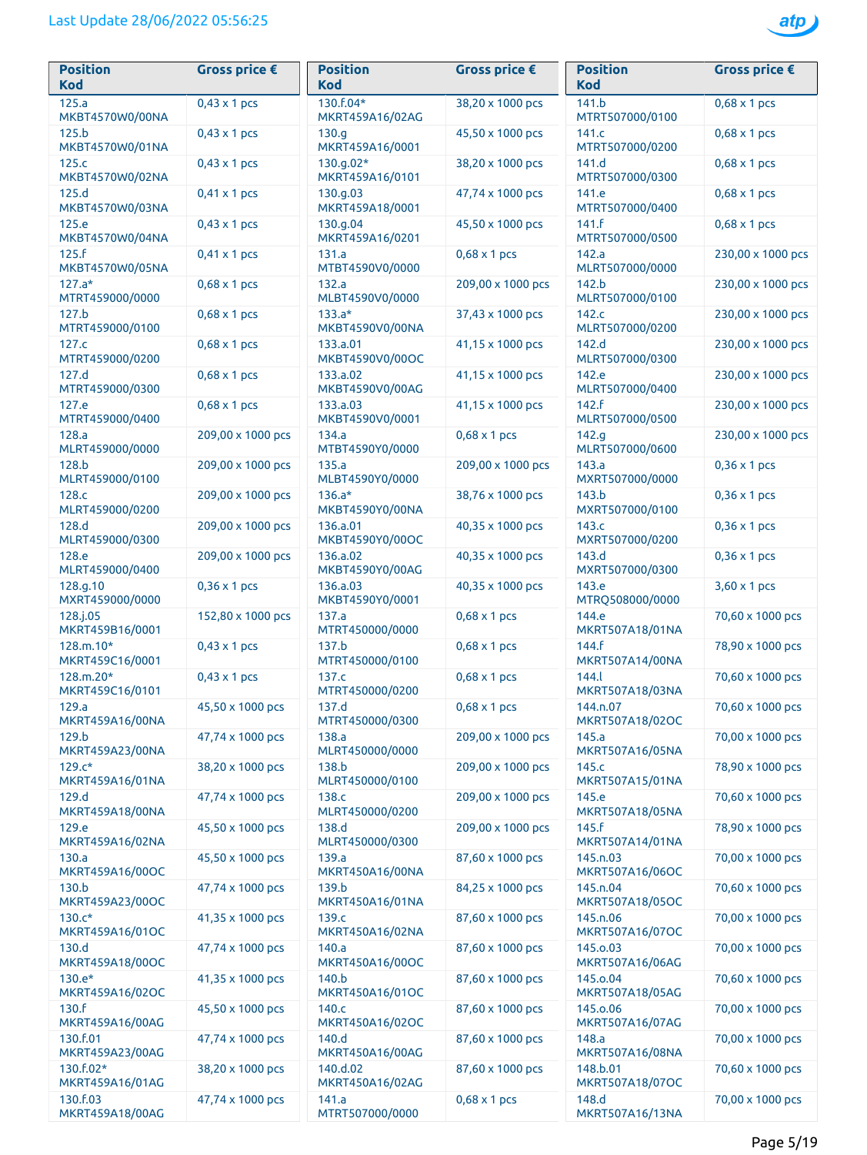

| <b>Position</b><br><b>Kod</b> | Gross price $\epsilon$ | <b>Position</b><br><b>Kod</b> | Gross price €       | <b>Position</b><br><b>Kod</b>      | Gross price $\epsilon$ |
|-------------------------------|------------------------|-------------------------------|---------------------|------------------------------------|------------------------|
| 125.a                         | $0,43 \times 1$ pcs    | 130.f.04*                     | 38,20 x 1000 pcs    | 141.b                              | $0,68 \times 1$ pcs    |
| MKBT4570W0/00NA               |                        | MKRT459A16/02AG               |                     | MTRT507000/0100                    |                        |
| 125.b<br>MKBT4570W0/01NA      | $0.43 \times 1$ pcs    | 130.q<br>MKRT459A16/0001      | 45,50 x 1000 pcs    | 141.c<br>MTRT507000/0200           | $0,68 \times 1$ pcs    |
| 125.c<br>MKBT4570W0/02NA      | $0,43 \times 1$ pcs    | 130.g.02*<br>MKRT459A16/0101  | 38,20 x 1000 pcs    | 141.d<br>MTRT507000/0300           | $0,68 \times 1$ pcs    |
| 125.d<br>MKBT4570W0/03NA      | $0,41 \times 1$ pcs    | 130.g.03<br>MKRT459A18/0001   | 47,74 x 1000 pcs    | 141.e<br>MTRT507000/0400           | $0,68 \times 1$ pcs    |
| 125.e<br>MKBT4570W0/04NA      | $0,43 \times 1$ pcs    | 130.g.04<br>MKRT459A16/0201   | 45,50 x 1000 pcs    | 141.f<br>MTRT507000/0500           | $0,68 \times 1$ pcs    |
| 125.f<br>MKBT4570W0/05NA      | $0,41 \times 1$ pcs    | 131.a<br>MTBT4590V0/0000      | $0,68 \times 1$ pcs | 142.a<br>MLRT507000/0000           | 230,00 x 1000 pcs      |
| $127.a*$<br>MTRT459000/0000   | $0,68 \times 1$ pcs    | 132.a<br>MLBT4590V0/0000      | 209,00 x 1000 pcs   | 142.b<br>MLRT507000/0100           | 230,00 x 1000 pcs      |
| 127.b<br>MTRT459000/0100      | $0,68 \times 1$ pcs    | $133.a*$<br>MKBT4590V0/00NA   | 37,43 x 1000 pcs    | 142.c<br>MLRT507000/0200           | 230,00 x 1000 pcs      |
| 127.c<br>MTRT459000/0200      | $0,68 \times 1$ pcs    | 133.a.01<br>MKBT4590V0/00OC   | 41,15 x 1000 pcs    | 142.d<br>MLRT507000/0300           | 230,00 x 1000 pcs      |
| 127.d<br>MTRT459000/0300      | $0,68 \times 1$ pcs    | 133.a.02<br>MKBT4590V0/00AG   | 41,15 x 1000 pcs    | 142.e<br>MLRT507000/0400           | 230,00 x 1000 pcs      |
| 127.e<br>MTRT459000/0400      | $0,68 \times 1$ pcs    | 133.a.03<br>MKBT4590V0/0001   | 41,15 x 1000 pcs    | 142.f<br>MLRT507000/0500           | 230,00 x 1000 pcs      |
| 128.a<br>MLRT459000/0000      | 209,00 x 1000 pcs      | 134.a<br>MTBT4590Y0/0000      | $0,68 \times 1$ pcs | 142.q<br>MLRT507000/0600           | 230,00 x 1000 pcs      |
| 128.b<br>MLRT459000/0100      | 209,00 x 1000 pcs      | 135.a<br>MLBT4590Y0/0000      | 209,00 x 1000 pcs   | 143.a<br>MXRT507000/0000           | $0,36 \times 1$ pcs    |
| 128.c<br>MLRT459000/0200      | 209,00 x 1000 pcs      | $136.a*$<br>MKBT4590Y0/00NA   | 38,76 x 1000 pcs    | 143.b<br>MXRT507000/0100           | $0,36 \times 1$ pcs    |
| 128.d<br>MLRT459000/0300      | 209,00 x 1000 pcs      | 136.a.01<br>MKBT4590Y0/00OC   | 40,35 x 1000 pcs    | 143.c<br>MXRT507000/0200           | $0,36 \times 1$ pcs    |
| 128.e<br>MLRT459000/0400      | 209,00 x 1000 pcs      | 136.a.02<br>MKBT4590Y0/00AG   | 40,35 x 1000 pcs    | 143.d<br>MXRT507000/0300           | $0,36 \times 1$ pcs    |
| 128.g.10<br>MXRT459000/0000   | $0,36 \times 1$ pcs    | 136.a.03<br>MKBT4590Y0/0001   | 40,35 x 1000 pcs    | 143.e<br>MTRQ508000/0000           | $3,60 \times 1$ pcs    |
| 128.j.05<br>MKRT459B16/0001   | 152,80 x 1000 pcs      | 137.a<br>MTRT450000/0000      | $0,68 \times 1$ pcs | 144.e<br>MKRT507A18/01NA           | 70,60 x 1000 pcs       |
| 128.m.10*<br>MKRT459C16/0001  | $0,43 \times 1$ pcs    | 137.b<br>MTRT450000/0100      | $0,68 \times 1$ pcs | 144.f<br>MKRT507A14/00NA           | 78,90 x 1000 pcs       |
| 128.m.20*<br>MKRT459C16/0101  | $0,43 \times 1$ pcs    | 137.c<br>MTRT450000/0200      | $0,68 \times 1$ pcs | 144.1<br>MKRT507A18/03NA           | 70,60 x 1000 pcs       |
| 129.a<br>MKRT459A16/00NA      | 45,50 x 1000 pcs       | 137.d<br>MTRT450000/0300      | $0,68 \times 1$ pcs | 144.n.07<br>MKRT507A18/02OC        | 70,60 x 1000 pcs       |
| 129.b<br>MKRT459A23/00NA      | 47,74 x 1000 pcs       | 138.a<br>MLRT450000/0000      | 209,00 x 1000 pcs   | 145.a<br>MKRT507A16/05NA           | 70,00 x 1000 pcs       |
| $129.c*$<br>MKRT459A16/01NA   | 38,20 x 1000 pcs       | 138.b<br>MLRT450000/0100      | 209,00 x 1000 pcs   | 145.c<br>MKRT507A15/01NA           | 78,90 x 1000 pcs       |
| 129.d<br>MKRT459A18/00NA      | 47,74 x 1000 pcs       | 138.c<br>MLRT450000/0200      | 209,00 x 1000 pcs   | 145.e<br>MKRT507A18/05NA           | 70,60 x 1000 pcs       |
| 129.e<br>MKRT459A16/02NA      | 45,50 x 1000 pcs       | 138.d<br>MLRT450000/0300      | 209,00 x 1000 pcs   | 145.f<br>MKRT507A14/01NA           | 78,90 x 1000 pcs       |
| 130.a<br>MKRT459A16/00OC      | 45,50 x 1000 pcs       | 139.a<br>MKRT450A16/00NA      | 87,60 x 1000 pcs    | 145.n.03<br>MKRT507A16/06OC        | 70,00 x 1000 pcs       |
| 130.b<br>MKRT459A23/00OC      | 47,74 x 1000 pcs       | 139.b<br>MKRT450A16/01NA      | 84,25 x 1000 pcs    | 145.n.04<br><b>MKRT507A18/05OC</b> | 70,60 x 1000 pcs       |
| $130.c*$<br>MKRT459A16/01OC   | 41,35 x 1000 pcs       | 139.c<br>MKRT450A16/02NA      | 87,60 x 1000 pcs    | 145.n.06<br>MKRT507A16/07OC        | 70,00 x 1000 pcs       |
| 130.d<br>MKRT459A18/00OC      | 47,74 x 1000 pcs       | 140.a<br>MKRT450A16/00OC      | 87,60 x 1000 pcs    | 145.o.03<br>MKRT507A16/06AG        | 70,00 x 1000 pcs       |
| $130.e*$<br>MKRT459A16/02OC   | 41,35 x 1000 pcs       | 140.b<br>MKRT450A16/01OC      | 87,60 x 1000 pcs    | 145.o.04<br>MKRT507A18/05AG        | 70,60 x 1000 pcs       |
| 130.f<br>MKRT459A16/00AG      | 45,50 x 1000 pcs       | 140.c<br>MKRT450A16/02OC      | 87,60 x 1000 pcs    | 145.o.06<br>MKRT507A16/07AG        | 70,00 x 1000 pcs       |
| 130.F.01<br>MKRT459A23/00AG   | 47,74 x 1000 pcs       | 140.d<br>MKRT450A16/00AG      | 87,60 x 1000 pcs    | 148.a<br>MKRT507A16/08NA           | 70,00 x 1000 pcs       |
| 130.f.02*<br>MKRT459A16/01AG  | 38,20 x 1000 pcs       | 140.d.02<br>MKRT450A16/02AG   | 87,60 x 1000 pcs    | 148.b.01<br><b>MKRT507A18/07OC</b> | 70,60 x 1000 pcs       |
| 130.F.03<br>MKRT459A18/00AG   | 47,74 x 1000 pcs       | 141.a<br>MTRT507000/0000      | $0,68 \times 1$ pcs | 148.d<br>MKRT507A16/13NA           | 70,00 x 1000 pcs       |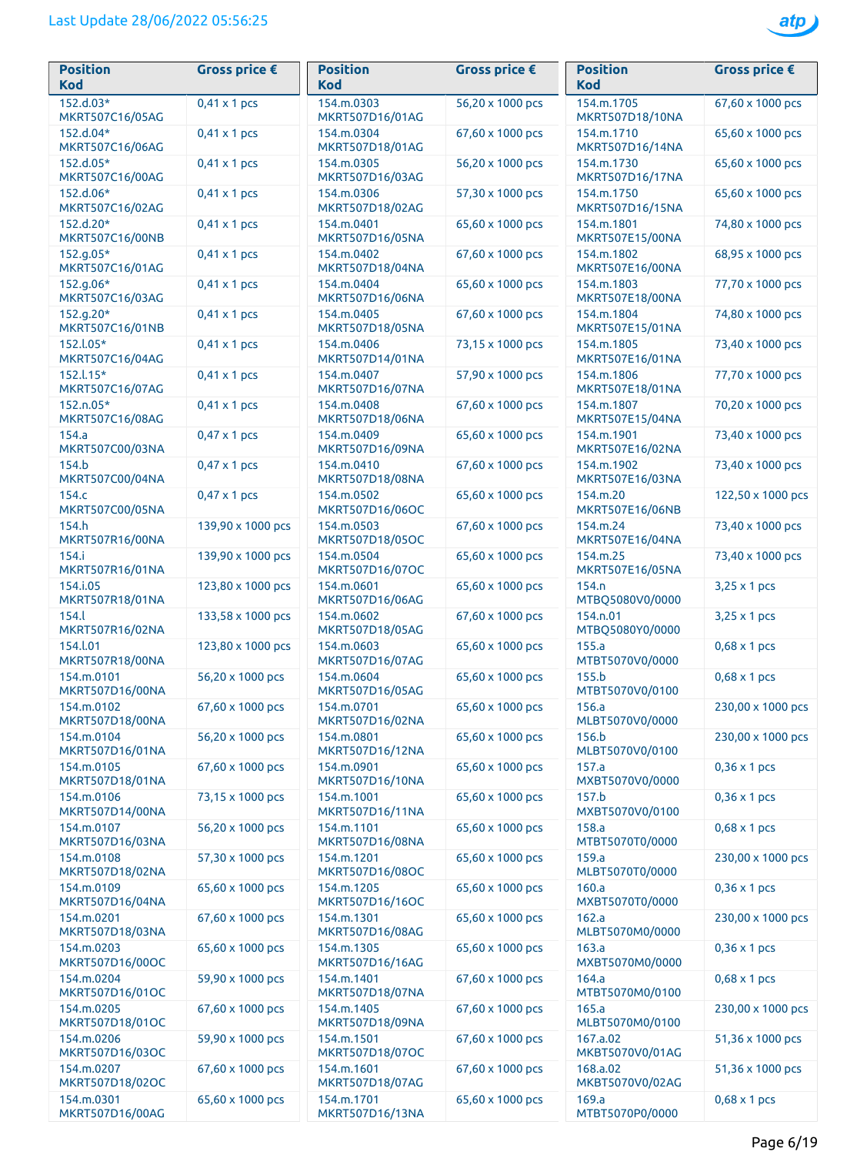| Position<br>Kod                                 | Gross price €       |
|-------------------------------------------------|---------------------|
| 152.d.03*                                       | $0,41 \times 1$ pcs |
| MKRT507C16/05AG<br>152.d.04*<br>MKRT507C16/06AG | $0.41 \times 1$ pcs |
| 152.d.05*<br>MKRT507C16/00AG                    | $0,41 \times 1$ pcs |
| 152.d.06*<br>MKRT507C16/02AG                    | $0,41 \times 1$ pcs |
| 152.d.20*<br><b>MKRT507C16/00NB</b>             | $0,41 \times 1$ pcs |
| 152.g.05*<br>MKRT507C16/01AG                    | $0,41 \times 1$ pcs |
| 152.g.06*<br>MKRT507C16/03AG                    | $0,41 \times 1$ pcs |
| 152.g.20*<br>MKRT507C16/01NB                    | 0,41 x 1 pcs        |
| 152.l.05*<br>MKRT507C16/04AG                    | $0,41 \times 1$ pcs |
| $152.1.15*$<br>MKRT507C16/07AG                  | 0,41 x 1 pcs        |
| 152.n.05*<br>MKRT507C16/08AG                    | $0,41 \times 1$ pcs |
| 154.a<br>MKRT507C00/03NA                        | $0.47 \times 1$ pcs |
| 154.b<br><b>MKRT507C00/04NA</b>                 | $0,47 \times 1$ pcs |
| 154.c<br>MKRT507C00/05NA                        | $0,47 \times 1$ pcs |
| 154.h<br>MKRT507R16/00NA                        | 139,90 x 1000 pcs   |
| 154.i<br>MKRT507R16/01NA                        | 139,90 x 1000 pcs   |
| 154.i.05<br>MKRT507R18/01NA                     | 123,80 x 1000 pcs   |
| 154.l<br>MKRT507R16/02NA                        | 133,58 x 1000 pcs   |
| 154.l.01<br><b>MKRT507R18/00NA</b>              | 123,80 x 1000 pcs   |
| 154.m.0101<br>MKRT507D16/00NA                   | 56,20 x 1000 pcs    |
| 154.m.0102<br>MKRT507D18/00NA                   | 67,60 x 1000 pcs    |
| 154.m.0104<br>MKRT507D16/01NA                   | 56,20 x 1000 pcs    |
| 154.m.0105<br>MKRT507D18/01NA                   | 67,60 x 1000 pcs    |
| 154.m.0106<br>MKRT507D14/00NA                   | 73,15 x 1000 pcs    |
| 154.m.0107<br>MKRT507D16/03NA                   | 56,20 x 1000 pcs    |
| 154.m.0108<br>MKRT507D18/02NA                   | 57,30 x 1000 pcs    |
| 154.m.0109<br>MKRT507D16/04NA                   | 65,60 x 1000 pcs    |
| 154.m.0201<br>MKRT507D18/03NA                   | 67,60 x 1000 pcs    |
| 154.m.0203<br>MKRT507D16/00OC                   | 65,60 x 1000 pcs    |
| 154.m.0204<br>MKRT507D16/01OC                   | 59,90 x 1000 pcs    |
| 154.m.0205<br>MKRT507D18/01OC                   | 67,60 x 1000 pcs    |
| 154.m.0206<br>MKRT507D16/03OC                   | 59,90 x 1000 pcs    |
| 154.m.0207<br>MKRT507D18/02OC                   | 67,60 x 1000 pcs    |
| 154.m.0301<br>MKRT507D16/00AG                   | 65,60 x 1000 pcs    |

| Position<br>Kod               | Gross price €    |
|-------------------------------|------------------|
| 154.m.0303                    | 56,20 x 1000 pcs |
| MKRT507D16/01AG               |                  |
| 154.m.0304<br>MKRT507D18/01AG | 67,60 x 1000 pcs |
| 154.m.0305<br>MKRT507D16/03AG | 56,20 x 1000 pcs |
| 154.m.0306<br>MKRT507D18/02AG | 57,30 x 1000 pcs |
| 154.m.0401<br>MKRT507D16/05NA | 65,60 x 1000 pcs |
| 154.m.0402<br>MKRT507D18/04NA | 67,60 x 1000 pcs |
| 154.m.0404<br>MKRT507D16/06NA | 65,60 x 1000 pcs |
| 154.m.0405<br>MKRT507D18/05NA | 67,60 x 1000 pcs |
| 154.m.0406<br>MKRT507D14/01NA | 73,15 x 1000 pcs |
| 154.m.0407<br>MKRT507D16/07NA | 57,90 x 1000 pcs |
| 154.m.0408<br>MKRT507D18/06NA | 67,60 x 1000 pcs |
| 154.m.0409<br>MKRT507D16/09NA | 65,60 x 1000 pcs |
| 154.m.0410<br>MKRT507D18/08NA | 67,60 x 1000 pcs |
| 154.m.0502<br>MKRT507D16/06OC | 65,60 x 1000 pcs |
| 154.m.0503<br>MKRT507D18/05OC | 67,60 x 1000 pcs |
| 154.m.0504<br>MKRT507D16/07OC | 65,60 x 1000 pcs |
| 154.m.0601<br>MKRT507D16/06AG | 65,60 x 1000 pcs |
| 154.m.0602<br>MKRT507D18/05AG | 67,60 x 1000 pcs |
| 154.m.0603<br>MKRT507D16/07AG | 65,60 x 1000 pcs |
| 154.m.0604<br>MKRT507D16/05AG | 65,60 x 1000 pcs |
| 154.m.0701<br>MKRT507D16/02NA | 65,60 x 1000 pcs |
| 154.m.0801<br>MKRT507D16/12NA | 65,60 x 1000 pcs |
| 154.m.0901<br>MKRT507D16/10NA | 65,60 x 1000 pcs |
| 154.m.1001<br>MKRT507D16/11NA | 65,60 x 1000 pcs |
| 154.m.1101<br>MKRT507D16/08NA | 65,60 x 1000 pcs |
| 154.m.1201<br>MKRT507D16/08OC | 65,60 x 1000 pcs |
| 154.m.1205<br>MKRT507D16/16OC | 65,60 x 1000 pcs |
| 154.m.1301<br>MKRT507D16/08AG | 65,60 x 1000 pcs |
| 154.m.1305<br>MKRT507D16/16AG | 65,60 x 1000 pcs |
| 154.m.1401<br>MKRT507D18/07NA | 67,60 x 1000 pcs |
| 154.m.1405<br>MKRT507D18/09NA | 67,60 x 1000 pcs |
| 154.m.1501<br>MKRT507D18/07OC | 67,60 x 1000 pcs |
| 154.m.1601<br>MKRT507D18/07AG | 67,60 x 1000 pcs |
| 154.m.1701<br>MKRT507D16/13NA | 65,60 x 1000 pcs |

| Position<br>Kod                      | Gross price €       |
|--------------------------------------|---------------------|
| 154.m.1705<br><b>MKRT507D18/10NA</b> | 67,60 x 1000 pcs    |
| 154.m.1710<br>MKRT507D16/14NA        | 65,60 x 1000 pcs    |
| 154.m.1730<br>MKRT507D16/17NA        | 65,60 x 1000 pcs    |
| 154.m.1750<br>MKRT507D16/15NA        | 65,60 x 1000 pcs    |
| 154.m.1801<br><b>MKRT507E15/00NA</b> | 74,80 x 1000 pcs    |
| 154.m.1802<br>MKRT507E16/00NA        | 68,95 x 1000 pcs    |
| 154.m.1803<br><b>MKRT507E18/00NA</b> | 77,70 x 1000 pcs    |
| 154.m.1804<br>MKRT507E15/01NA        | 74,80 x 1000 pcs    |
| 154.m.1805<br>MKRT507E16/01NA        | 73,40 x 1000 pcs    |
| 154.m.1806<br><b>MKRT507E18/01NA</b> | 77,70 x 1000 pcs    |
| 154.m.1807<br>MKRT507E15/04NA        | 70,20 x 1000 pcs    |
| 154.m.1901<br>MKRT507E16/02NA        | 73,40 x 1000 pcs    |
| 154.m.1902<br>MKRT507E16/03NA        | 73,40 x 1000 pcs    |
| 154.m.20<br>MKRT507E16/06NB          | 122,50 x 1000 pcs   |
| 154.m.24<br>MKRT507E16/04NA          | 73,40 x 1000 pcs    |
| 154.m.25<br>MKRT507E16/05NA          | 73,40 x 1000 pcs    |
| 154. n<br>MTBQ5080V0/0000            | 3,25 x 1 pcs        |
| 154.n.01<br>MTBQ5080Y0/0000          | 3,25 x 1 pcs        |
| 155.a<br>MTBT5070V0/0000             | $0,68 \times 1$ pcs |
| 155.b<br>MTBT5070V0/0100             | $0,68 \times 1$ pcs |
| 156.a<br>MLBT5070V0/0000             | 230,00 x 1000 pcs   |
| 156.b<br>MLBT5070V0/0100             | 230,00 x 1000 pcs   |
| 157.a<br>MXBT5070V0/0000             | $0,36 \times 1$ pcs |
| 157.b<br>MXBT5070V0/0100             | $0,36 \times 1$ pcs |
| 158.a<br>MTBT5070T0/0000             | $0,68 \times 1$ pcs |
| 159.a<br>MLBT5070T0/0000             | 230,00 x 1000 pcs   |
| 160.a<br>MXBT5070T0/0000             | $0,36 \times 1$ pcs |
| 162.a<br>MLBT5070M0/0000             | 230,00 x 1000 pcs   |
| 163.a<br>MXBT5070M0/0000             | $0,36 \times 1$ pcs |
| 164.a<br>MTBT5070M0/0100             | $0,68 \times 1$ pcs |
| 165.a<br>MLBT5070M0/0100             | 230,00 x 1000 pcs   |
| 167.a.02<br>MKBT5070V0/01AG          | 51,36 x 1000 pcs    |
| 168.a.02<br>MKBT5070V0/02AG          | 51,36 x 1000 pcs    |
| 169.a<br>MTBT5070P0/0000             | $0,68 \times 1$ pcs |

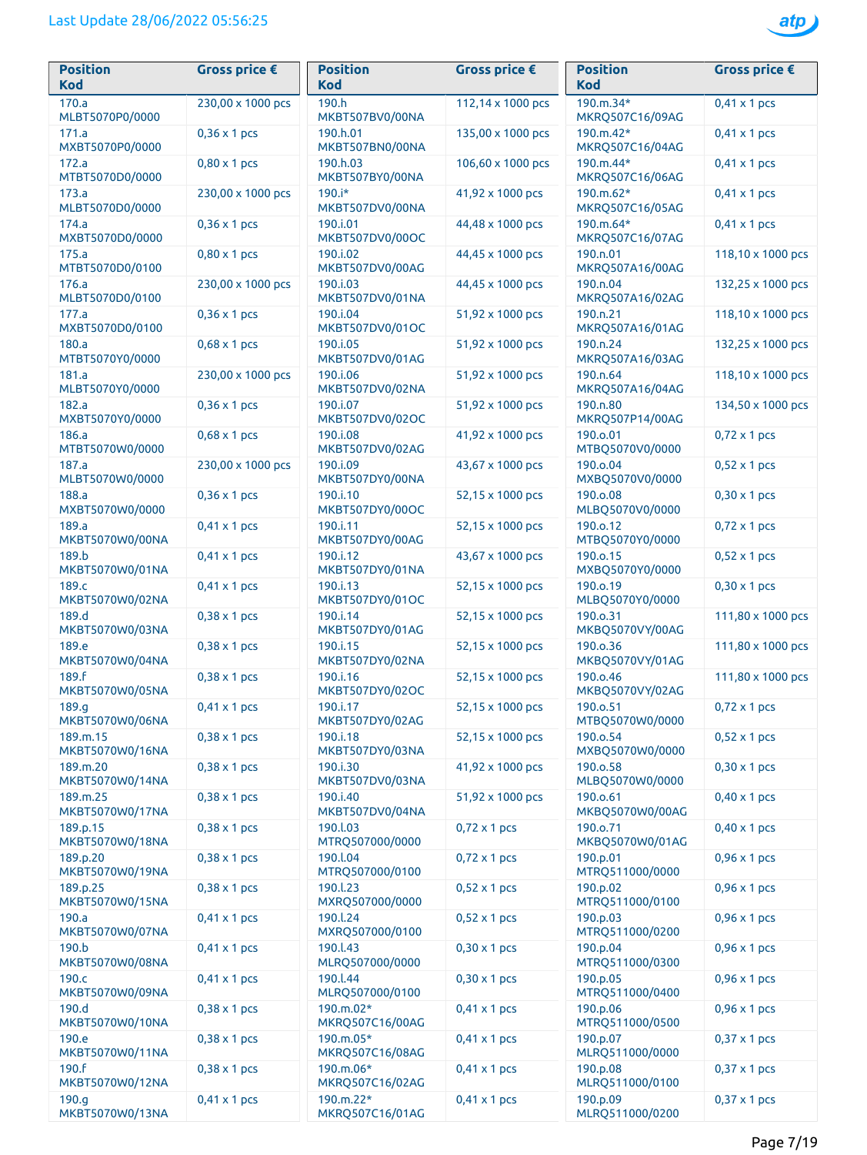

| <b>Position</b><br><b>Kod</b> | Gross price €       | <b>Position</b><br><b>Kod</b>      | Gross price €       | <b>Position</b><br><b>Kod</b>               | Gross price $\epsilon$ |
|-------------------------------|---------------------|------------------------------------|---------------------|---------------------------------------------|------------------------|
| 170.a                         | 230,00 x 1000 pcs   | 190.h                              | 112,14 x 1000 pcs   | 190.m.34*                                   | $0,41 \times 1$ pcs    |
| MLBT5070P0/0000               |                     | MKBT507BV0/00NA<br>190.h.01        |                     | MKRQ507C16/09AG                             |                        |
| 171.a<br>MXBT5070P0/0000      | $0,36 \times 1$ pcs | MKBT507BN0/00NA                    | 135,00 x 1000 pcs   | 190.m.42*<br>MKRQ507C16/04AG                | $0.41 \times 1$ pcs    |
| 172.a<br>MTBT5070D0/0000      | $0,80 \times 1$ pcs | 190.h.03<br>MKBT507BY0/00NA        | 106,60 x 1000 pcs   | 190.m.44*<br>MKRQ507C16/06AG                | $0,41 \times 1$ pcs    |
| 173.a<br>MLBT5070D0/0000      | 230,00 x 1000 pcs   | 190.i*<br>MKBT507DV0/00NA          | 41,92 x 1000 pcs    | $190 \cdot m \cdot 62^*$<br>MKRQ507C16/05AG | $0,41 \times 1$ pcs    |
| 174.a<br>MXBT5070D0/0000      | $0,36 \times 1$ pcs | 190.i.01<br><b>MKBT507DV0/00OC</b> | 44,48 x 1000 pcs    | 190.m.64*<br>MKRQ507C16/07AG                | $0,41 \times 1$ pcs    |
| 175.a<br>MTBT5070D0/0100      | $0,80 \times 1$ pcs | 190.i.02<br>MKBT507DV0/00AG        | 44,45 x 1000 pcs    | 190.n.01<br>MKRQ507A16/00AG                 | 118,10 x 1000 pcs      |
| 176.a<br>MLBT5070D0/0100      | 230,00 x 1000 pcs   | 190.i.03<br>MKBT507DV0/01NA        | 44,45 x 1000 pcs    | 190.n.04<br>MKRQ507A16/02AG                 | 132,25 x 1000 pcs      |
| 177.a<br>MXBT5070D0/0100      | $0,36 \times 1$ pcs | 190.i.04<br>MKBT507DV0/01OC        | 51,92 x 1000 pcs    | 190.n.21<br>MKRQ507A16/01AG                 | 118,10 x 1000 pcs      |
| 180.a<br>MTBT5070Y0/0000      | $0,68 \times 1$ pcs | 190.i.05<br>MKBT507DV0/01AG        | 51,92 x 1000 pcs    | 190.n.24<br>MKRQ507A16/03AG                 | 132,25 x 1000 pcs      |
| 181.a<br>MLBT5070Y0/0000      | 230,00 x 1000 pcs   | 190.i.06<br>MKBT507DV0/02NA        | 51,92 x 1000 pcs    | 190.n.64<br>MKRQ507A16/04AG                 | 118,10 x 1000 pcs      |
| 182.a<br>MXBT5070Y0/0000      | $0,36 \times 1$ pcs | 190.i.07<br>MKBT507DV0/02OC        | 51,92 x 1000 pcs    | 190.n.80<br>MKRQ507P14/00AG                 | 134,50 x 1000 pcs      |
| 186.a<br>MTBT5070W0/0000      | $0,68 \times 1$ pcs | 190.i.08<br>MKBT507DV0/02AG        | 41,92 x 1000 pcs    | 190.o.01<br>MTBQ5070V0/0000                 | $0,72 \times 1$ pcs    |
| 187.a<br>MLBT5070W0/0000      | 230,00 x 1000 pcs   | 190.i.09<br>MKBT507DY0/00NA        | 43,67 x 1000 pcs    | 190.o.04<br>MXBQ5070V0/0000                 | $0,52 \times 1$ pcs    |
| 188.a<br>MXBT5070W0/0000      | $0,36 \times 1$ pcs | 190.i.10<br>MKBT507DY0/00OC        | 52,15 x 1000 pcs    | 190.o.08<br>MLBQ5070V0/0000                 | $0,30 \times 1$ pcs    |
| 189.a<br>MKBT5070W0/00NA      | $0,41 \times 1$ pcs | 190.i.11<br>MKBT507DY0/00AG        | 52,15 x 1000 pcs    | 190.o.12<br>MTBQ5070Y0/0000                 | $0,72 \times 1$ pcs    |
| 189.b<br>MKBT5070W0/01NA      | $0,41 \times 1$ pcs | 190.i.12<br>MKBT507DY0/01NA        | 43,67 x 1000 pcs    | 190.o.15<br>MXBQ5070Y0/0000                 | $0,52 \times 1$ pcs    |
| 189.c<br>MKBT5070W0/02NA      | $0,41 \times 1$ pcs | 190.i.13<br>MKBT507DY0/01OC        | 52,15 x 1000 pcs    | 190.o.19<br>MLBQ5070Y0/0000                 | $0,30 \times 1$ pcs    |
| 189.d<br>MKBT5070W0/03NA      | $0,38 \times 1$ pcs | 190.i.14<br>MKBT507DY0/01AG        | 52,15 x 1000 pcs    | 190.o.31<br>MKBQ5070VY/00AG                 | 111,80 x 1000 pcs      |
| 189.e<br>MKBT5070W0/04NA      | $0,38 \times 1$ pcs | 190.i.15<br>MKBT507DY0/02NA        | 52,15 x 1000 pcs    | 190.o.36<br>MKBQ5070VY/01AG                 | 111,80 x 1000 pcs      |
| 189.F<br>MKBT5070W0/05NA      | $0,38 \times 1$ pcs | 190.i.16<br>MKBT507DY0/02OC        | 52,15 x 1000 pcs    | 190.o.46<br>MKBQ5070VY/02AG                 | 111,80 x 1000 pcs      |
| 189.g<br>MKBT5070W0/06NA      | $0,41 \times 1$ pcs | 190.i.17<br>MKBT507DY0/02AG        | 52,15 x 1000 pcs    | 190.o.51<br>MTBQ5070W0/0000                 | $0,72 \times 1$ pcs    |
| 189.m.15<br>MKBT5070W0/16NA   | $0,38 \times 1$ pcs | 190.i.18<br>MKBT507DY0/03NA        | 52,15 x 1000 pcs    | 190.o.54<br>MXBQ5070W0/0000                 | $0,52 \times 1$ pcs    |
| 189.m.20<br>MKBT5070W0/14NA   | $0,38 \times 1$ pcs | 190.i.30<br>MKBT507DV0/03NA        | 41,92 x 1000 pcs    | 190.o.58<br>MLBQ5070W0/0000                 | $0,30 \times 1$ pcs    |
| 189.m.25<br>MKBT5070W0/17NA   | $0,38 \times 1$ pcs | 190.i.40<br>MKBT507DV0/04NA        | 51,92 x 1000 pcs    | 190.o.61<br>MKBQ5070W0/00AG                 | $0,40 \times 1$ pcs    |
| 189.p.15<br>MKBT5070W0/18NA   | $0,38 \times 1$ pcs | 190.l.03<br>MTRQ507000/0000        | $0,72 \times 1$ pcs | 190.o.71<br>MKBQ5070W0/01AG                 | $0,40 \times 1$ pcs    |
| 189.p.20<br>MKBT5070W0/19NA   | $0,38 \times 1$ pcs | 190.l.04<br>MTRQ507000/0100        | $0,72 \times 1$ pcs | 190.p.01<br>MTRQ511000/0000                 | $0,96 \times 1$ pcs    |
| 189.p.25<br>MKBT5070W0/15NA   | $0,38 \times 1$ pcs | 190.l.23<br>MXRQ507000/0000        | $0,52 \times 1$ pcs | 190.p.02<br>MTRQ511000/0100                 | $0,96 \times 1$ pcs    |
| 190.a<br>MKBT5070W0/07NA      | 0,41 x 1 pcs        | 190.l.24<br>MXRQ507000/0100        | $0,52 \times 1$ pcs | 190.p.03<br>MTRQ511000/0200                 | $0,96 \times 1$ pcs    |
| 190.b<br>MKBT5070W0/08NA      | $0,41 \times 1$ pcs | 190.l.43<br>MLRQ507000/0000        | $0,30 \times 1$ pcs | 190.p.04<br>MTRQ511000/0300                 | $0,96 \times 1$ pcs    |
| 190.c<br>MKBT5070W0/09NA      | $0,41 \times 1$ pcs | 190.l.44<br>MLRQ507000/0100        | $0,30 \times 1$ pcs | 190.p.05<br>MTRQ511000/0400                 | $0,96 \times 1$ pcs    |
| 190.d<br>MKBT5070W0/10NA      | $0,38 \times 1$ pcs | 190.m.02*<br>MKRQ507C16/00AG       | $0,41 \times 1$ pcs | 190.p.06<br>MTRQ511000/0500                 | $0,96 \times 1$ pcs    |
| 190.e<br>MKBT5070W0/11NA      | $0,38 \times 1$ pcs | 190.m.05*<br>MKRQ507C16/08AG       | $0,41 \times 1$ pcs | 190.p.07<br>MLRQ511000/0000                 | $0,37 \times 1$ pcs    |
| 190.f<br>MKBT5070W0/12NA      | $0,38 \times 1$ pcs | 190.m.06*<br>MKRQ507C16/02AG       | $0,41 \times 1$ pcs | 190.p.08<br>MLRQ511000/0100                 | $0,37 \times 1$ pcs    |
| 190.q<br>MKBT5070W0/13NA      | $0,41 \times 1$ pcs | 190.m.22*<br>MKRQ507C16/01AG       | $0,41 \times 1$ pcs | 190.p.09<br>MLRQ511000/0200                 | $0,37 \times 1$ pcs    |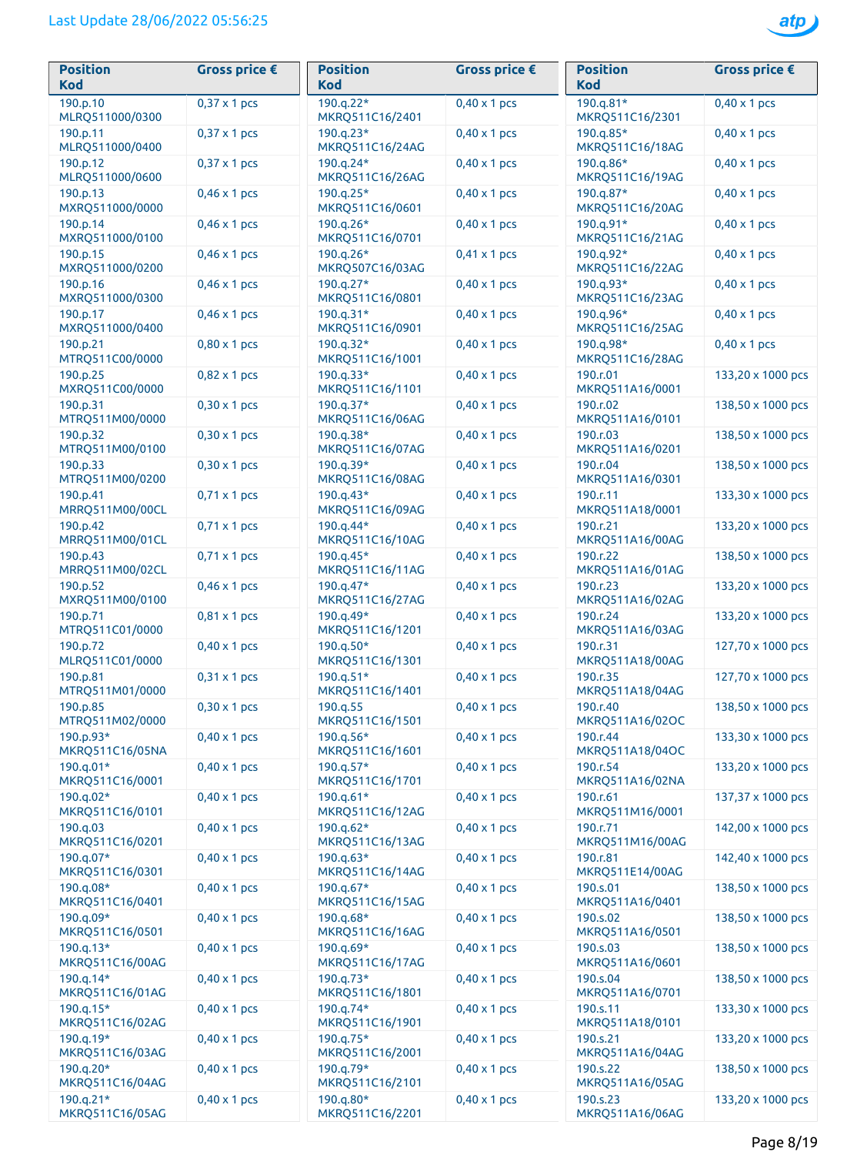

| <b>Position</b><br>Kod       | Gross price $\epsilon$ | <b>Position</b><br>Kod         | Gross price $\epsilon$ | <b>Position</b><br>Kod             | Gross price $\epsilon$ |
|------------------------------|------------------------|--------------------------------|------------------------|------------------------------------|------------------------|
| 190.p.10<br>MLRQ511000/0300  | $0,37 \times 1$ pcs    | 190.q.22*<br>MKRQ511C16/2401   | $0,40 \times 1$ pcs    | 190.q.81*<br>MKRQ511C16/2301       | $0,40 \times 1$ pcs    |
| 190.p.11<br>MLRQ511000/0400  | $0,37 \times 1$ pcs    | 190.q.23*<br>MKRQ511C16/24AG   | $0,40 \times 1$ pcs    | 190.q.85 $*$<br>MKRQ511C16/18AG    | $0,40 \times 1$ pcs    |
| 190.p.12<br>MLRQ511000/0600  | $0,37 \times 1$ pcs    | 190.q.24*<br>MKRQ511C16/26AG   | $0,40 \times 1$ pcs    | 190.q.86*<br>MKRQ511C16/19AG       | $0,40 \times 1$ pcs    |
| 190.p.13<br>MXRQ511000/0000  | $0,46 \times 1$ pcs    | 190.q.25*<br>MKRQ511C16/0601   | $0,40 \times 1$ pcs    | 190.q.87*<br>MKRQ511C16/20AG       | $0,40 \times 1$ pcs    |
| 190.p.14<br>MXRQ511000/0100  | $0,46 \times 1$ pcs    | 190.g.26*<br>MKRQ511C16/0701   | $0,40 \times 1$ pcs    | $190.q.91*$<br>MKRQ511C16/21AG     | $0,40 \times 1$ pcs    |
| 190.p.15<br>MXRQ511000/0200  | $0,46 \times 1$ pcs    | 190.q.26*<br>MKRQ507C16/03AG   | $0,41 \times 1$ pcs    | 190.q.92*<br>MKRQ511C16/22AG       | $0,40 \times 1$ pcs    |
| 190.p.16<br>MXRQ511000/0300  | $0,46 \times 1$ pcs    | 190.q.27*<br>MKRQ511C16/0801   | $0,40 \times 1$ pcs    | 190.q.93*<br>MKRQ511C16/23AG       | $0,40 \times 1$ pcs    |
| 190.p.17<br>MXRQ511000/0400  | $0,46 \times 1$ pcs    | 190.q.31*<br>MKRQ511C16/0901   | $0,40 \times 1$ pcs    | 190.q.96*<br>MKRQ511C16/25AG       | $0,40 \times 1$ pcs    |
| 190.p.21<br>MTRQ511C00/0000  | $0,80 \times 1$ pcs    | 190.q.32*<br>MKRQ511C16/1001   | $0,40 \times 1$ pcs    | 190.q.98*<br>MKRQ511C16/28AG       | $0,40 \times 1$ pcs    |
| 190.p.25<br>MXRQ511C00/0000  | $0,82 \times 1$ pcs    | 190.q.33*<br>MKRQ511C16/1101   | $0,40 \times 1$ pcs    | 190.r.01<br>MKRQ511A16/0001        | 133,20 x 1000 pcs      |
| 190.p.31<br>MTRQ511M00/0000  | $0,30 \times 1$ pcs    | 190.q.37*<br>MKRQ511C16/06AG   | $0,40 \times 1$ pcs    | 190.r.02<br>MKRQ511A16/0101        | 138,50 x 1000 pcs      |
| 190.p.32<br>MTRQ511M00/0100  | $0,30 \times 1$ pcs    | 190.q.38*<br>MKRQ511C16/07AG   | $0,40 \times 1$ pcs    | 190.r.03<br>MKRQ511A16/0201        | 138,50 x 1000 pcs      |
| 190.p.33<br>MTRQ511M00/0200  | $0,30 \times 1$ pcs    | 190.q.39*<br>MKRQ511C16/08AG   | $0,40 \times 1$ pcs    | 190.r.04<br>MKRQ511A16/0301        | 138,50 x 1000 pcs      |
| 190.p.41<br>MRRQ511M00/00CL  | $0,71 \times 1$ pcs    | 190.q.43*<br>MKRQ511C16/09AG   | $0,40 \times 1$ pcs    | 190.r.11<br>MKRQ511A18/0001        | 133,30 x 1000 pcs      |
| 190.p.42<br>MRRQ511M00/01CL  | $0,71 \times 1$ pcs    | 190.q.44*<br>MKRQ511C16/10AG   | $0,40 \times 1$ pcs    | 190.r.21<br>MKRQ511A16/00AG        | 133,20 x 1000 pcs      |
| 190.p.43<br>MRRQ511M00/02CL  | $0,71 \times 1$ pcs    | $190.q.45*$<br>MKRQ511C16/11AG | $0,40 \times 1$ pcs    | 190.r.22<br>MKRQ511A16/01AG        | 138,50 x 1000 pcs      |
| 190.p.52<br>MXRQ511M00/0100  | $0,46 \times 1$ pcs    | 190.q.47*<br>MKRQ511C16/27AG   | $0,40 \times 1$ pcs    | 190.r.23<br>MKRQ511A16/02AG        | 133,20 x 1000 pcs      |
| 190.p.71<br>MTRQ511C01/0000  | $0,81 \times 1$ pcs    | 190.q.49*<br>MKRQ511C16/1201   | $0,40 \times 1$ pcs    | 190.r.24<br>MKRQ511A16/03AG        | 133,20 x 1000 pcs      |
| 190.p.72<br>MLRQ511C01/0000  | $0,40 \times 1$ pcs    | 190.q.50*<br>MKRQ511C16/1301   | $0,40 \times 1$ pcs    | 190.r.31<br>MKRQ511A18/00AG        | 127,70 x 1000 pcs      |
| 190.p.81<br>MTRQ511M01/0000  | $0,31 \times 1$ pcs    | 190.q.51*<br>MKRQ511C16/1401   | $0,40 \times 1$ pcs    | 190.r.35<br>MKRQ511A18/04AG        | 127,70 x 1000 pcs      |
| 190.p.85<br>MTRQ511M02/0000  | $0,30 \times 1$ pcs    | 190.q.55<br>MKRQ511C16/1501    | $0,40 \times 1$ pcs    | 190.r.40<br>MKRQ511A16/02OC        | 138,50 x 1000 pcs      |
| 190.p.93*<br>MKRQ511C16/05NA | $0,40 \times 1$ pcs    | 190.g.56*<br>MKRQ511C16/1601   | $0,40 \times 1$ pcs    | 190.r.44<br><b>MKRQ511A18/04OC</b> | 133,30 x 1000 pcs      |
| 190.q.01*<br>MKRQ511C16/0001 | $0,40 \times 1$ pcs    | 190.q.57*<br>MKRQ511C16/1701   | $0,40 \times 1$ pcs    | 190.r.54<br>MKRQ511A16/02NA        | 133,20 x 1000 pcs      |
| 190.q.02*<br>MKRQ511C16/0101 | $0,40 \times 1$ pcs    | 190.q.61*<br>MKRQ511C16/12AG   | $0,40 \times 1$ pcs    | 190.r.61<br>MKRQ511M16/0001        | 137,37 x 1000 pcs      |
| 190.q.03<br>MKRQ511C16/0201  | $0,40 \times 1$ pcs    | 190.q.62*<br>MKRQ511C16/13AG   | $0,40 \times 1$ pcs    | 190.r.71<br>MKRQ511M16/00AG        | 142,00 x 1000 pcs      |
| 190.q.07*<br>MKRQ511C16/0301 | $0,40 \times 1$ pcs    | 190.q.63*<br>MKRQ511C16/14AG   | $0,40 \times 1$ pcs    | 190.r.81<br>MKRQ511E14/00AG        | 142,40 x 1000 pcs      |
| 190.q.08*<br>MKRQ511C16/0401 | $0,40 \times 1$ pcs    | 190.q.67*<br>MKRQ511C16/15AG   | $0,40 \times 1$ pcs    | 190.s.01<br>MKRQ511A16/0401        | 138,50 x 1000 pcs      |
| 190.q.09*<br>MKRQ511C16/0501 | $0,40 \times 1$ pcs    | 190.q.68*<br>MKRQ511C16/16AG   | $0,40 \times 1$ pcs    | 190.s.02<br>MKRQ511A16/0501        | 138,50 x 1000 pcs      |
| 190.q.13*<br>MKRQ511C16/00AG | $0,40 \times 1$ pcs    | 190.q.69*<br>MKRQ511C16/17AG   | $0,40 \times 1$ pcs    | 190.s.03<br>MKRQ511A16/0601        | 138,50 x 1000 pcs      |
| 190.g.14*<br>MKRQ511C16/01AG | $0,40 \times 1$ pcs    | 190.g.73*<br>MKRQ511C16/1801   | $0,40 \times 1$ pcs    | 190.s.04<br>MKRQ511A16/0701        | 138,50 x 1000 pcs      |
| 190.q.15*<br>MKRQ511C16/02AG | $0,40 \times 1$ pcs    | 190.q.74*<br>MKRQ511C16/1901   | $0,40 \times 1$ pcs    | 190.s.11<br>MKRQ511A18/0101        | 133,30 x 1000 pcs      |
| 190.q.19*<br>MKRQ511C16/03AG | $0,40 \times 1$ pcs    | 190.q.75*<br>MKRQ511C16/2001   | $0,40 \times 1$ pcs    | 190.s.21<br>MKRQ511A16/04AG        | 133,20 x 1000 pcs      |
| 190.q.20*<br>MKRQ511C16/04AG | $0,40 \times 1$ pcs    | 190.q.79*<br>MKRQ511C16/2101   | $0,40 \times 1$ pcs    | 190.s.22<br>MKRQ511A16/05AG        | 138,50 x 1000 pcs      |
| 190.q.21*<br>MKRQ511C16/05AG | $0,40 \times 1$ pcs    | 190.q.80*<br>MKRQ511C16/2201   | $0,40 \times 1$ pcs    | 190.s.23<br>MKRQ511A16/06AG        | 133,20 x 1000 pcs      |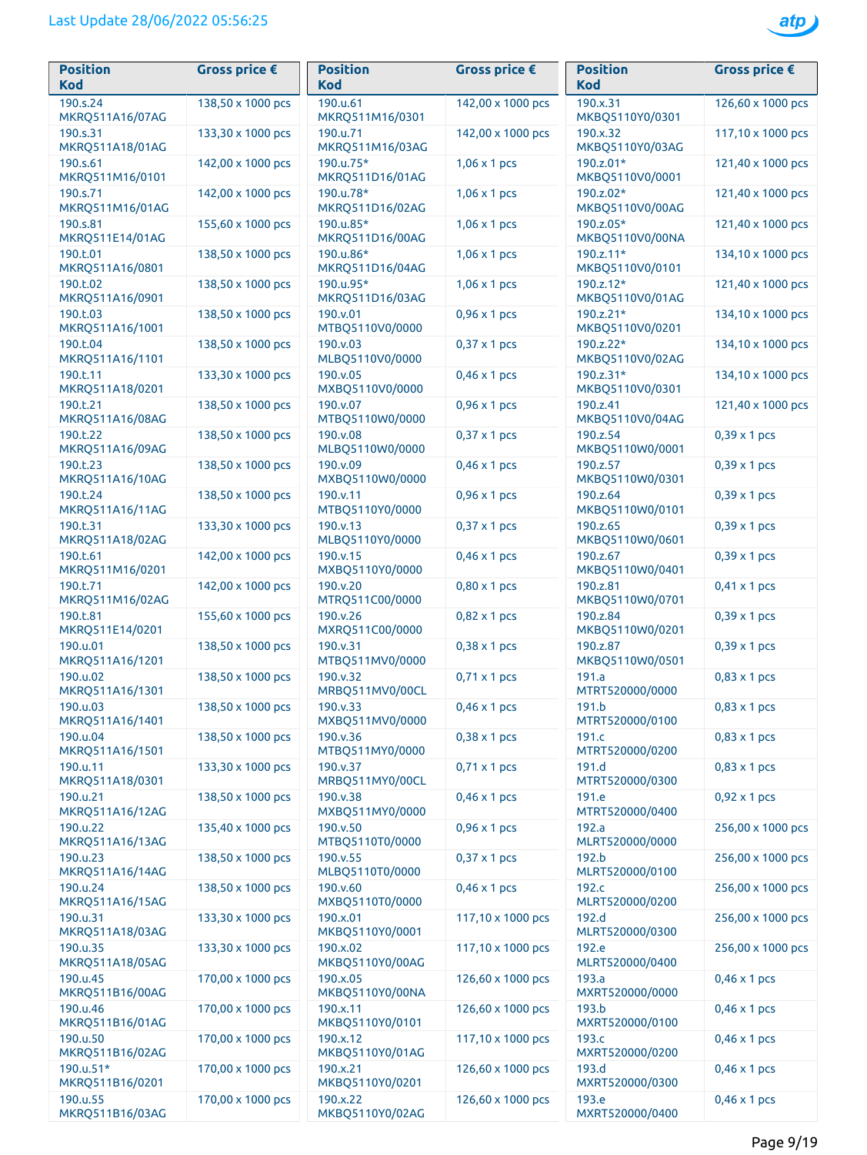

| <b>Position</b><br><b>Kod</b> | Gross price $\epsilon$ | <b>Position</b><br><b>Kod</b> | Gross price €       | <b>Position</b><br><b>Kod</b>       | Gross price €       |
|-------------------------------|------------------------|-------------------------------|---------------------|-------------------------------------|---------------------|
| 190.s.24                      | 138,50 x 1000 pcs      | 190.u.61                      | 142,00 x 1000 pcs   | 190.x.31                            | 126,60 x 1000 pcs   |
| MKRQ511A16/07AG<br>190.s.31   | 133,30 x 1000 pcs      | MKRQ511M16/0301<br>190.u.71   | 142,00 x 1000 pcs   | MKBQ5110Y0/0301<br>190.x.32         | 117,10 x 1000 pcs   |
| MKRQ511A18/01AG               |                        | MKRQ511M16/03AG               |                     | MKBQ5110Y0/03AG                     |                     |
| 190.s.61<br>MKRQ511M16/0101   | 142,00 x 1000 pcs      | 190.u.75*<br>MKRQ511D16/01AG  | $1,06 \times 1$ pcs | 190.z.01*<br>MKBQ5110V0/0001        | 121,40 x 1000 pcs   |
| 190.s.71<br>MKRQ511M16/01AG   | 142,00 x 1000 pcs      | 190.u.78*<br>MKRQ511D16/02AG  | $1,06 \times 1$ pcs | 190.z.02*<br>MKBQ5110V0/00AG        | 121,40 x 1000 pcs   |
| 190.s.81<br>MKRQ511E14/01AG   | 155,60 x 1000 pcs      | 190.u.85*<br>MKRQ511D16/00AG  | $1,06 \times 1$ pcs | 190.z.05*<br><b>MKBQ5110V0/00NA</b> | 121,40 x 1000 pcs   |
| 190.t.01<br>MKRQ511A16/0801   | 138,50 x 1000 pcs      | 190.u.86*<br>MKRQ511D16/04AG  | $1,06 \times 1$ pcs | 190.z.11*<br>MKBQ5110V0/0101        | 134,10 x 1000 pcs   |
| 190.t.02<br>MKRQ511A16/0901   | 138,50 x 1000 pcs      | 190.u.95*<br>MKRQ511D16/03AG  | $1,06 \times 1$ pcs | 190.z.12*<br>MKBQ5110V0/01AG        | 121,40 x 1000 pcs   |
| 190.t.03<br>MKRQ511A16/1001   | 138,50 x 1000 pcs      | 190.v.01<br>MTBQ5110V0/0000   | $0,96 \times 1$ pcs | 190.z.21*<br>MKBQ5110V0/0201        | 134,10 x 1000 pcs   |
| 190.t.04<br>MKRQ511A16/1101   | 138,50 x 1000 pcs      | 190.v.03<br>MLBQ5110V0/0000   | $0,37 \times 1$ pcs | 190.z.22*<br>MKBQ5110V0/02AG        | 134,10 x 1000 pcs   |
| 190.t.11<br>MKRQ511A18/0201   | 133,30 x 1000 pcs      | 190.v.05<br>MXBQ5110V0/0000   | $0,46 \times 1$ pcs | 190.z.31*<br>MKBQ5110V0/0301        | 134,10 x 1000 pcs   |
| 190.t.21<br>MKRQ511A16/08AG   | 138,50 x 1000 pcs      | 190.v.07<br>MTBQ5110W0/0000   | $0,96 \times 1$ pcs | 190.z.41<br>MKBQ5110V0/04AG         | 121,40 x 1000 pcs   |
| 190.t.22<br>MKRQ511A16/09AG   | 138,50 x 1000 pcs      | 190.v.08<br>MLBQ5110W0/0000   | $0,37 \times 1$ pcs | 190.z.54<br>MKBQ5110W0/0001         | $0,39 \times 1$ pcs |
| 190.t.23<br>MKRQ511A16/10AG   | 138,50 x 1000 pcs      | 190.v.09<br>MXBQ5110W0/0000   | $0,46 \times 1$ pcs | 190.z.57<br>MKBQ5110W0/0301         | $0,39 \times 1$ pcs |
| 190.t.24<br>MKRQ511A16/11AG   | 138,50 x 1000 pcs      | 190.v.11<br>MTBQ5110Y0/0000   | $0,96 \times 1$ pcs | 190.z.64<br>MKBQ5110W0/0101         | $0,39 \times 1$ pcs |
| 190.t.31<br>MKRQ511A18/02AG   | 133,30 x 1000 pcs      | 190.v.13<br>MLBQ5110Y0/0000   | $0,37 \times 1$ pcs | 190.z.65<br>MKBQ5110W0/0601         | $0,39 \times 1$ pcs |
| 190.t.61<br>MKRQ511M16/0201   | 142,00 x 1000 pcs      | 190.v.15<br>MXBQ5110Y0/0000   | $0,46 \times 1$ pcs | 190.z.67<br>MKBQ5110W0/0401         | $0,39 \times 1$ pcs |
| 190.t.71<br>MKRQ511M16/02AG   | 142,00 x 1000 pcs      | 190.v.20<br>MTRQ511C00/0000   | $0,80 \times 1$ pcs | 190.z.81<br>MKBQ5110W0/0701         | $0,41 \times 1$ pcs |
| 190.t.81<br>MKRQ511E14/0201   | 155,60 x 1000 pcs      | 190.v.26<br>MXRQ511C00/0000   | $0,82 \times 1$ pcs | 190.z.84<br>MKBQ5110W0/0201         | $0,39 \times 1$ pcs |
| 190.u.01<br>MKRQ511A16/1201   | 138,50 x 1000 pcs      | 190.v.31<br>MTBQ511MV0/0000   | $0,38 \times 1$ pcs | 190.z.87<br>MKBQ5110W0/0501         | $0,39 \times 1$ pcs |
| 190.u.02<br>MKRQ511A16/1301   | 138,50 x 1000 pcs      | 190.v.32<br>MRBQ511MV0/00CL   | $0,71 \times 1$ pcs | 191.a<br>MTRT520000/0000            | $0,83 \times 1$ pcs |
| 190.u.03<br>MKRQ511A16/1401   | 138,50 x 1000 pcs      | 190.v.33<br>MXBQ511MV0/0000   | $0,46 \times 1$ pcs | 191.b<br>MTRT520000/0100            | $0,83 \times 1$ pcs |
| 190.u.04<br>MKRQ511A16/1501   | 138,50 x 1000 pcs      | 190.v.36<br>MTBQ511MY0/0000   | $0,38 \times 1$ pcs | 191.c<br>MTRT520000/0200            | $0,83 \times 1$ pcs |
| 190.u.11<br>MKRQ511A18/0301   | 133,30 x 1000 pcs      | 190.v.37<br>MRBQ511MY0/00CL   | 0,71 x 1 pcs        | 191.d<br>MTRT520000/0300            | $0,83 \times 1$ pcs |
| 190.u.21<br>MKRQ511A16/12AG   | 138,50 x 1000 pcs      | 190.v.38<br>MXBQ511MY0/0000   | $0,46 \times 1$ pcs | 191.e<br>MTRT520000/0400            | $0,92 \times 1$ pcs |
| 190.u.22<br>MKRQ511A16/13AG   | 135,40 x 1000 pcs      | 190.v.50<br>MTBQ5110T0/0000   | $0,96 \times 1$ pcs | 192.a<br>MLRT520000/0000            | 256,00 x 1000 pcs   |
| 190.u.23<br>MKRQ511A16/14AG   | 138,50 x 1000 pcs      | 190.v.55<br>MLBQ5110T0/0000   | $0,37 \times 1$ pcs | 192.b<br>MLRT520000/0100            | 256,00 x 1000 pcs   |
| 190.u.24<br>MKRQ511A16/15AG   | 138,50 x 1000 pcs      | 190.v.60<br>MXBQ5110T0/0000   | $0,46 \times 1$ pcs | 192.c<br>MLRT520000/0200            | 256,00 x 1000 pcs   |
| 190.u.31<br>MKRQ511A18/03AG   | 133,30 x 1000 pcs      | 190.x.01<br>MKBQ5110Y0/0001   | 117,10 x 1000 pcs   | 192.d<br>MLRT520000/0300            | 256,00 x 1000 pcs   |
| 190.u.35<br>MKRQ511A18/05AG   | 133,30 x 1000 pcs      | 190.x.02<br>MKBQ5110Y0/00AG   | 117,10 x 1000 pcs   | 192.e<br>MLRT520000/0400            | 256,00 x 1000 pcs   |
| 190.u.45<br>MKRQ511B16/00AG   | 170,00 x 1000 pcs      | 190.x.05<br>MKBQ5110Y0/00NA   | 126,60 x 1000 pcs   | 193.a<br>MXRT520000/0000            | $0,46 \times 1$ pcs |
| 190.u.46<br>MKRQ511B16/01AG   | 170,00 x 1000 pcs      | 190.x.11<br>MKBQ5110Y0/0101   | 126,60 x 1000 pcs   | 193.b<br>MXRT520000/0100            | $0,46 \times 1$ pcs |
| 190.u.50<br>MKRQ511B16/02AG   | 170,00 x 1000 pcs      | 190.x.12<br>MKBQ5110Y0/01AG   | 117,10 x 1000 pcs   | 193.c<br>MXRT520000/0200            | $0,46 \times 1$ pcs |
| 190.u.51*<br>MKRQ511B16/0201  | 170,00 x 1000 pcs      | 190.x.21<br>MKBQ5110Y0/0201   | 126,60 x 1000 pcs   | 193.d<br>MXRT520000/0300            | $0,46 \times 1$ pcs |
| 190.u.55<br>MKRQ511B16/03AG   | 170,00 x 1000 pcs      | 190.x.22<br>MKBQ5110Y0/02AG   | 126,60 x 1000 pcs   | 193.e<br>MXRT520000/0400            | $0,46 \times 1$ pcs |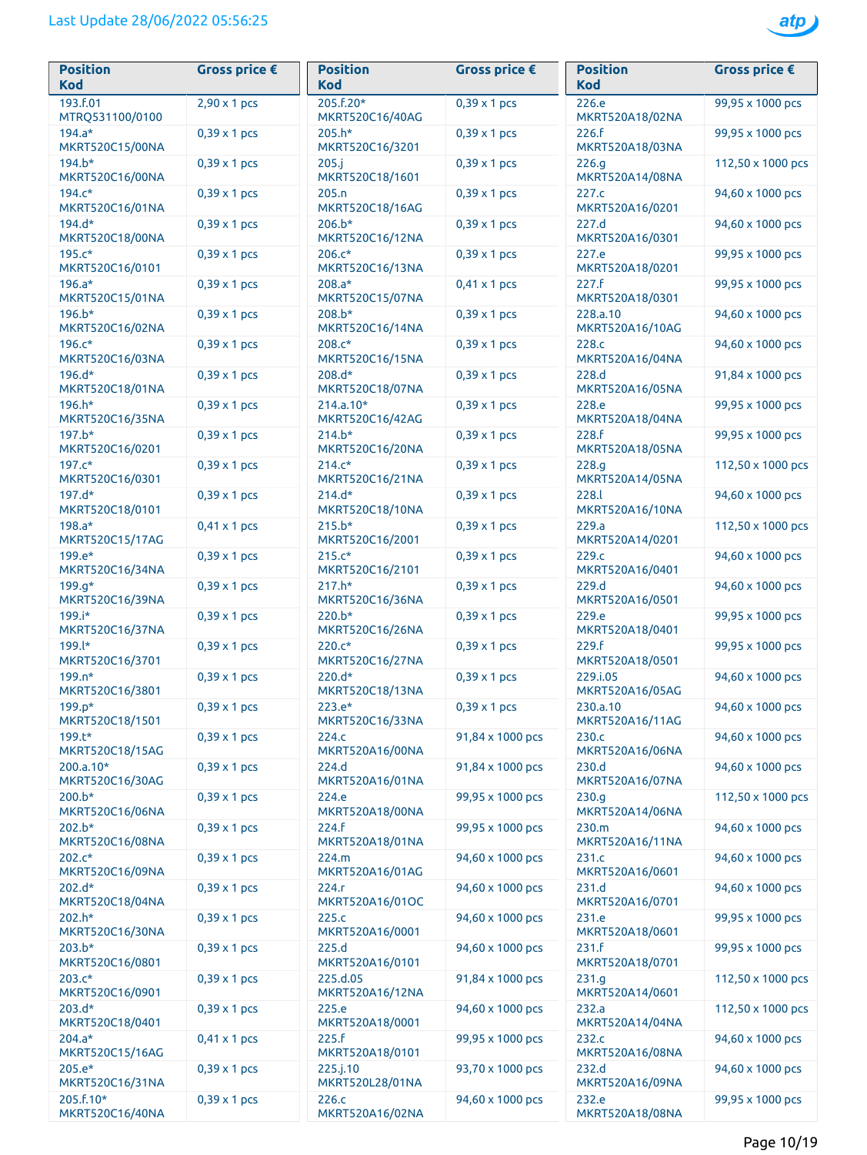

| <b>Position</b><br><b>Kod</b>  | Gross price €       | <b>Position</b><br><b>Kod</b>        | Gross price €       | <b>Position</b><br><b>Kod</b>   | Gross price $\epsilon$ |
|--------------------------------|---------------------|--------------------------------------|---------------------|---------------------------------|------------------------|
| 193.F.01<br>MTRQ531100/0100    | $2,90 \times 1$ pcs | 205.f.20*<br>MKRT520C16/40AG         | $0,39 \times 1$ pcs | 226.e<br>MKRT520A18/02NA        | 99,95 x 1000 pcs       |
| $194.a*$<br>MKRT520C15/00NA    | 0,39 x 1 pcs        | $205.h*$<br>MKRT520C16/3201          | $0,39 \times 1$ pcs | 226.F<br>MKRT520A18/03NA        | 99,95 x 1000 pcs       |
| 194.b*<br>MKRT520C16/00NA      | $0,39 \times 1$ pcs | $205.$ j<br>MKRT520C18/1601          | $0,39 \times 1$ pcs | 226.q<br>MKRT520A14/08NA        | 112,50 x 1000 pcs      |
| 194.c*<br>MKRT520C16/01NA      | $0,39 \times 1$ pcs | 205.n<br>MKRT520C18/16AG             | $0,39 \times 1$ pcs | 227.c<br>MKRT520A16/0201        | 94,60 x 1000 pcs       |
| 194.d*<br>MKRT520C18/00NA      | $0,39 \times 1$ pcs | $206.b*$<br>MKRT520C16/12NA          | $0,39 \times 1$ pcs | 227.d<br>MKRT520A16/0301        | 94,60 x 1000 pcs       |
| 195.c*<br>MKRT520C16/0101      | $0,39 \times 1$ pcs | $206.c*$<br>MKRT520C16/13NA          | $0,39 \times 1$ pcs | 227.e<br>MKRT520A18/0201        | 99,95 x 1000 pcs       |
| $196.a*$<br>MKRT520C15/01NA    | $0,39 \times 1$ pcs | $208.a*$<br>MKRT520C15/07NA          | $0,41 \times 1$ pcs | 227.F<br>MKRT520A18/0301        | 99,95 x 1000 pcs       |
| 196.b*<br>MKRT520C16/02NA      | $0,39 \times 1$ pcs | 208.b*<br>MKRT520C16/14NA            | $0,39 \times 1$ pcs | 228.a.10<br>MKRT520A16/10AG     | 94,60 x 1000 pcs       |
| 196.c*<br>MKRT520C16/03NA      | $0,39 \times 1$ pcs | 208.c*<br>MKRT520C16/15NA            | $0,39 \times 1$ pcs | 228.c<br>MKRT520A16/04NA        | 94,60 x 1000 pcs       |
| 196.d*<br>MKRT520C18/01NA      | $0,39 \times 1$ pcs | $208.d*$<br>MKRT520C18/07NA          | $0,39 \times 1$ pcs | 228.d<br>MKRT520A16/05NA        | 91,84 x 1000 pcs       |
| $196.h*$<br>MKRT520C16/35NA    | 0,39 x 1 pcs        | $214.a.10*$<br>MKRT520C16/42AG       | $0,39 \times 1$ pcs | 228.e<br>MKRT520A18/04NA        | 99,95 x 1000 pcs       |
| 197.b*<br>MKRT520C16/0201      | $0,39 \times 1$ pcs | $214.b*$<br>MKRT520C16/20NA          | $0,39 \times 1$ pcs | 228.F<br>MKRT520A18/05NA        | 99,95 x 1000 pcs       |
| 197.c*<br>MKRT520C16/0301      | $0,39 \times 1$ pcs | $214.c*$<br>MKRT520C16/21NA          | $0,39 \times 1$ pcs | 228.9<br>MKRT520A14/05NA        | 112,50 x 1000 pcs      |
| 197.d*<br>MKRT520C18/0101      | $0,39 \times 1$ pcs | $214.d*$<br><b>MKRT520C18/10NA</b>   | $0,39 \times 1$ pcs | 228.l<br>MKRT520A16/10NA        | 94,60 x 1000 pcs       |
| $198.a*$<br>MKRT520C15/17AG    | $0,41 \times 1$ pcs | $215.b*$<br>MKRT520C16/2001          | $0,39 \times 1$ pcs | 229.a<br>MKRT520A14/0201        | 112,50 x 1000 pcs      |
| 199.e*<br>MKRT520C16/34NA      | $0,39 \times 1$ pcs | $215.c*$<br>MKRT520C16/2101          | $0,39 \times 1$ pcs | 229.c<br>MKRT520A16/0401        | 94,60 x 1000 pcs       |
| $199.9*$<br>MKRT520C16/39NA    | $0,39 \times 1$ pcs | $217.h*$<br>MKRT520C16/36NA          | $0,39 \times 1$ pcs | 229.d<br>MKRT520A16/0501        | 94,60 x 1000 pcs       |
| 199.i*<br>MKRT520C16/37NA      | $0,39 \times 1$ pcs | 220.b*<br>MKRT520C16/26NA            | $0,39 \times 1$ pcs | 229.e<br>MKRT520A18/0401        | 99,95 x 1000 pcs       |
| 199.1*<br>MKRT520C16/3701      | $0,39 \times 1$ pcs | 220.c*<br>MKRT520C16/27NA            | $0,39 \times 1$ pcs | 229.F<br>MKRT520A18/0501        | 99,95 x 1000 pcs       |
| 199.n*<br>MKRT520C16/3801      | 0,39 x 1 pcs        | $220. d*$<br>MKRT520C18/13NA         | 0,39 x 1 pcs        | 229.i.05<br>MKRT520A16/05AG     | 94,60 x 1000 pcs       |
| 199.p*<br>MKRT520C18/1501      | $0,39 \times 1$ pcs | 223.e*<br>MKRT520C16/33NA            | $0,39 \times 1$ pcs | 230.a.10<br>MKRT520A16/11AG     | 94,60 x 1000 pcs       |
| 199.t*<br>MKRT520C18/15AG      | $0,39 \times 1$ pcs | 224.c<br>MKRT520A16/00NA             | 91,84 x 1000 pcs    | 230.c<br>MKRT520A16/06NA        | 94,60 x 1000 pcs       |
| $200.a.10*$<br>MKRT520C16/30AG | $0,39 \times 1$ pcs | 224.d<br>MKRT520A16/01NA             | 91,84 x 1000 pcs    | 230.d<br>MKRT520A16/07NA        | 94,60 x 1000 pcs       |
| 200.b*<br>MKRT520C16/06NA      | $0,39 \times 1$ pcs | 224.e<br><b>MKRT520A18/00NA</b>      | 99,95 x 1000 pcs    | 230.q<br>MKRT520A14/06NA        | 112,50 x 1000 pcs      |
| 202.b*<br>MKRT520C16/08NA      | $0,39 \times 1$ pcs | 224.f<br>MKRT520A18/01NA             | 99,95 x 1000 pcs    | 230.m<br>MKRT520A16/11NA        | 94,60 x 1000 pcs       |
| $202.c*$<br>MKRT520C16/09NA    | $0,39 \times 1$ pcs | 224.m<br>MKRT520A16/01AG             | 94,60 x 1000 pcs    | 231.c<br>MKRT520A16/0601        | 94,60 x 1000 pcs       |
| $202.d*$<br>MKRT520C18/04NA    | $0,39 \times 1$ pcs | 224. <sub>r</sub><br>MKRT520A16/01OC | 94,60 x 1000 pcs    | 231.d<br>MKRT520A16/0701        | 94,60 x 1000 pcs       |
| 202.h*<br>MKRT520C16/30NA      | $0,39 \times 1$ pcs | 225.c<br>MKRT520A16/0001             | 94,60 x 1000 pcs    | 231.e<br>MKRT520A18/0601        | 99,95 x 1000 pcs       |
| $203.b*$<br>MKRT520C16/0801    | $0,39 \times 1$ pcs | 225.d<br>MKRT520A16/0101             | 94,60 x 1000 pcs    | 231.f<br>MKRT520A18/0701        | 99,95 x 1000 pcs       |
| $203.c*$<br>MKRT520C16/0901    | $0,39 \times 1$ pcs | 225.d.05<br>MKRT520A16/12NA          | 91,84 x 1000 pcs    | 231.9<br>MKRT520A14/0601        | 112,50 x 1000 pcs      |
| $203.d*$<br>MKRT520C18/0401    | $0,39 \times 1$ pcs | 225.e<br>MKRT520A18/0001             | 94,60 x 1000 pcs    | 232.a<br>MKRT520A14/04NA        | 112,50 x 1000 pcs      |
| $204.a*$<br>MKRT520C15/16AG    | $0,41 \times 1$ pcs | 225.f<br>MKRT520A18/0101             | 99,95 x 1000 pcs    | 232.c<br>MKRT520A16/08NA        | 94,60 x 1000 pcs       |
| 205.e*<br>MKRT520C16/31NA      | $0,39 \times 1$ pcs | 225.j.10<br>MKRT520L28/01NA          | 93,70 x 1000 pcs    | 232.d<br>MKRT520A16/09NA        | 94,60 x 1000 pcs       |
| 205.f.10*<br>MKRT520C16/40NA   | $0,39 \times 1$ pcs | 226.c<br>MKRT520A16/02NA             | 94,60 x 1000 pcs    | 232.e<br><b>MKRT520A18/08NA</b> | 99,95 x 1000 pcs       |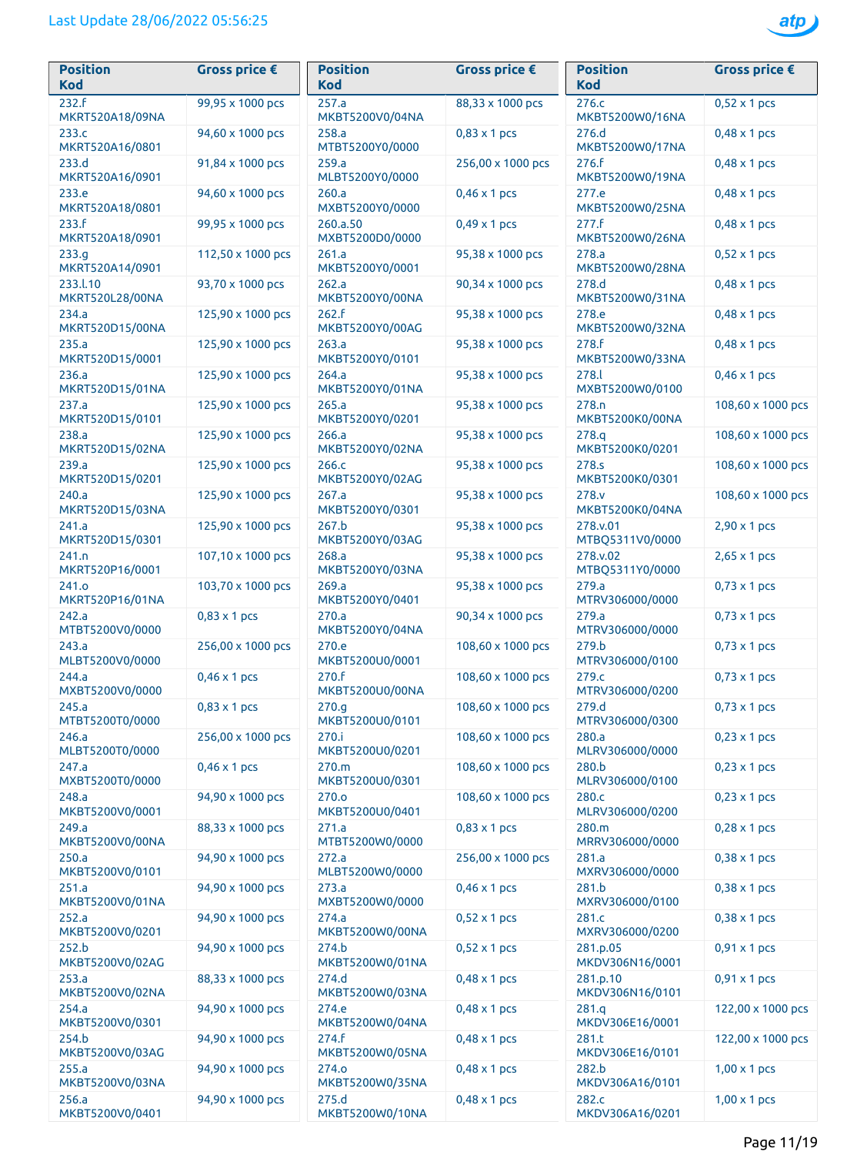| <b>Position</b>                    | Gross price €       | <b>Position</b>              |
|------------------------------------|---------------------|------------------------------|
| <b>Kod</b>                         |                     | <b>Kod</b>                   |
| 232.f<br>MKRT520A18/09NA           | 99,95 x 1000 pcs    | 257.a<br><b>MKBT5200</b>     |
| 233.c<br>MKRT520A16/0801           | 94,60 x 1000 pcs    | 258.a<br><b>MTBT5200Y</b>    |
| 233.d<br>MKRT520A16/0901           | 91,84 x 1000 pcs    | 259.a<br><b>MLBT5200\</b>    |
| 233.e<br>MKRT520A18/0801           | 94,60 x 1000 pcs    | 260.a<br><b>MXBT5200</b>     |
| 233.f<br>MKRT520A18/0901           | 99,95 x 1000 pcs    | 260.a.50<br><b>MXBT5200I</b> |
| 233.q<br>MKRT520A14/0901           | 112,50 x 1000 pcs   | 261.a<br><b>MKBT5200</b>     |
| 233.l.10<br><b>MKRT520L28/00NA</b> | 93,70 x 1000 pcs    | 262.a<br><b>MKBT5200</b>     |
| 234.a<br>MKRT520D15/00NA           | 125,90 x 1000 pcs   | 262.F<br><b>MKBT5200</b>     |
| 235.a<br>MKRT520D15/0001           | 125,90 x 1000 pcs   | 263.a<br><b>MKBT5200</b>     |
| 236.a<br>MKRT520D15/01NA           | 125,90 x 1000 pcs   | 264.a<br><b>MKBT5200</b>     |
| 237.a<br>MKRT520D15/0101           | 125,90 x 1000 pcs   | 265.a<br><b>MKBT5200</b>     |
| 238.a<br>MKRT520D15/02NA           | 125,90 x 1000 pcs   | 266.a<br><b>MKBT5200</b>     |
| 239.a<br>MKRT520D15/0201           | 125,90 x 1000 pcs   | 266.c<br><b>MKBT5200</b>     |
| 240.a<br>MKRT520D15/03NA           | 125,90 x 1000 pcs   | 267.a<br><b>MKBT5200</b>     |
| 241.a<br>MKRT520D15/0301           | 125,90 x 1000 pcs   | 267.b<br><b>MKBT5200</b>     |
| 241.n<br>MKRT520P16/0001           | 107,10 x 1000 pcs   | 268.a<br><b>MKBT5200</b>     |
| 241.o<br>MKRT520P16/01NA           | 103,70 x 1000 pcs   | 269.a<br><b>MKBT5200</b>     |
| 242.a<br>MTBT5200V0/0000           | $0,83 \times 1$ pcs | 270.a<br><b>MKBT5200</b>     |
| 243.a<br>MLBT5200V0/0000           | 256,00 x 1000 pcs   | 270.e<br><b>MKBT52001</b>    |
| 244.a<br>MXBT5200V0/0000           | $0,46 \times 1$ pcs | 270.f<br><b>MKBT52001</b>    |
| 245.a<br>MTBT5200T0/0000           | 0,83 x 1 pcs        | 270.q<br><b>MKBT52001</b>    |
| 246.a<br>MLBT5200T0/0000           | 256,00 x 1000 pcs   | 270.i<br><b>MKBT52001</b>    |
| 247.a<br>MXBT5200T0/0000           | $0,46 \times 1$ pcs | 270. m<br><b>MKBT52001</b>   |
| 248.a<br>MKBT5200V0/0001           | 94,90 x 1000 pcs    | 270.o<br><b>MKBT52001</b>    |
| 249.a<br>MKBT5200V0/00NA           | 88,33 x 1000 pcs    | 271.a<br><b>MTBT5200\</b>    |
| 250.a<br>MKBT5200V0/0101           | 94,90 x 1000 pcs    | 272.a<br><b>MLBT5200\</b>    |
| 251.a<br>MKBT5200V0/01NA           | 94,90 x 1000 pcs    | 273.a<br><b>MXBT5200\</b>    |
| 252.a<br>MKBT5200V0/0201           | 94,90 x 1000 pcs    | 274.a<br><b>MKBT5200\</b>    |
| 252.b<br>MKBT5200V0/02AG           | 94,90 x 1000 pcs    | 274.b<br><b>MKBT5200\</b>    |
| 253.a<br>MKBT5200V0/02NA           | 88,33 x 1000 pcs    | 274.d<br><b>MKBT5200</b>     |
| 254.a<br>MKBT5200V0/0301           | 94,90 x 1000 pcs    | 274.e<br><b>MKBT5200</b>     |
| 254.b<br>MKBT5200V0/03AG           | 94,90 x 1000 pcs    | 274.F<br><b>MKBT5200\</b>    |
| 255.a<br>MKBT5200V0/03NA           | 94,90 x 1000 pcs    | 274.o<br><b>MKBT5200\</b>    |
| 256.a<br>MKBT5200V0/0401           | 94,90 x 1000 pcs    | 275.d<br><b>MKBT5200</b>     |
|                                    |                     |                              |

| Position<br>Kod             | Gross price €       |  |
|-----------------------------|---------------------|--|
| 257.a                       | 88,33 x 1000 pcs    |  |
| MKBT5200V0/04NA<br>258.a    | $0,83 \times 1$ pcs |  |
| MTBT5200Y0/0000             |                     |  |
| 259.a<br>MLBT5200Y0/0000    | 256,00 x 1000 pcs   |  |
| 260.a<br>MXBT5200Y0/0000    | $0,46 \times 1$ pcs |  |
| 260.a.50<br>MXBT5200D0/0000 | $0,49 \times 1$ pcs |  |
| 261.a<br>MKBT5200Y0/0001    | 95,38 x 1000 pcs    |  |
| 262.a<br>MKBT5200Y0/00NA    | 90,34 x 1000 pcs    |  |
| 262.f<br>MKBT5200Y0/00AG    | 95,38 x 1000 pcs    |  |
| 263.a<br>MKBT5200Y0/0101    | 95,38 x 1000 pcs    |  |
| 264.a<br>MKBT5200Y0/01NA    | 95,38 x 1000 pcs    |  |
| 265.a<br>MKBT5200Y0/0201    | 95,38 x 1000 pcs    |  |
| 266.a<br>MKBT5200Y0/02NA    | 95,38 x 1000 pcs    |  |
| 266.c<br>MKBT5200Y0/02AG    | 95,38 x 1000 pcs    |  |
| 267.a<br>MKBT5200Y0/0301    | 95,38 x 1000 pcs    |  |
| 267.b<br>MKBT5200Y0/03AG    | 95,38 x 1000 pcs    |  |
| 268.a<br>MKBT5200Y0/03NA    | 95,38 x 1000 pcs    |  |
| 269.a<br>MKBT5200Y0/0401    | 95,38 x 1000 pcs    |  |
| 270.a<br>MKBT5200Y0/04NA    | 90,34 x 1000 pcs    |  |
| 270.e<br>MKBT5200U0/0001    | 108,60 x 1000 pcs   |  |
| 270.f<br>MKBT5200U0/00NA    | 108,60 x 1000 pcs   |  |
| 270.9<br>MKBT5200U0/0101    | 108,60 x 1000 pcs   |  |
| 270.i<br>MKBT5200U0/0201    | 108,60 x 1000 pcs   |  |
| 270. m<br>MKBT5200U0/0301   | 108,60 x 1000 pcs   |  |
| 270.o<br>MKBT5200U0/0401    | 108,60 x 1000 pcs   |  |
| 271.a<br>MTBT5200W0/0000    | $0,83 \times 1$ pcs |  |
| 272.a<br>MLBT5200W0/0000    | 256,00 x 1000 pcs   |  |
| 273.a<br>MXBT5200W0/0000    | $0,46 \times 1$ pcs |  |
| 274.a<br>MKBT5200W0/00NA    | $0,52 \times 1$ pcs |  |
| 274.b<br>MKBT5200W0/01NA    | 0,52 x 1 pcs        |  |
| 274.d<br>MKBT5200W0/03NA    | $0,48 \times 1$ pcs |  |
| 274.e<br>MKBT5200W0/04NA    | $0,48 \times 1$ pcs |  |
| 274.f<br>MKBT5200W0/05NA    | $0,48 \times 1$ pcs |  |
| 274.o<br>MKBT5200W0/35NA    | $0,48 \times 1$ pcs |  |
| 275.d<br>MKBT5200W0/10NA    | $0,48 \times 1$ pcs |  |

| Position<br>Kod                 | Gross price €       |
|---------------------------------|---------------------|
| 276.c                           | $0,52 \times 1$ pcs |
| MKBT5200W0/16NA<br>276.d        | $0,48 \times 1$ pcs |
| MKBT5200W0/17NA<br>276.f        | $0,48 \times 1$ pcs |
| MKBT5200W0/19NA                 |                     |
| 277.e<br>MKBT5200W0/25NA        | $0,48 \times 1$ pcs |
| 277.f<br>MKBT5200W0/26NA        | $0,48 \times 1$ pcs |
| 278.a<br>MKBT5200W0/28NA        | $0,52 \times 1$ pcs |
| 278.d<br>MKBT5200W0/31NA        | $0,48 \times 1$ pcs |
| 278.e<br>MKBT5200W0/32NA        | $0,48 \times 1$ pcs |
| 278.f<br>MKBT5200W0/33NA        | $0,48 \times 1$ pcs |
| 278.l<br>MXBT5200W0/0100        | $0,46 \times 1$ pcs |
| 278.n<br><b>MKBT5200K0/00NA</b> | 108,60 x 1000 pcs   |
| 278.q<br>MKBT5200K0/0201        | 108,60 x 1000 pcs   |
| 278.s<br>MKBT5200K0/0301        | 108,60 x 1000 pcs   |
| 278.v<br>MKBT5200K0/04NA        | 108,60 x 1000 pcs   |
| 278.v.01<br>MTBQ5311V0/0000     | $2,90 \times 1$ pcs |
| 278.v.02<br>MTBQ5311Y0/0000     | $2,65 \times 1$ pcs |
| 279.a<br>MTRV306000/0000        | 0,73 x 1 pcs        |
| 279.a<br>MTRV306000/0000        | $0,73 \times 1$ pcs |
| 279.b<br>MTRV306000/0100        | $0.73 \times 1$ pcs |
| 279.c<br>MTRV306000/0200        | $0,73 \times 1$ pcs |
| 279.d<br>MTRV306000/0300        | 0,73 x 1 pcs        |
| 280.a<br>MLRV306000/0000        | $0,23 \times 1$ pcs |
| 280.b<br>MLRV306000/0100        | $0,23 \times 1$ pcs |
| 280.c<br>MLRV306000/0200        | $0,23 \times 1$ pcs |
| 280.m<br>MRRV306000/0000        | $0,28 \times 1$ pcs |
| 281.a<br>MXRV306000/0000        | $0,38 \times 1$ pcs |
| 281.b<br>MXRV306000/0100        | $0,38 \times 1$ pcs |
| 281.c<br>MXRV306000/0200        | $0,38 \times 1$ pcs |
| 281.p.05<br>MKDV306N16/0001     | $0,91 \times 1$ pcs |
| 281.p.10<br>MKDV306N16/0101     | $0,91 \times 1$ pcs |
| 281.q<br>MKDV306E16/0001        | 122,00 x 1000 pcs   |
| 281.t<br>MKDV306E16/0101        | 122,00 x 1000 pcs   |
| 282.b<br>MKDV306A16/0101        | $1,00 \times 1$ pcs |
| 282.c<br>MKDV306A16/0201        | $1,00 \times 1$ pcs |

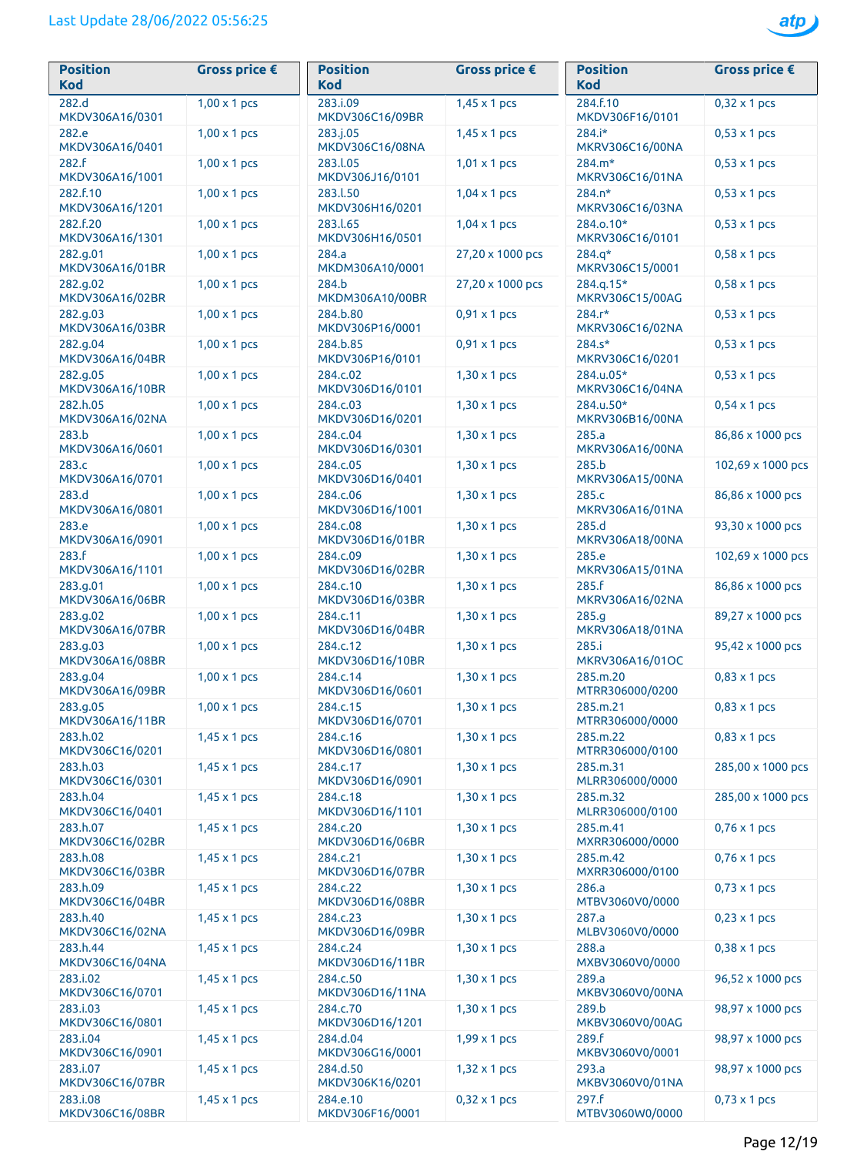| <b>Position</b><br>Kod      | Gross price $\epsilon$ |
|-----------------------------|------------------------|
| 282.d                       | $1,00 \times 1$ pcs    |
| MKDV306A16/0301             |                        |
| 282.e                       | $1,00 \times 1$ pcs    |
| MKDV306A16/0401<br>282.F    | $1,00 \times 1$ pcs    |
| MKDV306A16/1001<br>282.F.10 | $1,00 \times 1$ pcs    |
| MKDV306A16/1201<br>282.F.20 |                        |
| MKDV306A16/1301             | $1,00 \times 1$ pcs    |
| 282.g.01<br>MKDV306A16/01BR | $1,00 \times 1$ pcs    |
| 282.g.02<br>MKDV306A16/02BR | $1,00 \times 1$ pcs    |
| 282.g.03<br>MKDV306A16/03BR | $1,00 \times 1$ pcs    |
| 282.g.04<br>MKDV306A16/04BR | $1,00 \times 1$ pcs    |
| 282.g.05<br>MKDV306A16/10BR | $1,00 \times 1$ pcs    |
| 282.h.05<br>MKDV306A16/02NA | $1,00 \times 1$ pcs    |
| 283.b<br>MKDV306A16/0601    | $1,00 \times 1$ pcs    |
| 283.c<br>MKDV306A16/0701    | $1,00 \times 1$ pcs    |
| 283.d<br>MKDV306A16/0801    | $1,00 \times 1$ pcs    |
| 283.e<br>MKDV306A16/0901    | $1,00 \times 1$ pcs    |
| 283.F                       | $1,00 \times 1$ pcs    |
| MKDV306A16/1101<br>283.g.01 | $1,00 \times 1$ pcs    |
| MKDV306A16/06BR<br>283.g.02 | $1,00 \times 1$ pcs    |
| MKDV306A16/07BR<br>283.g.03 | $1,00 \times 1$ pcs    |
| MKDV306A16/08BR<br>283.g.04 | $1,00 \times 1$ pcs    |
| MKDV306A16/09BR<br>283.g.05 | $1,00 \times 1$ pcs    |
| MKDV306A16/11BR<br>283.h.02 | $1,45 \times 1$ pcs    |
| MKDV306C16/0201<br>283.h.03 | $1,45 \times 1$ pcs    |
| MKDV306C16/0301<br>283.h.04 | $1,45 \times 1$ pcs    |
| MKDV306C16/0401             |                        |
| 283.h.07<br>MKDV306C16/02BR | $1,45 \times 1$ pcs    |
| 283.h.08<br>MKDV306C16/03BR | $1,45 \times 1$ pcs    |
| 283.h.09<br>MKDV306C16/04BR | $1,45 \times 1$ pcs    |
| 283.h.40<br>MKDV306C16/02NA | $1,45 \times 1$ pcs    |
| 283.h.44<br>MKDV306C16/04NA | $1,45 \times 1$ pcs    |
| 283.i.02<br>MKDV306C16/0701 | $1,45 \times 1$ pcs    |
| 283.i.03<br>MKDV306C16/0801 | $1,45 \times 1$ pcs    |
| 283.i.04<br>MKDV306C16/0901 | $1,45 \times 1$ pcs    |
| 283.i.07<br>MKDV306C16/07BR | $1,45 \times 1$ pcs    |
| 283.i.08<br>MKDV306C16/08BR | $1,45 \times 1$ pcs    |

| <b>Position</b><br>Kod      | Gross price $\epsilon$ |
|-----------------------------|------------------------|
|                             |                        |
| 283.i.09<br>MKDV306C16/09BR | $1,45 \times 1$ pcs    |
| 283.j.05<br>MKDV306C16/08NA | $1,45 \times 1$ pcs    |
| 283.l.05<br>MKDV306J16/0101 | $1,01 \times 1$ pcs    |
| 283.l.50<br>MKDV306H16/0201 | $1,04 \times 1$ pcs    |
| 283.1.65<br>MKDV306H16/0501 | $1,04 \times 1$ pcs    |
| 284.a<br>MKDM306A10/0001    | 27,20 x 1000 pcs       |
| 284.b<br>MKDM306A10/00BR    | 27,20 x 1000 pcs       |
| 284.b.80<br>MKDV306P16/0001 | 0,91 x 1 pcs           |
| 284.b.85<br>MKDV306P16/0101 | $0,91 \times 1$ pcs    |
| 284.c.02<br>MKDV306D16/0101 | $1,30 \times 1$ pcs    |
| 284.c.03<br>MKDV306D16/0201 | $1,30 \times 1$ pcs    |
| 284.c.04<br>MKDV306D16/0301 | $1,30 \times 1$ pcs    |
| 284.c.05<br>MKDV306D16/0401 | $1,30 \times 1$ pcs    |
| 284.c.06<br>MKDV306D16/1001 | $1,30 \times 1$ pcs    |
| 284.c.08<br>MKDV306D16/01BR | $1,30 \times 1$ pcs    |
| 284.c.09<br>MKDV306D16/02BR | $1,30 \times 1$ pcs    |
| 284.c.10<br>MKDV306D16/03BR | $1,30 \times 1$ pcs    |
| 284.c.11<br>MKDV306D16/04BR | $1,30 \times 1$ pcs    |
| 284.c.12<br>MKDV306D16/10BR | $1,30 \times 1$ pcs    |
| 284.c.14<br>MKDV306D16/0601 | $1,30 \times 1$ pcs    |
| 284.c.15<br>MKDV306D16/0701 | $1,30 \times 1$ pcs    |
| 284.c.16<br>MKDV306D16/0801 | $1,30 \times 1$ pcs    |
| 284.c.17<br>MKDV306D16/0901 | $1,30 \times 1$ pcs    |
| 284.c.18<br>MKDV306D16/1101 | $1,30 \times 1$ pcs    |
| 284.c.20<br>MKDV306D16/06BR | $1,30 \times 1$ pcs    |
| 284.c.21<br>MKDV306D16/07BR | $1,30 \times 1$ pcs    |
| 284.c.22<br>MKDV306D16/08BR | $1,30 \times 1$ pcs    |
| 284.c.23<br>MKDV306D16/09BR | $1,30 \times 1$ pcs    |
| 284.c.24<br>MKDV306D16/11BR | $1,30 \times 1$ pcs    |
| 284.c.50<br>MKDV306D16/11NA | $1,30 \times 1$ pcs    |
| 284.c.70<br>MKDV306D16/1201 | $1,30 \times 1$ pcs    |
| 284.d.04<br>MKDV306G16/0001 | $1,99 \times 1$ pcs    |
| 284.d.50<br>MKDV306K16/0201 | $1,32 \times 1$ pcs    |
| 284.e.10<br>MKDV306F16/0001 | $0,32 \times 1$ pcs    |

| <b>Position</b><br>Kod                       | Gross price €       |
|----------------------------------------------|---------------------|
| 284.F.10                                     | $0,32 \times 1$ pcs |
| MKDV306F16/0101<br>284.i*<br>MKRV306C16/00NA | $0,53 \times 1$ pcs |
| 284.m*<br>MKRV306C16/01NA                    | $0,53 \times 1$ pcs |
| $284. n*$<br>MKRV306C16/03NA                 | $0,53 \times 1$ pcs |
| 284.o.10*<br>MKRV306C16/0101                 | $0,53 \times 1$ pcs |
| 284.q*<br>MKRV306C15/0001                    | $0,58 \times 1$ pcs |
| 284.q.15*<br>MKRV306C15/00AG                 | $0,58 \times 1$ pcs |
| $284.r*$<br>MKRV306C16/02NA                  | $0,53 \times 1$ pcs |
| 284.s*<br>MKRV306C16/0201                    | $0,53 \times 1$ pcs |
| 284.u.05*<br>MKRV306C16/04NA                 | $0,53 \times 1$ pcs |
| 284.u.50*<br>MKRV306B16/00NA                 | $0,54 \times 1$ pcs |
| 285.a<br>MKRV306A16/00NA                     | 86,86 x 1000 pcs    |
| 285.b<br>MKRV306A15/00NA                     | 102,69 x 1000 pcs   |
| 285.c<br>MKRV306A16/01NA                     | 86,86 x 1000 pcs    |
| 285.d<br>MKRV306A18/00NA                     | 93,30 x 1000 pcs    |
| 285.e<br>MKRV306A15/01NA                     | 102,69 x 1000 pcs   |
| 285.F<br>MKRV306A16/02NA                     | 86,86 x 1000 pcs    |
| 285.g<br>MKRV306A18/01NA                     | 89,27 x 1000 pcs    |
| 285.i<br>MKRV306A16/01OC                     | 95,42 x 1000 pcs    |
| 285.m.20<br>MTRR306000/0200                  | $0,83 \times 1$ pcs |
| 285.m.21<br>MTRR306000/0000                  | $0,83 \times 1$ pcs |
| 285.m.22<br>MTRR306000/0100                  | $0.83 \times 1$ pcs |
| 285.m.31<br>MLRR306000/0000                  | 285,00 x 1000 pcs   |
| 285.m.32<br>MLRR306000/0100                  | 285,00 x 1000 pcs   |
| 285.m.41<br>MXRR306000/0000                  | $0,76 \times 1$ pcs |
| 285.m.42<br>MXRR306000/0100                  | 0,76 x 1 pcs        |
| 286.a<br>MTBV3060V0/0000                     | $0,73 \times 1$ pcs |
| 287.a<br>MLBV3060V0/0000                     | $0,23 \times 1$ pcs |
| 288.a<br>MXBV3060V0/0000                     | $0,38 \times 1$ pcs |
| 289.a<br>MKBV3060V0/00NA                     | 96,52 x 1000 pcs    |
| 289.b<br>MKBV3060V0/00AG                     | 98,97 x 1000 pcs    |
| 289.f<br>MKBV3060V0/0001                     | 98,97 x 1000 pcs    |
| 293.a<br>MKBV3060V0/01NA                     | 98,97 x 1000 pcs    |
| 297.f<br>MTBV3060W0/0000                     | $0,73 \times 1$ pcs |



Page 12/19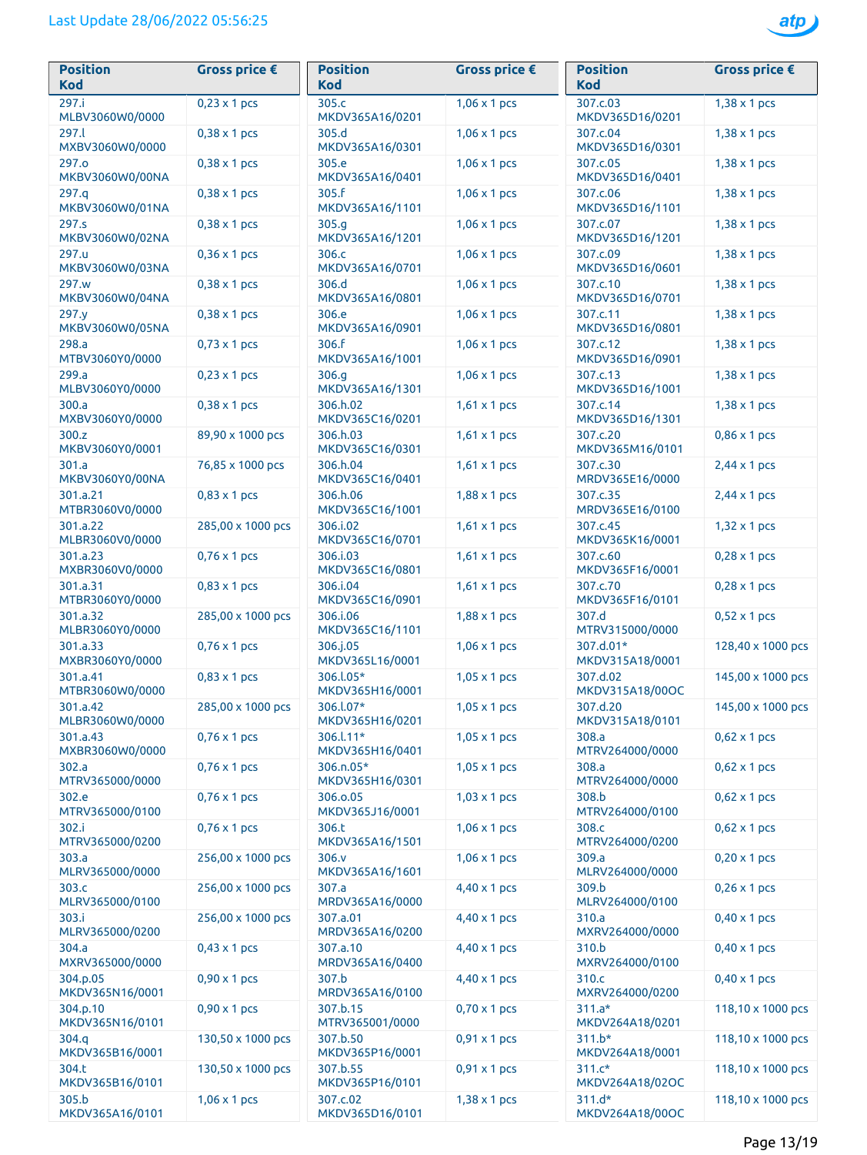

| <b>Position</b><br>Kod          | Gross price $\epsilon$ | <b>Position</b><br>Kod       | Gross price €       | <b>Position</b><br>Kod       | Gross price €       |
|---------------------------------|------------------------|------------------------------|---------------------|------------------------------|---------------------|
| 297.i                           | $0,23 \times 1$ pcs    | 305.c                        | $1,06 \times 1$ pcs | 307.c.03                     | $1,38 \times 1$ pcs |
| MLBV3060W0/0000                 |                        | MKDV365A16/0201              |                     | MKDV365D16/0201              |                     |
| <b>297.L</b><br>MXBV3060W0/0000 | $0,38 \times 1$ pcs    | 305.d<br>MKDV365A16/0301     | $1,06 \times 1$ pcs | 307.c.04<br>MKDV365D16/0301  | $1,38 \times 1$ pcs |
| 297.o<br>MKBV3060W0/00NA        | $0,38 \times 1$ pcs    | 305.e<br>MKDV365A16/0401     | $1,06 \times 1$ pcs | 307.c.05<br>MKDV365D16/0401  | $1,38 \times 1$ pcs |
| 297.q<br>MKBV3060W0/01NA        | $0,38 \times 1$ pcs    | 305.F<br>MKDV365A16/1101     | $1,06 \times 1$ pcs | 307.c.06<br>MKDV365D16/1101  | $1,38 \times 1$ pcs |
| 297.s<br>MKBV3060W0/02NA        | $0,38 \times 1$ pcs    | 305.g<br>MKDV365A16/1201     | $1,06 \times 1$ pcs | 307.c.07<br>MKDV365D16/1201  | $1,38 \times 1$ pcs |
| 297.u<br>MKBV3060W0/03NA        | $0,36 \times 1$ pcs    | 306.c<br>MKDV365A16/0701     | $1,06 \times 1$ pcs | 307.c.09<br>MKDV365D16/0601  | $1,38 \times 1$ pcs |
| 297.w<br>MKBV3060W0/04NA        | $0,38 \times 1$ pcs    | 306.d<br>MKDV365A16/0801     | $1,06 \times 1$ pcs | 307.c.10<br>MKDV365D16/0701  | $1,38 \times 1$ pcs |
| 297.y<br>MKBV3060W0/05NA        | $0,38 \times 1$ pcs    | 306.e<br>MKDV365A16/0901     | $1,06 \times 1$ pcs | 307.c.11<br>MKDV365D16/0801  | $1,38 \times 1$ pcs |
| 298.a<br>MTBV3060Y0/0000        | $0,73 \times 1$ pcs    | 306.F<br>MKDV365A16/1001     | $1,06 \times 1$ pcs | 307.c.12<br>MKDV365D16/0901  | $1,38 \times 1$ pcs |
| 299.a<br>MLBV3060Y0/0000        | $0,23 \times 1$ pcs    | 306.a<br>MKDV365A16/1301     | $1,06 \times 1$ pcs | 307.c.13<br>MKDV365D16/1001  | $1,38 \times 1$ pcs |
| 300.a<br>MXBV3060Y0/0000        | $0,38 \times 1$ pcs    | 306.h.02<br>MKDV365C16/0201  | $1,61 \times 1$ pcs | 307.c.14<br>MKDV365D16/1301  | $1,38 \times 1$ pcs |
| 300.z<br>MKBV3060Y0/0001        | 89,90 x 1000 pcs       | 306.h.03<br>MKDV365C16/0301  | $1,61 \times 1$ pcs | 307.c.20<br>MKDV365M16/0101  | $0,86 \times 1$ pcs |
| 301.a<br>MKBV3060Y0/00NA        | 76,85 x 1000 pcs       | 306.h.04<br>MKDV365C16/0401  | $1,61 \times 1$ pcs | 307.c.30<br>MRDV365E16/0000  | $2,44 \times 1$ pcs |
| 301.a.21<br>MTBR3060V0/0000     | $0,83 \times 1$ pcs    | 306.h.06<br>MKDV365C16/1001  | $1,88 \times 1$ pcs | 307.c.35<br>MRDV365E16/0100  | $2,44 \times 1$ pcs |
| 301.a.22<br>MLBR3060V0/0000     | 285,00 x 1000 pcs      | 306.i.02<br>MKDV365C16/0701  | $1,61 \times 1$ pcs | 307.c.45<br>MKDV365K16/0001  | $1,32 \times 1$ pcs |
| 301.a.23<br>MXBR3060V0/0000     | $0,76 \times 1$ pcs    | 306.i.03<br>MKDV365C16/0801  | $1,61 \times 1$ pcs | 307.c.60<br>MKDV365F16/0001  | $0,28 \times 1$ pcs |
| 301.a.31<br>MTBR3060Y0/0000     | $0,83 \times 1$ pcs    | 306.i.04<br>MKDV365C16/0901  | $1,61 \times 1$ pcs | 307.c.70<br>MKDV365F16/0101  | $0,28 \times 1$ pcs |
| 301.a.32<br>MLBR3060Y0/0000     | 285,00 x 1000 pcs      | 306.i.06<br>MKDV365C16/1101  | $1,88 \times 1$ pcs | 307.d<br>MTRV315000/0000     | $0,52 \times 1$ pcs |
| 301.a.33<br>MXBR3060Y0/0000     | $0,76 \times 1$ pcs    | 306.j.05<br>MKDV365L16/0001  | $1,06 \times 1$ pcs | 307.d.01*<br>MKDV315A18/0001 | 128,40 x 1000 pcs   |
| 301.a.41<br>MTBR3060W0/0000     | $0,83 \times 1$ pcs    | 306.l.05*<br>MKDV365H16/0001 | $1,05 \times 1$ pcs | 307.d.02<br>MKDV315A18/00OC  | 145,00 x 1000 pcs   |
| 301.a.42<br>MLBR3060W0/0000     | 285,00 x 1000 pcs      | 306.l.07*<br>MKDV365H16/0201 | $1,05 \times 1$ pcs | 307.d.20<br>MKDV315A18/0101  | 145,00 x 1000 pcs   |
| 301.a.43<br>MXBR3060W0/0000     | $0,76 \times 1$ pcs    | 306.l.11*<br>MKDV365H16/0401 | $1,05 \times 1$ pcs | 308.a<br>MTRV264000/0000     | $0,62 \times 1$ pcs |
| 302.a<br>MTRV365000/0000        | $0,76 \times 1$ pcs    | 306.n.05*<br>MKDV365H16/0301 | $1,05 \times 1$ pcs | 308.a<br>MTRV264000/0000     | $0,62 \times 1$ pcs |
| 302.e<br>MTRV365000/0100        | $0,76 \times 1$ pcs    | 306.o.05<br>MKDV365J16/0001  | $1,03 \times 1$ pcs | 308.b<br>MTRV264000/0100     | $0,62 \times 1$ pcs |
| 302.i<br>MTRV365000/0200        | $0,76 \times 1$ pcs    | 306.t<br>MKDV365A16/1501     | $1,06 \times 1$ pcs | 308.c<br>MTRV264000/0200     | $0,62 \times 1$ pcs |
| 303.a<br>MLRV365000/0000        | 256,00 x 1000 pcs      | 306.v<br>MKDV365A16/1601     | $1,06 \times 1$ pcs | 309.a<br>MLRV264000/0000     | $0,20 \times 1$ pcs |
| 303.c<br>MLRV365000/0100        | 256,00 x 1000 pcs      | 307.a<br>MRDV365A16/0000     | 4,40 x 1 pcs        | 309.b<br>MLRV264000/0100     | $0,26 \times 1$ pcs |
| 303.i<br>MLRV365000/0200        | 256,00 x 1000 pcs      | 307.a.01<br>MRDV365A16/0200  | $4,40 \times 1$ pcs | 310.a<br>MXRV264000/0000     | $0,40 \times 1$ pcs |
| 304.a<br>MXRV365000/0000        | $0,43 \times 1$ pcs    | 307.a.10<br>MRDV365A16/0400  | $4,40 \times 1$ pcs | 310.b<br>MXRV264000/0100     | $0,40 \times 1$ pcs |
| 304.p.05<br>MKDV365N16/0001     | $0,90 \times 1$ pcs    | 307.b<br>MRDV365A16/0100     | $4,40 \times 1$ pcs | 310.c<br>MXRV264000/0200     | $0,40 \times 1$ pcs |
| 304.p.10<br>MKDV365N16/0101     | $0,90 \times 1$ pcs    | 307.b.15<br>MTRV365001/0000  | $0,70 \times 1$ pcs | $311.a*$<br>MKDV264A18/0201  | 118,10 x 1000 pcs   |
| 304.q<br>MKDV365B16/0001        | 130,50 x 1000 pcs      | 307.b.50<br>MKDV365P16/0001  | $0,91 \times 1$ pcs | $311.b*$<br>MKDV264A18/0001  | 118,10 x 1000 pcs   |
| 304.t<br>MKDV365B16/0101        | 130,50 x 1000 pcs      | 307.b.55<br>MKDV365P16/0101  | $0,91 \times 1$ pcs | $311.c*$<br>MKDV264A18/02OC  | 118,10 x 1000 pcs   |
| 305.b<br>MKDV365A16/0101        | $1,06 \times 1$ pcs    | 307.c.02<br>MKDV365D16/0101  | $1,38 \times 1$ pcs | $311.d*$<br>MKDV264A18/00OC  | 118,10 x 1000 pcs   |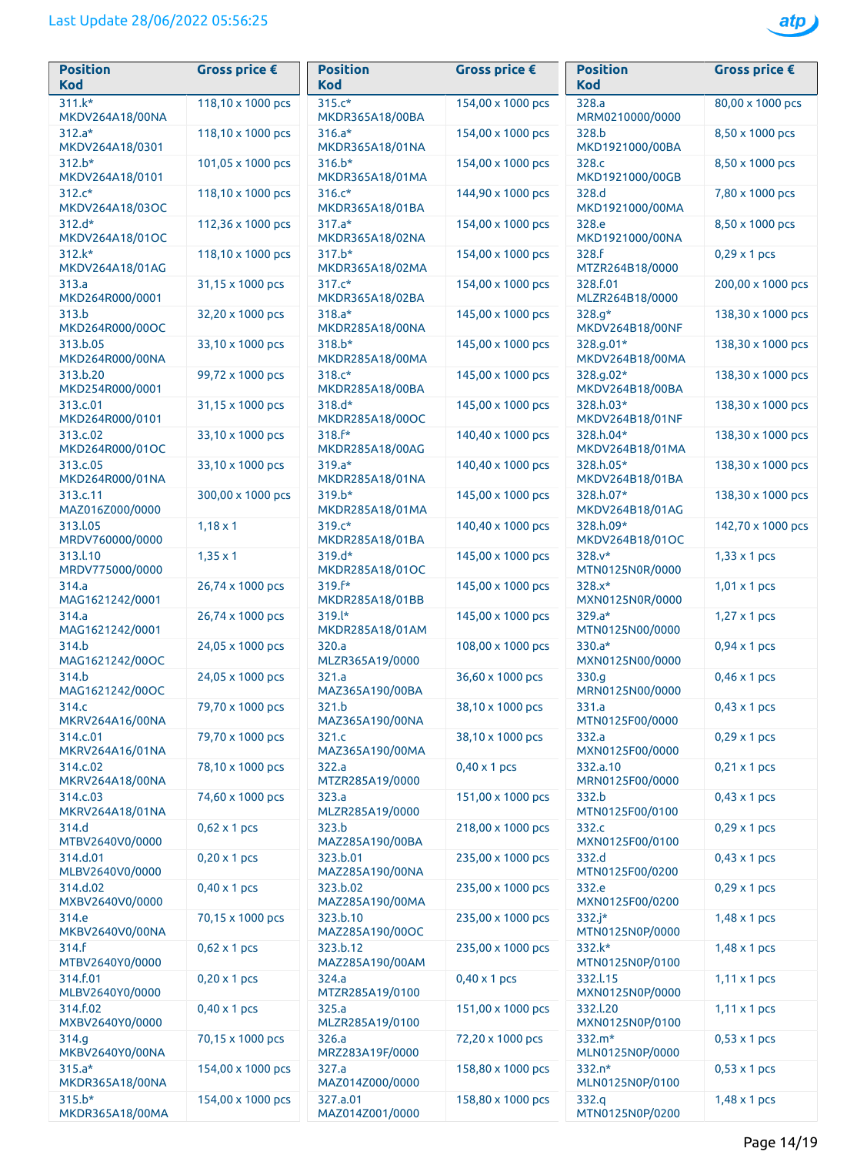| <b>Position</b><br><b>Kod</b>      | Gross price €       | <b>Position</b><br><b>Kod</b>      | Gross price €       | <b>Position</b><br><b>Kod</b> | Gross price €       |
|------------------------------------|---------------------|------------------------------------|---------------------|-------------------------------|---------------------|
|                                    |                     |                                    |                     |                               |                     |
| $311.k*$<br>MKDV264A18/00NA        | 118,10 x 1000 pcs   | 315.c*<br>MKDR365A18/00BA          | 154,00 x 1000 pcs   | 328.a<br>MRM0210000/0000      | 80,00 x 1000 pcs    |
| $312.a*$<br>MKDV264A18/0301        | 118,10 x 1000 pcs   | $316.a*$<br>MKDR365A18/01NA        | 154,00 x 1000 pcs   | 328.b<br>MKD1921000/00BA      | 8,50 x 1000 pcs     |
| $312.b*$<br>MKDV264A18/0101        | 101,05 x 1000 pcs   | $316.b*$<br>MKDR365A18/01MA        | 154,00 x 1000 pcs   | 328.c<br>MKD1921000/00GB      | 8,50 x 1000 pcs     |
| $312.c*$<br>MKDV264A18/03OC        | 118,10 x 1000 pcs   | $316.c*$<br>MKDR365A18/01BA        | 144,90 x 1000 pcs   | 328.d<br>MKD1921000/00MA      | 7,80 x 1000 pcs     |
| $312.d*$<br>MKDV264A18/01OC        | 112,36 x 1000 pcs   | $317.a*$<br>MKDR365A18/02NA        | 154,00 x 1000 pcs   | 328.e<br>MKD1921000/00NA      | 8,50 x 1000 pcs     |
| 312.k*<br>MKDV264A18/01AG          | 118,10 x 1000 pcs   | $317.b*$<br>MKDR365A18/02MA        | 154,00 x 1000 pcs   | 328.F<br>MTZR264B18/0000      | $0,29 \times 1$ pcs |
| 313.a<br>MKD264R000/0001           | 31,15 x 1000 pcs    | 317.c*<br>MKDR365A18/02BA          | 154,00 x 1000 pcs   | 328.F.01<br>MLZR264B18/0000   | 200,00 x 1000 pcs   |
| 313.b<br>MKD264R000/00OC           | 32,20 x 1000 pcs    | $318.a*$<br><b>MKDR285A18/00NA</b> | 145,00 x 1000 pcs   | 328.g*<br>MKDV264B18/00NF     | 138,30 x 1000 pcs   |
| 313.b.05<br>MKD264R000/00NA        | 33,10 x 1000 pcs    | $318.b*$<br><b>MKDR285A18/00MA</b> | 145,00 x 1000 pcs   | 328.g.01*<br>MKDV264B18/00MA  | 138,30 x 1000 pcs   |
| 313.b.20<br>MKD254R000/0001        | 99,72 x 1000 pcs    | 318.c*<br>MKDR285A18/00BA          | 145,00 x 1000 pcs   | 328.g.02*<br>MKDV264B18/00BA  | 138,30 x 1000 pcs   |
| 313.c.01<br>MKD264R000/0101        | 31,15 x 1000 pcs    | 318.d*<br>MKDR285A18/00OC          | 145,00 x 1000 pcs   | 328.h.03*<br>MKDV264B18/01NF  | 138,30 x 1000 pcs   |
| 313.c.02<br>MKD264R000/01OC        | 33,10 x 1000 pcs    | 318.F*<br>MKDR285A18/00AG          | 140,40 x 1000 pcs   | 328.h.04*<br>MKDV264B18/01MA  | 138,30 x 1000 pcs   |
| 313.c.05<br>MKD264R000/01NA        | 33,10 x 1000 pcs    | $319.a*$<br><b>MKDR285A18/01NA</b> | 140,40 x 1000 pcs   | 328.h.05*<br>MKDV264B18/01BA  | 138,30 x 1000 pcs   |
| 313.c.11<br>MAZ016Z000/0000        | 300,00 x 1000 pcs   | $319.b*$<br>MKDR285A18/01MA        | 145,00 x 1000 pcs   | 328.h.07*<br>MKDV264B18/01AG  | 138,30 x 1000 pcs   |
| 313.l.05<br>MRDV760000/0000        | $1,18 \times 1$     | 319.c*<br>MKDR285A18/01BA          | 140,40 x 1000 pcs   | 328.h.09*<br>MKDV264B18/01OC  | 142,70 x 1000 pcs   |
| 313.l.10<br>MRDV775000/0000        | $1,35 \times 1$     | 319.d*<br>MKDR285A18/01OC          | 145,00 x 1000 pcs   | 328.v*<br>MTN0125N0R/0000     | $1,33 \times 1$ pcs |
| 314.a<br>MAG1621242/0001           | 26,74 x 1000 pcs    | 319.F*<br>MKDR285A18/01BB          | 145,00 x 1000 pcs   | $328.x*$<br>MXN0125N0R/0000   | $1,01 \times 1$ pcs |
| 314.a<br>MAG1621242/0001           | 26,74 x 1000 pcs    | $319.1*$<br>MKDR285A18/01AM        | 145,00 x 1000 pcs   | $329.a*$<br>MTN0125N00/0000   | $1,27 \times 1$ pcs |
| 314.b<br>MAG1621242/00OC           | 24,05 x 1000 pcs    | 320.a<br>MLZR365A19/0000           | 108,00 x 1000 pcs   | $330.a*$<br>MXN0125N00/0000   | $0,94 \times 1$ pcs |
| 314.b<br>MAG1621242/00OC           | 24,05 x 1000 pcs    | 321.a<br>MAZ365A190/00BA           | 36,60 x 1000 pcs    | 330.q<br>MRN0125N00/0000      | $0,46 \times 1$ pcs |
| 314.c<br>MKRV264A16/00NA           | 79,70 x 1000 pcs    | 321.b<br>MAZ365A190/00NA           | 38,10 x 1000 pcs    | 331.a<br>MTN0125F00/0000      | $0,43 \times 1$ pcs |
| 314.c.01<br>MKRV264A16/01NA        | 79,70 x 1000 pcs    | 321.c<br>MAZ365A190/00MA           | 38,10 x 1000 pcs    | 332.a<br>MXN0125F00/0000      | $0,29 \times 1$ pcs |
| 314.c.02<br>MKRV264A18/00NA        | 78,10 x 1000 pcs    | 322.a<br>MTZR285A19/0000           | $0,40 \times 1$ pcs | 332.a.10<br>MRN0125F00/0000   | $0,21 \times 1$ pcs |
| 314.c.03<br>MKRV264A18/01NA        | 74,60 x 1000 pcs    | 323.a<br>MLZR285A19/0000           | 151,00 x 1000 pcs   | 332.b<br>MTN0125F00/0100      | $0,43 \times 1$ pcs |
| 314.d<br>MTBV2640V0/0000           | $0,62 \times 1$ pcs | 323.b<br>MAZ285A190/00BA           | 218,00 x 1000 pcs   | 332.c<br>MXN0125F00/0100      | $0,29 \times 1$ pcs |
| 314.d.01<br>MLBV2640V0/0000        | $0,20 \times 1$ pcs | 323.b.01<br>MAZ285A190/00NA        | 235,00 x 1000 pcs   | 332.d<br>MTN0125F00/0200      | $0.43 \times 1$ pcs |
| 314.d.02<br>MXBV2640V0/0000        | $0,40 \times 1$ pcs | 323.b.02<br>MAZ285A190/00MA        | 235,00 x 1000 pcs   | 332.e<br>MXN0125F00/0200      | $0,29 \times 1$ pcs |
| 314.e<br>MKBV2640V0/00NA           | 70,15 x 1000 pcs    | 323.b.10<br>MAZ285A190/00OC        | 235,00 x 1000 pcs   | $332.i*$<br>MTN0125N0P/0000   | $1,48 \times 1$ pcs |
| 314.f<br>MTBV2640Y0/0000           | $0,62 \times 1$ pcs | 323.b.12<br>MAZ285A190/00AM        | 235,00 x 1000 pcs   | 332.k*<br>MTN0125N0P/0100     | $1,48 \times 1$ pcs |
| 314.F.01<br>MLBV2640Y0/0000        | $0,20 \times 1$ pcs | 324.a<br>MTZR285A19/0100           | $0,40 \times 1$ pcs | 332.l.15<br>MXN0125N0P/0000   | $1,11 \times 1$ pcs |
| 314.F.02<br>MXBV2640Y0/0000        | $0,40 \times 1$ pcs | 325.a<br>MLZR285A19/0100           | 151,00 x 1000 pcs   | 332.l.20<br>MXN0125N0P/0100   | $1,11 \times 1$ pcs |
| 314.g<br>MKBV2640Y0/00NA           | 70,15 x 1000 pcs    | 326.a<br>MRZ283A19F/0000           | 72,20 x 1000 pcs    | 332.m*<br>MLN0125N0P/0000     | $0,53 \times 1$ pcs |
| $315.a*$<br><b>MKDR365A18/00NA</b> | 154,00 x 1000 pcs   | 327.a<br>MAZ014Z000/0000           | 158,80 x 1000 pcs   | 332.n*<br>MLN0125N0P/0100     | $0,53 \times 1$ pcs |
| $315.b*$<br>MKDR365A18/00MA        | 154,00 x 1000 pcs   | 327.a.01<br>MAZ014Z001/0000        | 158,80 x 1000 pcs   | 332.q<br>MTN0125N0P/0200      | $1,48 \times 1$ pcs |

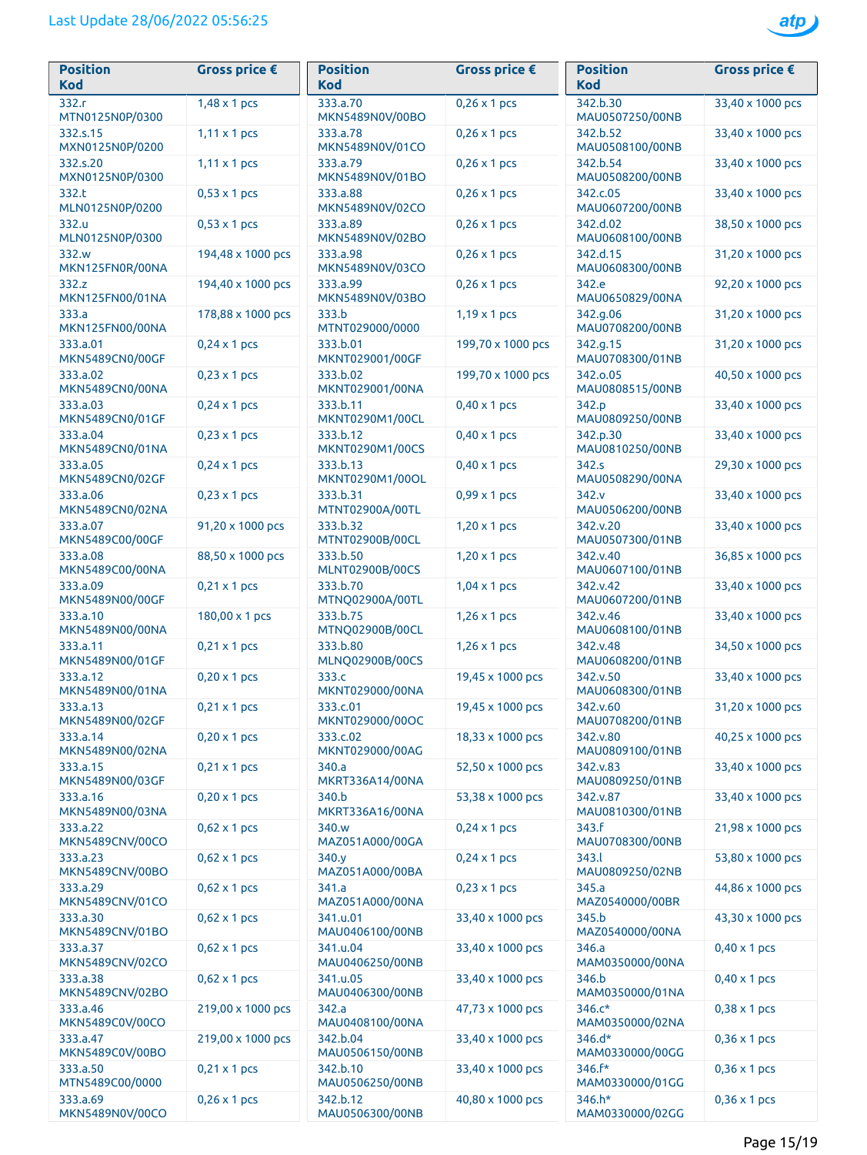

| <b>Position</b>                    | Gross price €         | <b>Position</b>                    | Gross price €       | <b>Position</b>             | Gross price €       |
|------------------------------------|-----------------------|------------------------------------|---------------------|-----------------------------|---------------------|
| <b>Kod</b>                         |                       | <b>Kod</b>                         |                     | <b>Kod</b>                  |                     |
| 332.r<br>MTN0125N0P/0300           | $1,48 \times 1$ pcs   | 333.a.70<br>MKN5489N0V/00BO        | $0,26 \times 1$ pcs | 342.b.30<br>MAU0507250/00NB | 33,40 x 1000 pcs    |
| 332.s.15<br>MXN0125N0P/0200        | $1,11 \times 1$ pcs   | 333.a.78<br>MKN5489N0V/01CO        | $0,26 \times 1$ pcs | 342.b.52<br>MAU0508100/00NB | 33,40 x 1000 pcs    |
| 332.s.20<br>MXN0125N0P/0300        | $1,11 \times 1$ pcs   | 333.a.79<br>MKN5489N0V/01BO        | $0,26 \times 1$ pcs | 342.b.54<br>MAU0508200/00NB | 33,40 x 1000 pcs    |
| 332.t<br>MLN0125N0P/0200           | $0,53 \times 1$ pcs   | 333.a.88<br>MKN5489N0V/02CO        | $0,26 \times 1$ pcs | 342.c.05<br>MAU0607200/00NB | 33,40 x 1000 pcs    |
| 332.u<br>MLN0125N0P/0300           | $0,53 \times 1$ pcs   | 333.a.89<br>MKN5489N0V/02BO        | $0,26 \times 1$ pcs | 342.d.02<br>MAU0608100/00NB | 38,50 x 1000 pcs    |
| 332.w<br>MKN125FN0R/00NA           | 194,48 x 1000 pcs     | 333.a.98<br>MKN5489N0V/03CO        | $0,26 \times 1$ pcs | 342.d.15<br>MAU0608300/00NB | 31,20 x 1000 pcs    |
| 332.z<br>MKN125FN00/01NA           | 194,40 x 1000 pcs     | 333.a.99<br>MKN5489N0V/03BO        | $0,26 \times 1$ pcs | 342.e<br>MAU0650829/00NA    | 92,20 x 1000 pcs    |
| 333.a<br>MKN125FN00/00NA           | 178,88 x 1000 pcs     | 333.b<br>MTNT029000/0000           | 1,19 x 1 pcs        | 342.g.06<br>MAU0708200/00NB | 31,20 x 1000 pcs    |
| 333.a.01<br><b>MKN5489CN0/00GF</b> | $0,24 \times 1$ pcs   | 333.b.01<br>MKNT029001/00GF        | 199,70 x 1000 pcs   | 342.g.15<br>MAU0708300/01NB | 31,20 x 1000 pcs    |
| 333.a.02<br>MKN5489CN0/00NA        | $0,23 \times 1$ pcs   | 333.b.02<br>MKNT029001/00NA        | 199,70 x 1000 pcs   | 342.o.05<br>MAU0808515/00NB | 40,50 x 1000 pcs    |
| 333.a.03<br>MKN5489CN0/01GF        | $0,24 \times 1$ pcs   | 333.b.11<br>MKNT0290M1/00CL        | $0,40 \times 1$ pcs | 342.p<br>MAU0809250/00NB    | 33,40 x 1000 pcs    |
| 333.a.04<br>MKN5489CN0/01NA        | $0,23 \times 1$ pcs   | 333.b.12<br><b>MKNT0290M1/00CS</b> | $0,40 \times 1$ pcs | 342.p.30<br>MAU0810250/00NB | 33,40 x 1000 pcs    |
| 333.a.05<br>MKN5489CN0/02GF        | $0,24 \times 1$ pcs   | 333.b.13<br>MKNT0290M1/00OL        | $0,40 \times 1$ pcs | 342.s<br>MAU0508290/00NA    | 29,30 x 1000 pcs    |
| 333.a.06<br><b>MKN5489CN0/02NA</b> | $0,23 \times 1$ pcs   | 333.b.31<br>MTNT02900A/00TL        | $0,99 \times 1$ pcs | 342.v<br>MAU0506200/00NB    | 33,40 x 1000 pcs    |
| 333.a.07<br>MKN5489C00/00GF        | 91,20 x 1000 pcs      | 333.b.32<br>MTNT02900B/00CL        | $1,20 \times 1$ pcs | 342.v.20<br>MAU0507300/01NB | 33,40 x 1000 pcs    |
| 333.a.08<br>MKN5489C00/00NA        | 88,50 x 1000 pcs      | 333.b.50<br><b>MLNT02900B/00CS</b> | $1,20 \times 1$ pcs | 342.v.40<br>MAU0607100/01NB | 36,85 x 1000 pcs    |
| 333.a.09<br>MKN5489N00/00GF        | $0,21 \times 1$ pcs   | 333.b.70<br>MTNQ02900A/00TL        | $1,04 \times 1$ pcs | 342.v.42<br>MAU0607200/01NB | 33,40 x 1000 pcs    |
| 333.a.10<br>MKN5489N00/00NA        | $180,00 \times 1$ pcs | 333.b.75<br>MTNQ02900B/00CL        | $1,26 \times 1$ pcs | 342.v.46<br>MAU0608100/01NB | 33,40 x 1000 pcs    |
| 333.a.11<br>MKN5489N00/01GF        | $0,21 \times 1$ pcs   | 333.b.80<br>MLNQ02900B/00CS        | $1,26 \times 1$ pcs | 342.v.48<br>MAU0608200/01NB | 34,50 x 1000 pcs    |
| 333.a.12<br>MKN5489N00/01NA        | $0,20 \times 1$ pcs   | 333.c<br>MKNT029000/00NA           | 19,45 x 1000 pcs    | 342.v.50<br>MAU0608300/01NB | 33,40 x 1000 pcs    |
| 333.a.13<br>MKN5489N00/02GF        | $0,21 \times 1$ pcs   | 333.c.01<br>MKNT029000/00OC        | 19,45 x 1000 pcs    | 342.v.60<br>MAU0708200/01NB | 31,20 x 1000 pcs    |
| 333.a.14<br>MKN5489N00/02NA        | $0,20 \times 1$ pcs   | 333.c.02<br>MKNT029000/00AG        | 18,33 x 1000 pcs    | 342.v.80<br>MAU0809100/01NB | 40,25 x 1000 pcs    |
| 333.a.15<br>MKN5489N00/03GF        | $0,21 \times 1$ pcs   | 340.a<br>MKRT336A14/00NA           | 52,50 x 1000 pcs    | 342.v.83<br>MAU0809250/01NB | 33,40 x 1000 pcs    |
| 333.a.16<br>MKN5489N00/03NA        | $0,20 \times 1$ pcs   | 340.b<br>MKRT336A16/00NA           | 53,38 x 1000 pcs    | 342.v.87<br>MAU0810300/01NB | 33,40 x 1000 pcs    |
| 333.a.22<br><b>MKN5489CNV/00CO</b> | $0,62 \times 1$ pcs   | 340.w<br>MAZ051A000/00GA           | $0,24 \times 1$ pcs | 343.f<br>MAU0708300/00NB    | 21,98 x 1000 pcs    |
| 333.a.23<br><b>MKN5489CNV/00BO</b> | $0,62 \times 1$ pcs   | 340.y<br>MAZ051A000/00BA           | $0,24 \times 1$ pcs | 343.l<br>MAU0809250/02NB    | 53,80 x 1000 pcs    |
| 333.a.29<br><b>MKN5489CNV/01CO</b> | $0,62 \times 1$ pcs   | 341.a<br>MAZ051A000/00NA           | $0,23 \times 1$ pcs | 345.a<br>MAZ0540000/00BR    | 44,86 x 1000 pcs    |
| 333.a.30<br><b>MKN5489CNV/01BO</b> | $0,62 \times 1$ pcs   | 341.u.01<br>MAU0406100/00NB        | 33,40 x 1000 pcs    | 345.b<br>MAZ0540000/00NA    | 43,30 x 1000 pcs    |
| 333.a.37<br><b>MKN5489CNV/02CO</b> | $0,62 \times 1$ pcs   | 341.u.04<br>MAU0406250/00NB        | 33,40 x 1000 pcs    | 346.a<br>MAM0350000/00NA    | $0,40 \times 1$ pcs |
| 333.a.38<br>MKN5489CNV/02BO        | $0,62 \times 1$ pcs   | 341.u.05<br>MAU0406300/00NB        | 33,40 x 1000 pcs    | 346.b<br>MAM0350000/01NA    | $0,40 \times 1$ pcs |
| 333.a.46<br>MKN5489C0V/00CO        | 219,00 x 1000 pcs     | 342.a<br>MAU0408100/00NA           | 47,73 x 1000 pcs    | 346.c*<br>MAM0350000/02NA   | $0,38 \times 1$ pcs |
| 333.a.47<br>MKN5489C0V/00BO        | 219,00 x 1000 pcs     | 342.b.04<br>MAU0506150/00NB        | 33,40 x 1000 pcs    | $346.d*$<br>MAM0330000/00GG | $0,36 \times 1$ pcs |
| 333.a.50<br>MTN5489C00/0000        | $0,21 \times 1$ pcs   | 342.b.10<br>MAU0506250/00NB        | 33,40 x 1000 pcs    | 346.F*<br>MAM0330000/01GG   | $0,36 \times 1$ pcs |
| 333.a.69<br>MKN5489N0V/00CO        | $0,26 \times 1$ pcs   | 342.b.12<br>MAU0506300/00NB        | 40,80 x 1000 pcs    | 346.h*<br>MAM0330000/02GG   | $0,36 \times 1$ pcs |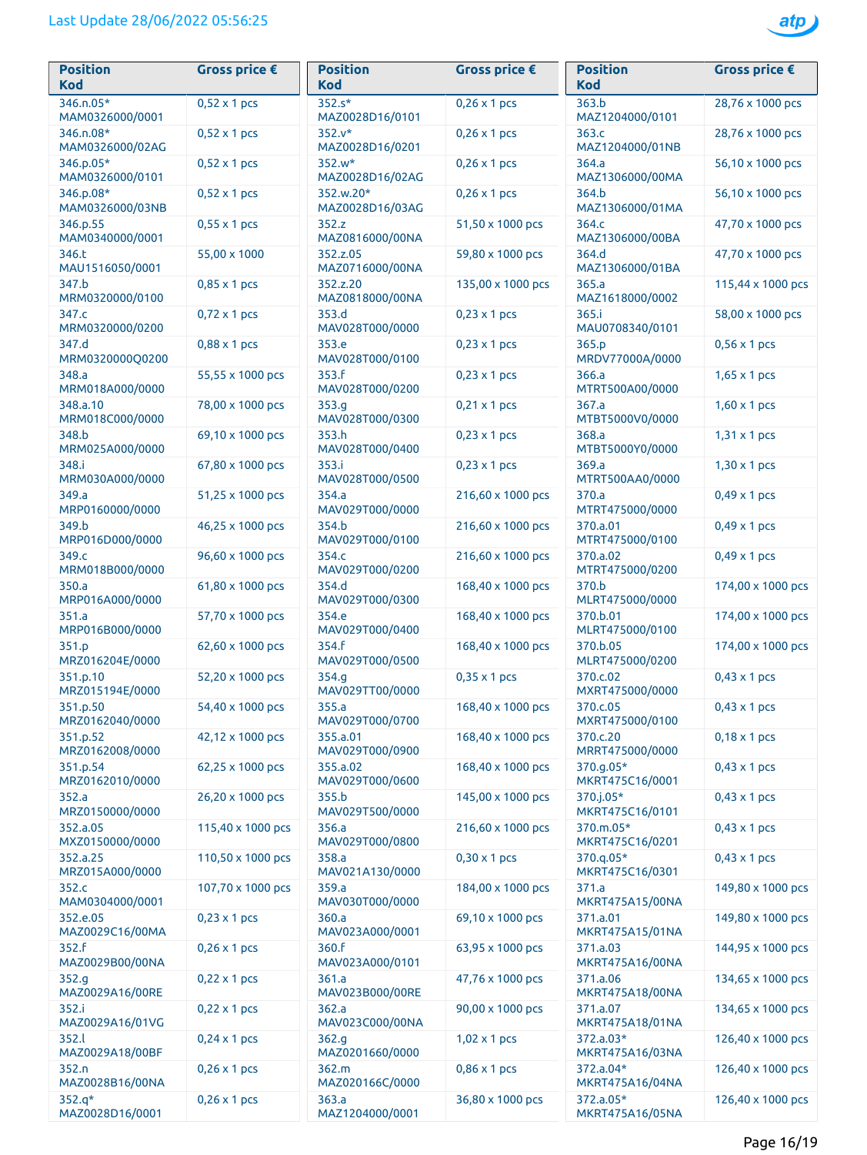| <b>Position</b>              | Gross price €       |
|------------------------------|---------------------|
| Kod                          |                     |
| 346.n.05*<br>MAM0326000/0001 | $0,52 \times 1$ pcs |
| 346.n.08*<br>MAM0326000/02AG | $0,52 \times 1$ pcs |
| 346.p.05*<br>MAM0326000/0101 | $0,52 \times 1$ pcs |
| 346.p.08*<br>MAM0326000/03NB | $0,52 \times 1$ pcs |
| 346.p.55<br>MAM0340000/0001  | $0,55 \times 1$ pcs |
| 346.t<br>MAU1516050/0001     | 55,00 x 1000        |
| 347.b<br>MRM0320000/0100     | $0,85 \times 1$ pcs |
| 347.c<br>MRM0320000/0200     | $0,72 \times 1$ pcs |
| 347.d<br>MRM0320000Q0200     | $0,88 \times 1$ pcs |
| 348.a<br>MRM018A000/0000     | 55,55 x 1000 pcs    |
| 348.a.10<br>MRM018C000/0000  | 78,00 x 1000 pcs    |
| 348.b<br>MRM025A000/0000     | 69,10 x 1000 pcs    |
| 348.i<br>MRM030A000/0000     | 67,80 x 1000 pcs    |
| 349.a<br>MRP0160000/0000     | 51,25 x 1000 pcs    |
| 349.b<br>MRP016D000/0000     | 46,25 x 1000 pcs    |
| 349.c<br>MRM018B000/0000     | 96,60 x 1000 pcs    |
| 350.a<br>MRP016A000/0000     | 61,80 x 1000 pcs    |
| 351.a<br>MRP016B000/0000     | 57,70 x 1000 pcs    |
| 351.p<br>MRZ016204E/0000     | 62,60 x 1000 pcs    |
| 351.p.10<br>MRZ015194E/0000  | 52,20 x 1000 pcs    |
| 351.p.50<br>MRZ0162040/0000  | 54,40 x 1000 pcs    |
| 351.p.52<br>MRZ0162008/0000  | 42,12 x 1000 pcs    |
| 351.p.54<br>MRZ0162010/0000  | 62,25 x 1000 pcs    |
| 352.a<br>MRZ0150000/0000     | 26,20 x 1000 pcs    |
| 352.a.05<br>MXZ0150000/0000  | 115,40 x 1000 pcs   |
| 352.a.25<br>MRZ015A000/0000  | 110,50 x 1000 pcs   |
| 352.c<br>MAM0304000/0001     | 107,70 x 1000 pcs   |
| 352.e.05<br>MAZ0029C16/00MA  | $0,23 \times 1$ pcs |
| 352.F<br>MAZ0029B00/00NA     | $0,26 \times 1$ pcs |
| 352.g<br>MAZ0029A16/00RE     | $0,22 \times 1$ pcs |
| 352.i<br>MAZ0029A16/01VG     | $0,22 \times 1$ pcs |
| 352.l<br>MAZ0029A18/00BF     | $0,24 \times 1$ pcs |
| 352.n<br>MAZ0028B16/00NA     | $0,26 \times 1$ pcs |
| 352.q*<br>MAZ0028D16/0001    | $0,26 \times 1$ pcs |

| Position<br>Kod                   | Gross price €                            |
|-----------------------------------|------------------------------------------|
| $352.5*$                          | $0,26 \times 1$ pcs                      |
| MAZ0028D16/0101<br>$352.v*$       | $0,26 \times 1$ pcs                      |
| MAZ0028D16/0201                   |                                          |
| $352.w*$<br>MAZ0028D16/02AG       | $0,26 \times 1$ pcs                      |
| 352.w.20*<br>MAZ0028D16/03AG      | $0,26 \times 1$ pcs                      |
| 352.z<br>MAZ0816000/00NA          | 51,50 x 1000 pcs                         |
| 352.z.05<br>MAZ0716000/00NA       | 59,80 x 1000 pcs                         |
| 352.z.20<br>MAZ0818000/00NA       | 135,00 x 1000 pcs                        |
| 353.d<br>MAV028T000/0000          | $0,23 \times 1$ pcs                      |
| 353.e<br>MAV028T000/0100          | $0,23 \times 1$ pcs                      |
| 353.F<br>MAV028T000/0200          | $0,23 \times 1$ pcs                      |
| 353.g<br>MAV028T000/0300          | $0,21 \times 1$ pcs                      |
| 353.h<br>MAV028T000/0400          | $0,23 \times 1$ pcs                      |
| 353.i<br>MAV028T000/0500          | $0,23 \times 1$ pcs                      |
| 354.a<br>MAV029T000/0000          | 216,60 x 1000 pcs                        |
| 354.b<br>MAV029T000/0100          | 216,60 x 1000 pcs                        |
| 354.c<br>MAV029T000/0200          | 216,60 x 1000 pcs                        |
| 354.d<br>MAV029T000/0300          | 168,40 x 1000 pcs                        |
| 354.e<br>MAV029T000/0400          | 168,40 x 1000 pcs                        |
| 354.f<br>MAV029T000/0500          | 168,40 x 1000 pcs                        |
| 354.g<br>MAV029TT00/0000          | $0,35 \times 1$ pcs                      |
| 355.a<br>MAV029T000/0700          | 168,40 x 1000 pcs                        |
| 355.a.01<br>MAV029T000/0900       | 168,40 x 1000 pcs                        |
| 355.a.02<br>MAV029T000/0600       | 168,40 x 1000 pcs                        |
| 355.b<br>MAV029T500/0000<br>356.a | 145,00 x 1000 pcs                        |
| MAV029T000/0800<br>358.a          | 216,60 x 1000 pcs<br>$0,30 \times 1$ pcs |
| MAV021A130/0000<br>359.a          | 184,00 x 1000 pcs                        |
| MAV030T000/0000<br>360.a          | 69,10 x 1000 pcs                         |
| MAV023A000/0001<br>360.f          | 63,95 x 1000 pcs                         |
| MAV023A000/0101                   |                                          |
| 361.a<br>MAV023B000/00RE<br>362.a | 47,76 x 1000 pcs<br>90,00 x 1000 pcs     |
| MAV023C000/00NA<br>362.g          | $1,02 \times 1$ pcs                      |
| MAZ0201660/0000                   |                                          |
| 362.m<br>MAZ020166C/0000          | $0,86 \times 1$ pcs                      |
| 363.a<br>MAZ1204000/0001          | 36,80 x 1000 pcs                         |

| Position                     | Gross price $\epsilon$ |
|------------------------------|------------------------|
| Kod                          |                        |
| 363.b<br>MAZ1204000/0101     | 28,76 x 1000 pcs       |
| 363.c<br>MAZ1204000/01NB     | 28,76 x 1000 pcs       |
| 364.a<br>MAZ1306000/00MA     | 56,10 x 1000 pcs       |
| 364.b<br>MAZ1306000/01MA     | 56,10 x 1000 pcs       |
| 364.c<br>MAZ1306000/00BA     | 47,70 x 1000 pcs       |
| 364.d<br>MAZ1306000/01BA     | 47,70 x 1000 pcs       |
| 365.a<br>MAZ1618000/0002     | 115,44 x 1000 pcs      |
| 365.i<br>MAU0708340/0101     | 58,00 x 1000 pcs       |
| 365.p<br>MRDV77000A/0000     | $0,56 \times 1$ pcs    |
| 366.a<br>MTRT500A00/0000     | $1,65 \times 1$ pcs    |
| 367.a<br>MTBT5000V0/0000     | $1,60 \times 1$ pcs    |
| 368.a<br>MTBT5000Y0/0000     | $1,31 \times 1$ pcs    |
| 369.a<br>MTRT500AA0/0000     | $1,30 \times 1$ pcs    |
| 370.a<br>MTRT475000/0000     | $0,49 \times 1$ pcs    |
| 370.a.01<br>MTRT475000/0100  | $0,49 \times 1$ pcs    |
| 370.a.02<br>MTRT475000/0200  | $0,49 \times 1$ pcs    |
| 370.b<br>MLRT475000/0000     | 174,00 x 1000 pcs      |
| 370.b.01<br>MLRT475000/0100  | 174,00 x 1000 pcs      |
| 370.b.05<br>MLRT475000/0200  | 174,00 x 1000 pcs      |
| 370.c.02<br>MXRT475000/0000  | $0,43 \times 1$ pcs    |
| 370.c.05<br>MXRT475000/0100  | $0,43 \times 1$ pcs    |
| 370.c.20<br>MRRT475000/0000  | $0,18 \times 1$ pcs    |
| 370.g.05*<br>MKRT475C16/0001 | $0,43 \times 1$ pcs    |
| 370.j.05*<br>MKRT475C16/0101 | $0,43 \times 1$ pcs    |
| 370.m.05*<br>MKRT475C16/0201 | $0,43 \times 1$ pcs    |
| 370.q.05*<br>MKRT475C16/0301 | $0.43 \times 1$ pcs    |
| 371.a<br>MKRT475A15/00NA     | 149,80 x 1000 pcs      |
| 371.a.01<br>MKRT475A15/01NA  | 149,80 x 1000 pcs      |
| 371.a.03<br>MKRT475A16/00NA  | 144,95 x 1000 pcs      |
| 371.a.06<br>MKRT475A18/00NA  | 134,65 x 1000 pcs      |
| 371.a.07<br>MKRT475A18/01NA  | 134,65 x 1000 pcs      |
| 372.a.03*<br>MKRT475A16/03NA | 126,40 x 1000 pcs      |
| 372.a.04*<br>MKRT475A16/04NA | 126,40 x 1000 pcs      |
| 372.a.05*<br>MKRT475A16/05NA | 126,40 x 1000 pcs      |

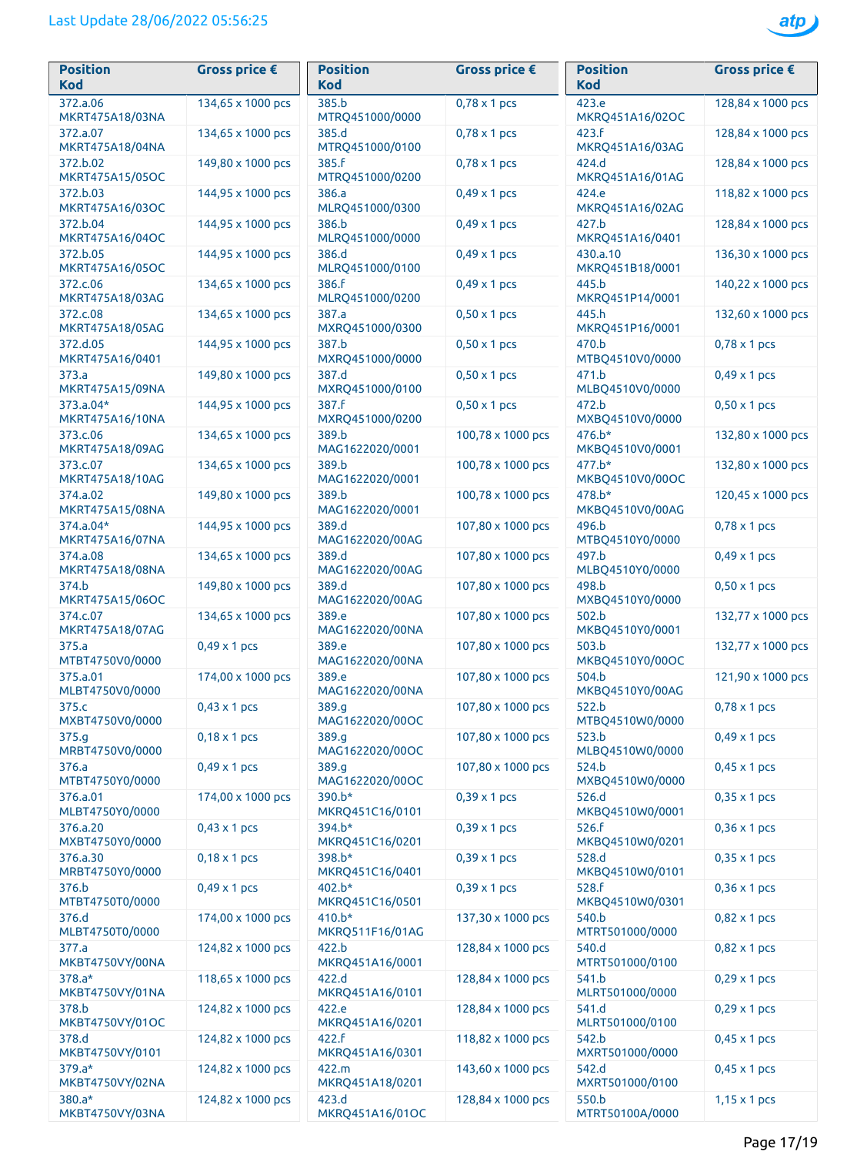

| <b>Position</b><br><b>Kod</b>      | Gross price €       | <b>Position</b><br><b>Kod</b> | Gross price $\epsilon$ | <b>Position</b><br><b>Kod</b> | Gross price €       |
|------------------------------------|---------------------|-------------------------------|------------------------|-------------------------------|---------------------|
| 372.a.06                           | 134,65 x 1000 pcs   | 385.b                         | $0,78 \times 1$ pcs    | 423.e                         | 128,84 x 1000 pcs   |
| MKRT475A18/03NA<br>372.a.07        | 134,65 x 1000 pcs   | MTRQ451000/0000<br>385.d      | $0,78 \times 1$ pcs    | MKRQ451A16/02OC<br>423.f      | 128,84 x 1000 pcs   |
| <b>MKRT475A18/04NA</b>             |                     | MTRQ451000/0100               |                        | MKRQ451A16/03AG               |                     |
| 372.b.02<br>MKRT475A15/05OC        | 149,80 x 1000 pcs   | 385.F<br>MTRQ451000/0200      | $0,78 \times 1$ pcs    | 424.d<br>MKRQ451A16/01AG      | 128,84 x 1000 pcs   |
| 372.b.03<br>MKRT475A16/03OC        | 144,95 x 1000 pcs   | 386.a<br>MLRQ451000/0300      | $0,49 \times 1$ pcs    | 424.e<br>MKRQ451A16/02AG      | 118,82 x 1000 pcs   |
| 372.b.04<br>MKRT475A16/04OC        | 144,95 x 1000 pcs   | 386.b<br>MLRQ451000/0000      | $0,49 \times 1$ pcs    | 427.b<br>MKRQ451A16/0401      | 128,84 x 1000 pcs   |
| 372.b.05<br>MKRT475A16/05OC        | 144,95 x 1000 pcs   | 386.d<br>MLRQ451000/0100      | $0,49 \times 1$ pcs    | 430.a.10<br>MKRQ451B18/0001   | 136,30 x 1000 pcs   |
| 372.c.06<br>MKRT475A18/03AG        | 134,65 x 1000 pcs   | 386.F<br>MLRQ451000/0200      | $0,49 \times 1$ pcs    | 445.b<br>MKRQ451P14/0001      | 140,22 x 1000 pcs   |
| 372.c.08<br>MKRT475A18/05AG        | 134,65 x 1000 pcs   | 387.a<br>MXRQ451000/0300      | $0,50 \times 1$ pcs    | 445.h<br>MKRQ451P16/0001      | 132,60 x 1000 pcs   |
| 372.d.05<br>MKRT475A16/0401        | 144,95 x 1000 pcs   | 387.b<br>MXRQ451000/0000      | $0,50 \times 1$ pcs    | 470.b<br>MTBQ4510V0/0000      | $0,78 \times 1$ pcs |
| 373.a<br>MKRT475A15/09NA           | 149,80 x 1000 pcs   | 387.d<br>MXRQ451000/0100      | $0,50 \times 1$ pcs    | 471.b<br>MLBQ4510V0/0000      | $0.49 \times 1$ pcs |
| 373.a.04*<br>MKRT475A16/10NA       | 144,95 x 1000 pcs   | 387.F<br>MXRQ451000/0200      | $0,50 \times 1$ pcs    | 472.b<br>MXBQ4510V0/0000      | $0,50 \times 1$ pcs |
| 373.c.06<br>MKRT475A18/09AG        | 134,65 x 1000 pcs   | 389.b<br>MAG1622020/0001      | 100,78 x 1000 pcs      | 476.b*<br>MKBQ4510V0/0001     | 132,80 x 1000 pcs   |
| 373.c.07<br>MKRT475A18/10AG        | 134,65 x 1000 pcs   | 389.b<br>MAG1622020/0001      | 100,78 x 1000 pcs      | $477.b*$<br>MKBQ4510V0/00OC   | 132,80 x 1000 pcs   |
| 374.a.02<br>MKRT475A15/08NA        | 149,80 x 1000 pcs   | 389.b<br>MAG1622020/0001      | 100,78 x 1000 pcs      | 478.b*<br>MKBQ4510V0/00AG     | 120,45 x 1000 pcs   |
| 374.a.04*<br>MKRT475A16/07NA       | 144,95 x 1000 pcs   | 389.d<br>MAG1622020/00AG      | 107,80 x 1000 pcs      | 496.b<br>MTBQ4510Y0/0000      | $0,78 \times 1$ pcs |
| 374.a.08<br>MKRT475A18/08NA        | 134,65 x 1000 pcs   | 389.d<br>MAG1622020/00AG      | 107,80 x 1000 pcs      | 497.b<br>MLBQ4510Y0/0000      | $0,49 \times 1$ pcs |
| 374.b<br>MKRT475A15/06OC           | 149,80 x 1000 pcs   | 389.d<br>MAG1622020/00AG      | 107,80 x 1000 pcs      | 498.b<br>MXBQ4510Y0/0000      | $0,50 \times 1$ pcs |
| 374.c.07<br>MKRT475A18/07AG        | 134,65 x 1000 pcs   | 389.e<br>MAG1622020/00NA      | 107,80 x 1000 pcs      | 502.b<br>MKBQ4510Y0/0001      | 132,77 x 1000 pcs   |
| 375.a<br>MTBT4750V0/0000           | $0,49 \times 1$ pcs | 389.e<br>MAG1622020/00NA      | 107,80 x 1000 pcs      | 503.b<br>MKBQ4510Y0/00OC      | 132,77 x 1000 pcs   |
| 375.a.01<br>MLBT4750V0/0000        | 174,00 x 1000 pcs   | 389.e<br>MAG1622020/00NA      | 107,80 x 1000 pcs      | 504.b<br>MKBQ4510Y0/00AG      | 121,90 x 1000 pcs   |
| 375.c<br>MXBT4750V0/0000           | $0,43 \times 1$ pcs | 389.g<br>MAG1622020/00OC      | 107,80 x 1000 pcs      | 522.b<br>MTBQ4510W0/0000      | 0,78 x 1 pcs        |
| 375.g<br>MRBT4750V0/0000           | $0.18 \times 1$ pcs | 389.g<br>MAG1622020/00OC      | 107,80 x 1000 pcs      | 523.b<br>MLBQ4510W0/0000      | $0,49 \times 1$ pcs |
| 376.a<br>MTBT4750Y0/0000           | $0,49 \times 1$ pcs | 389.a<br>MAG1622020/00OC      | 107,80 x 1000 pcs      | 524.b<br>MXBQ4510W0/0000      | $0,45 \times 1$ pcs |
| 376.a.01<br>MLBT4750Y0/0000        | 174,00 x 1000 pcs   | 390.b*<br>MKRQ451C16/0101     | $0,39 \times 1$ pcs    | 526.d<br>MKBQ4510W0/0001      | $0,35 \times 1$ pcs |
| 376.a.20<br>MXBT4750Y0/0000        | $0,43 \times 1$ pcs | 394.b*<br>MKRQ451C16/0201     | $0,39 \times 1$ pcs    | 526.f<br>MKBQ4510W0/0201      | $0,36 \times 1$ pcs |
| 376.a.30<br>MRBT4750Y0/0000        | $0,18 \times 1$ pcs | 398.b*<br>MKRQ451C16/0401     | $0,39 \times 1$ pcs    | 528.d<br>MKBQ4510W0/0101      | $0,35 \times 1$ pcs |
| 376.b<br>MTBT4750T0/0000           | $0,49 \times 1$ pcs | 402.b*<br>MKRQ451C16/0501     | $0,39 \times 1$ pcs    | 528.f<br>MKBQ4510W0/0301      | $0,36 \times 1$ pcs |
| 376.d<br>MLBT4750T0/0000           | 174,00 x 1000 pcs   | 410.b*<br>MKRQ511F16/01AG     | 137,30 x 1000 pcs      | 540.b<br>MTRT501000/0000      | $0,82 \times 1$ pcs |
| 377.a<br>MKBT4750VY/00NA           | 124,82 x 1000 pcs   | 422.b<br>MKRQ451A16/0001      | 128,84 x 1000 pcs      | 540.d<br>MTRT501000/0100      | $0,82 \times 1$ pcs |
| $378.a*$<br>MKBT4750VY/01NA        | 118,65 x 1000 pcs   | 422.d<br>MKRQ451A16/0101      | 128,84 x 1000 pcs      | 541.b<br>MLRT501000/0000      | $0,29 \times 1$ pcs |
| 378.b<br>MKBT4750VY/01OC           | 124,82 x 1000 pcs   | 422.e<br>MKRQ451A16/0201      | 128,84 x 1000 pcs      | 541.d<br>MLRT501000/0100      | $0,29 \times 1$ pcs |
| 378.d<br>MKBT4750VY/0101           | 124,82 x 1000 pcs   | 422.f<br>MKRQ451A16/0301      | 118,82 x 1000 pcs      | 542.b<br>MXRT501000/0000      | $0,45 \times 1$ pcs |
| $379.a*$<br><b>MKBT4750VY/02NA</b> | 124,82 x 1000 pcs   | 422.m<br>MKRQ451A18/0201      | 143,60 x 1000 pcs      | 542.d<br>MXRT501000/0100      | $0,45 \times 1$ pcs |
| $380.a*$<br>MKBT4750VY/03NA        | 124,82 x 1000 pcs   | 423.d<br>MKRQ451A16/01OC      | 128,84 x 1000 pcs      | 550.b<br>MTRT50100A/0000      | $1,15 \times 1$ pcs |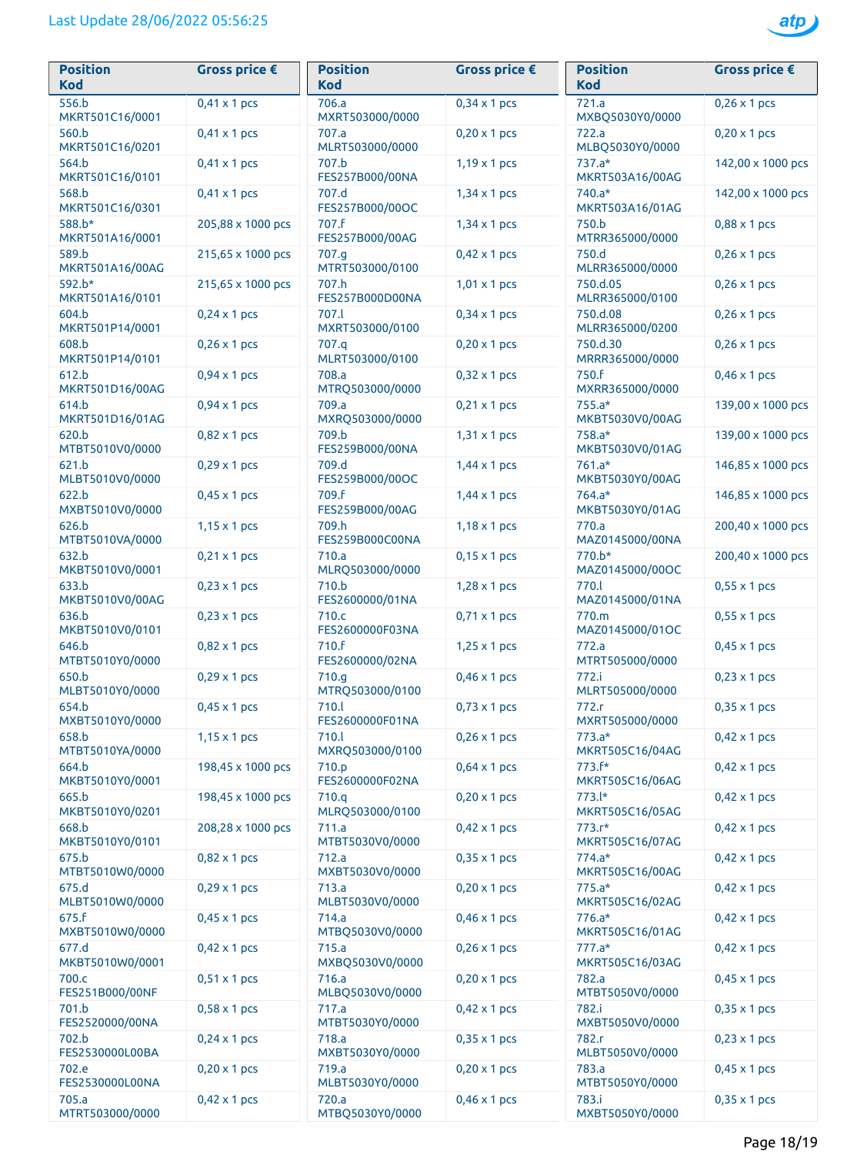ı

| <b>Position</b><br><b>Kod</b> | Gross price €       | Po<br>Ko          |
|-------------------------------|---------------------|-------------------|
| 556.b                         | $0,41 \times 1$ pcs | 706               |
| MKRT501C16/0001               |                     | МX                |
| 560.b<br>MKRT501C16/0201      | $0,41 \times 1$ pcs | 707<br>ML         |
| 564.b                         | $0.41 \times 1$ pcs | 707               |
| MKRT501C16/0101               |                     | <b>FES</b>        |
| 568.b                         | $0,41 \times 1$ pcs | 707               |
| MKRT501C16/0301               |                     | <b>FES</b>        |
| 588.b*<br>MKRT501A16/0001     | 205,88 x 1000 pcs   | 707<br><b>FES</b> |
| 589.b                         | 215,65 x 1000 pcs   | 707               |
| MKRT501A16/00AG               |                     | МT                |
| 592.b*<br>MKRT501A16/0101     | 215,65 x 1000 pcs   | 707<br><b>FES</b> |
| 604.b                         | $0,24 \times 1$ pcs | 707               |
| MKRT501P14/0001               |                     | MX                |
| 608.b                         | $0,26 \times 1$ pcs | 707               |
| MKRT501P14/0101<br>612.b      | $0,94 \times 1$ pcs | ML<br>708         |
| MKRT501D16/00AG               |                     | МT                |
| 614.b                         | $0,94 \times 1$ pcs | <b>709</b>        |
| MKRT501D16/01AG               |                     | МX                |
| 620.b                         | $0,82 \times 1$ pcs | 709               |
| MTBT5010V0/0000               |                     | <b>FES</b>        |
| 621.b<br>MLBT5010V0/0000      | $0,29 \times 1$ pcs | 709<br><b>FES</b> |
| 622.b                         | $0,45 \times 1$ pcs | 709               |
| MXBT5010V0/0000               |                     | <b>FES</b>        |
| 626.b                         | $1,15 \times 1$ pcs | <b>709</b>        |
| MTBT5010VA/0000               |                     | <b>FES</b>        |
| 632.b<br>MKBT5010V0/0001      | $0,21 \times 1$ pcs | 710<br>ML         |
| 633.b                         | $0,23 \times 1$ pcs | 710               |
| MKBT5010V0/00AG               |                     | <b>FES</b>        |
| 636.b                         | $0,23 \times 1$ pcs | 710               |
| MKBT5010V0/0101               |                     | <b>FES</b>        |
| 646.b<br>MTBT5010Y0/0000      | $0,82 \times 1$ pcs | 710<br><b>FES</b> |
| 650.b                         | $0,29 \times 1$ pcs | 710               |
| MLBT5010Y0/0000               |                     | МT                |
| 654.b                         | $0,45 \times 1$ pcs | 710               |
| MXBT5010Y0/0000               |                     | <b>FES</b>        |
| 658.b<br>MTBT5010YA/0000      | $1,15 \times 1$ pcs | 710<br><b>MX</b>  |
| 664.b                         | 198,45 x 1000 pcs   | 710               |
| MKBT5010Y0/0001               |                     | <b>FES</b>        |
| 665.b                         | 198,45 x 1000 pcs   | 710               |
| MKBT5010Y0/0201               |                     | ML                |
| 668.b<br>MKBT5010Y0/0101      | 208,28 x 1000 pcs   | 711<br>МT         |
| 675.b                         | 0,82 x 1 pcs        | 712               |
| MTBT5010W0/0000               |                     | MX                |
| 675.d                         | $0,29 \times 1$ pcs | 713               |
| MLBT5010W0/0000               |                     | ML                |
| 675.F<br>MXBT5010W0/0000      | $0,45 \times 1$ pcs | 714<br>МT         |
| 677.d                         | $0,42 \times 1$ pcs | 715               |
| MKBT5010W0/0001               |                     | МX                |
| 700.c                         | $0,51 \times 1$ pcs | 716               |
| FES251B000/00NF               |                     | ML                |
| 701.b<br>FES2520000/00NA      | $0,58 \times 1$ pcs | 717<br>МT         |
| 702.b                         | $0,24 \times 1$ pcs | 718               |
| FES2530000L00BA               |                     | МX                |
| 702.e                         | $0,20 \times 1$ pcs | 719               |
| FES2530000L00NA               |                     | <b>ML</b>         |
| 705.a<br>MTRT503000/0000      | $0,42 \times 1$ pcs | 720<br>MT         |
|                               |                     |                   |

| <b>Position</b><br>Kod                      | Gross price $\epsilon$ |
|---------------------------------------------|------------------------|
| 706.a                                       | $0,34 \times 1$ pcs    |
| MXRT503000/0000<br>707.a<br>MLRT503000/0000 | $0,20 \times 1$ pcs    |
| 707.b<br>FES257B000/00NA                    | $1,19 \times 1$ pcs    |
| 707.d<br>FES257B000/00OC                    | $1,34 \times 1$ pcs    |
| 707.f<br>FES257B000/00AG                    | $1,34 \times 1$ pcs    |
| 707.g<br>MTRT503000/0100                    | $0,42 \times 1$ pcs    |
| 707.h<br>FES257B000D00NA                    | $1,01 \times 1$ pcs    |
| 707.l<br>MXRT503000/0100                    | $0,34 \times 1$ pcs    |
| 707.q<br>MLRT503000/0100                    | $0,20 \times 1$ pcs    |
| 708.a<br>MTRQ503000/0000                    | $0,32 \times 1$ pcs    |
| 709.a<br>MXRQ503000/0000                    | $0,21 \times 1$ pcs    |
| 709.b<br>FES259B000/00NA                    | $1,31 \times 1$ pcs    |
| 709.d<br>FES259B000/00OC                    | $1,44 \times 1$ pcs    |
| 709.f<br>FES259B000/00AG                    | $1,44 \times 1$ pcs    |
| 709.h<br>FES259B000C00NA                    | $1,18 \times 1$ pcs    |
| 710.a<br>MLRQ503000/0000                    | $0,15 \times 1$ pcs    |
| 710.b<br>FES2600000/01NA                    | $1,28 \times 1$ pcs    |
| 710.c<br>FES2600000F03NA                    | $0,71 \times 1$ pcs    |
| 710.F<br>FES2600000/02NA                    | $1,25 \times 1$ pcs    |
| 710.g<br>MTRQ503000/0100                    | $0,46 \times 1$ pcs    |
| 710.l<br>FES2600000F01NA                    | 0,73 x 1 pcs           |
| 710.l<br>MXRQ503000/0100                    | $0,26 \times 1$ pcs    |
| 710.p<br>FES2600000F02NA                    | $0,64 \times 1$ pcs    |
| 710.q<br>MLRQ503000/0100                    | $0,20 \times 1$ pcs    |
| 711.a<br>MTBT5030V0/0000                    | $0.42 \times 1$ pcs    |
| 712.a<br>MXBT5030V0/0000                    | $0.35 \times 1$ pcs    |
| 713.a<br>MLBT5030V0/0000                    | $0,20 \times 1$ pcs    |
| 714.a<br>MTBQ5030V0/0000                    | $0,46 \times 1$ pcs    |
| 715.a<br>MXBQ5030V0/0000                    | $0,26 \times 1$ pcs    |
| 716.a<br>MLBQ5030V0/0000                    | $0,20 \times 1$ pcs    |
| 717.a<br>MTBT5030Y0/0000                    | $0,42 \times 1$ pcs    |
| 718.a<br>MXBT5030Y0/0000                    | $0,35 \times 1$ pcs    |
| 719.a<br>MLBT5030Y0/0000                    | $0,20 \times 1$ pcs    |
| 720.a<br>MTBQ5030Y0/0000                    | $0,46 \times 1$ pcs    |

| Position<br>Kod             | Gross price $\epsilon$ |  |  |  |
|-----------------------------|------------------------|--|--|--|
| 721.a<br>MXBQ5030Y0/0000    | $0,26 \times 1$ pcs    |  |  |  |
| 722.a<br>MLBQ5030Y0/0000    | $0,20 \times 1$ pcs    |  |  |  |
| $737.a*$<br>MKRT503A16/00AG | 142,00 x 1000 pcs      |  |  |  |
| 740.a*<br>MKRT503A16/01AG   | 142,00 x 1000 pcs      |  |  |  |
| 750.b<br>MTRR365000/0000    | $0.88 \times 1$ pcs    |  |  |  |
| 750.d<br>MLRR365000/0000    | $0,26 \times 1$ pcs    |  |  |  |
| 750.d.05<br>MLRR365000/0100 | $0,26 \times 1$ pcs    |  |  |  |
| 750.d.08<br>MLRR365000/0200 | $0,26 \times 1$ pcs    |  |  |  |
| 750.d.30<br>MRRR365000/0000 | $0,26 \times 1$ pcs    |  |  |  |
| 750.f<br>MXRR365000/0000    | $0,46 \times 1$ pcs    |  |  |  |
| $755.a*$<br>MKBT5030V0/00AG | 139,00 x 1000 pcs      |  |  |  |
| $758.a*$<br>MKBT5030V0/01AG | 139,00 x 1000 pcs      |  |  |  |
| $761.a*$<br>MKBT5030Y0/00AG | 146,85 x 1000 pcs      |  |  |  |
| 764.a*<br>MKBT5030Y0/01AG   | 146,85 x 1000 pcs      |  |  |  |
| 770.a<br>MAZ0145000/00NA    | 200,40 x 1000 pcs      |  |  |  |
| 770.b*<br>MAZ0145000/00OC   | 200,40 x 1000 pcs      |  |  |  |
| 770.l<br>MAZ0145000/01NA    | $0,55 \times 1$ pcs    |  |  |  |
| 770.m<br>MAZ0145000/01OC    | $0,55 \times 1$ pcs    |  |  |  |
| 772.a<br>MTRT505000/0000    | $0,45 \times 1$ pcs    |  |  |  |
| 772.i<br>MLRT505000/0000    | 0,23 x 1 pcs           |  |  |  |
| 772.r<br>MXRT505000/0000    | $0,35 \times 1$ pcs    |  |  |  |
| 773.a*<br>MKRT505C16/04AG   | 0,42 x 1 pcs           |  |  |  |
| 773.f*<br>MKRT505C16/06AG   | $0.42 \times 1$ pcs    |  |  |  |
| $773.1*$<br>MKRT505C16/05AG | $0,42 \times 1$ pcs    |  |  |  |
| 773.r*<br>MKRT505C16/07AG   | $0,42 \times 1$ pcs    |  |  |  |
| $774.a*$<br>MKRT505C16/00AG | 0,42 x 1 pcs           |  |  |  |
| 775.a*<br>MKRT505C16/02AG   | $0,42 \times 1$ pcs    |  |  |  |
| 776.a*<br>MKRT505C16/01AG   | $0,42 \times 1$ pcs    |  |  |  |
| $777.a*$<br>MKRT505C16/03AG | $0,42 \times 1$ pcs    |  |  |  |
| 782.a<br>MTBT5050V0/0000    | $0,45 \times 1$ pcs    |  |  |  |
| 782.i<br>MXBT5050V0/0000    | $0,35 \times 1$ pcs    |  |  |  |
| 782.г<br>MLBT5050V0/0000    | $0,23 \times 1$ pcs    |  |  |  |
| 783.a<br>MTBT5050Y0/0000    | $0,45 \times 1$ pcs    |  |  |  |
| 783.i<br>MXBT5050Y0/0000    | $0,35 \times 1$ pcs    |  |  |  |